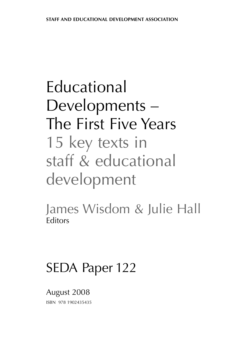# Educational Developments – The First Five Years 15 key texts in staff & educational development

James Wisdom & Julie Hall Editors

## SEDA Paper 122

August 2008 ISBN 978 1902435435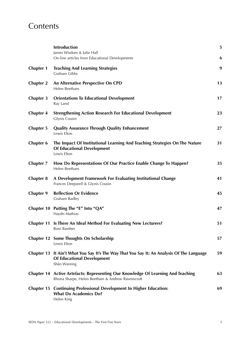### **Contents**

|                  | <b>Introduction</b><br>James Wisdom & Julie Hall<br>On-line articles from Educational Developments                                              | 5<br>6 |
|------------------|-------------------------------------------------------------------------------------------------------------------------------------------------|--------|
| Chapter 1        | <b>Teaching And Learning Strategies</b>                                                                                                         | 9      |
| <b>Chapter 2</b> | Graham Gibbs<br>An Alternative Perspective On CPD<br>Helen Beetham                                                                              | 13     |
| <b>Chapter 3</b> | <b>Orientations To Educational Development</b><br>Ray Land                                                                                      | 17     |
| <b>Chapter 4</b> | <b>Strengthening Action Research For Educational Development</b><br>Glynis Cousin                                                               | 23     |
| <b>Chapter 5</b> | <b>Quality Assurance Through Quality Enhancement</b><br>Lewis Elton                                                                             | 27     |
| Chapter 6        | The Impact Of Institutional Learning And Teaching Strategies On The Nature<br><b>Of Educational Development</b><br>Lewis Elton                  | 31     |
| <b>Chapter 7</b> | How Do Representations Of Our Practice Enable Change To Happen?<br>Helen Beetham                                                                | 35     |
| <b>Chapter 8</b> | A Development Framework For Evaluating Institutional Change<br>Frances Deepwell & Glynis Cousin                                                 | 41     |
| <b>Chapter 9</b> | <b>Reflection Or Evidence</b><br>Graham Badley                                                                                                  | 45     |
|                  | Chapter 10 Putting The "E" Into "QA"<br>Haydn Mathias                                                                                           | 47     |
|                  | Chapter 11 Is There An Ideal Method For Evaluating New Lecturers?<br>Roni Bamber                                                                | 51     |
|                  | <b>Chapter 12 Some Thoughts On Scholarship</b><br>Lewis Elton                                                                                   | 57     |
|                  | Chapter 13 It Ain't What You Say It's The Way That You Say It: An Analysis Of The Language<br><b>Of Educational Development</b><br>Shân Wareing | 59     |
|                  | Chapter 14 Active Artefacts: Representing Our Knowledge Of Learning And Teaching<br>Rhona Sharpe, Helen Beetham & Andrew Ravenscroft            | 63     |
|                  | <b>Chapter 15 Continuing Professional Development In Higher Education:</b><br><b>What Do Academics Do?</b><br>Helen King                        | 69     |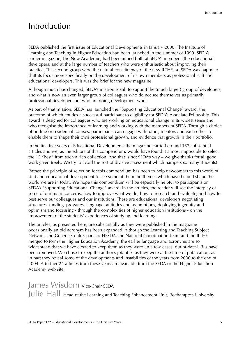### Introduction

SEDA published the first issue of Educational Developments in January 2000. The Institute of Learning and Teaching in Higher Education had been launched in the summer of 1999. SEDA's earlier magazine, The New Academic, had been aimed both at SEDA's members (the educational developers) and at the large number of teachers who were enthusiastic about improving their practice. This second group were the natural constituency of the new ILTHE, so SEDA was happy to shift its focus more specifically on the development of its own members as professional staff and educational developers. This was the brief for the new magazine.

Aithough much has changed, SEDA's mission is still to support the (much larger) group of developers, and what is now an even larger group of colleagues who do not see themselves as primarily professional developers but who are doing development work.

As part of that mission, SEDA has launched the "Supporting Educational Change" award, the outcome of which entitles a successful participant to eligibility for SEDA's Associate Fellowship. This award is designed for colleagues who are working on educational change in its widest sense and who recognise the importance of learning and working with the members of SEDA. Through a choice of on-line or residential courses, participants can engage with tutors, mentors and each other to enable them to shape their own professional growth, and evidence that growth in their portfolio.

In the first five years of Educational Developments the magazine carried around 157 substantial articles and we, as the editors of this compendium, would have found it almost impossible to select the 15 "best" from such a rich collection. And that is not SEDA's way – we give thanks for all good work given freely. We try to avoid the sort of divisive assessment which hampers so many students!

Rather, the principle of selection for this compendium has been to help newcomers to this world of staff and educational development to see some of the main themes which have helped shape the world we are in today. We hope this compendium will be especially helpful to participants on SEDA's "Supporting Educational Change" award. In the articles, the reader will see the interplay of some of our main concerns: how to improve what we do, how to research and evaluate, and how to best serve our colleagues and our institutions. These are educational developers negotiating structures, funding, pressures, language, attitudes and assumptions, deploying ingenuity and optimism and focussing - through the complexities of higher education institutions - on the improvement of the students' experiences of studying and learning.

The articles, as presented here, are substantially as they were published in the magazine – occasionally an old acronym has been expanded. Although the Learning and Teaching Subject Network, the Generic Centre, parts of HESDA, the National Coordination Team and the ILTHE merged to form the Higher Education Academy, the earlier language and acronyms are so widespread that we have elected to keep them as they were. In a few cases, out-of-date URLs have been removed. We chose to keep the author's job titles as they were at the time of publication, as in part they reveal some of the developments and instabilities of the years from 2000 to the end of 2004. A further 24 articles from these years are available from the SEDA or the Higher Education Academy web site.

James Wisdom, Vice-Chair SEDA Julie Hall, Head of the Learning and Teaching Enhancement Unit, Roehampton University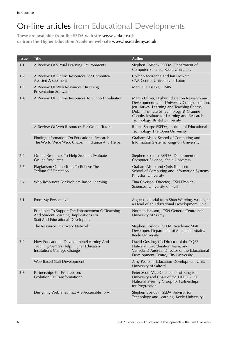### On-line articles from Educational Developments

#### **These are available from the SEDA web site www.seda.ac.uk or from the Higher Education Academy web site www.heacademy.ac.uk**

| <b>Issue</b> | <b>Title</b>                                                                                                                     | <b>Author</b>                                                                                                                                                                                                                                                          |
|--------------|----------------------------------------------------------------------------------------------------------------------------------|------------------------------------------------------------------------------------------------------------------------------------------------------------------------------------------------------------------------------------------------------------------------|
| 1.1          | A Review Of Virtual Learning Environments                                                                                        | Stephen Bostock FSEDA, Department of<br>Computer Science, Keele University                                                                                                                                                                                             |
| 1.2          | A Review Of Online Resources For Computer-<br><b>Assisted Assessment</b>                                                         | Colleen McKenna and Ian Hesketh<br>CAA Centre, University of Luton                                                                                                                                                                                                     |
| 1.3          | A Review Of Web Resources On Using<br><b>Presentation Software</b>                                                               | Manuella Essaka, UMIST                                                                                                                                                                                                                                                 |
| 1.4          | A Review Of Online Resources To Support Evaluation                                                                               | Martin Oliver, Higher Education Research and<br>Development Unit, University College London,<br>Jen Harvey, Learning and Teaching Centre,<br>Dublin Institute of Technology & Grainne<br>Conole, Institute for Learning and Research<br>Technology, Bristol University |
|              | A Review Of Web Resources For Online Tutors                                                                                      | Rhona Sharpe FSEDA, Institute of Educational<br>Technology, The Open University                                                                                                                                                                                        |
|              | Finding Information On Educational Research -<br>The World Wide Web: Chaos, Hindrance And Help?                                  | Graham Alsop, School of Computing and<br>Information Systems, Kingston University                                                                                                                                                                                      |
| 2.2          | Online Resources To Help Students Evaluate<br><b>Online Resources</b>                                                            | Stephen Bostock FSEDA, Department of<br>Computer Science, Keele University                                                                                                                                                                                             |
| 2.3          | Plagiarism: Online Tools To Relieve The<br>Tedium Of Detection                                                                   | Graham Alsop and Chris Tompsett<br>School of Computing and Information Systems,<br>Kingston University                                                                                                                                                                 |
| 2.4          | Web Resources For Problem Based Learning                                                                                         | Tina Overton, Director, LTSN Physical<br>Sciences, University of Hull                                                                                                                                                                                                  |
| 3.1          | From My Perspective                                                                                                              | A guest editorial from Shân Wareing, writing as<br>a Head of an Educational Development Unit.                                                                                                                                                                          |
|              | Principles To Support The Enhancement Of Teaching<br>And Student Learning: Implications For<br>Staff And Educational Developers. | Norman Jackson, LTSN Generic Centre and<br>University of Surrey                                                                                                                                                                                                        |
|              | The Resource Discovery Network                                                                                                   | Stephen Bostock FSEDA, Academic Staff<br>Developer, Department of Academic Affairs,<br>Keele University                                                                                                                                                                |
| 3.2          | How Educational Development/Learning And<br>Teaching Centres Help Higher Education<br>Institutions Manage Change                 | David Gosling, Co-Director of the TQEF<br>National Co-ordination Team, and<br>Vaneeta D'Andrea, Director of the Educational<br>Development Centre, City University.                                                                                                    |
|              | <b>Web-Based Staff Development</b>                                                                                               | Amy Pearson, Education Development Unit,<br>University of Salford                                                                                                                                                                                                      |
| 3.3          | Partnerships For Progression:<br>Evolution Or Transformation?                                                                    | Peter Scott, Vice-Chancellor of Kingston<br>University and Chair of the HEFCE / LSC<br>National Steering Group for Partnerships<br>for Progression.                                                                                                                    |
|              | Designing Web Sites That Are Accessible To All                                                                                   | Stephen Bostock FSEDA, Advisor for<br>Technology and Learning, Keele University                                                                                                                                                                                        |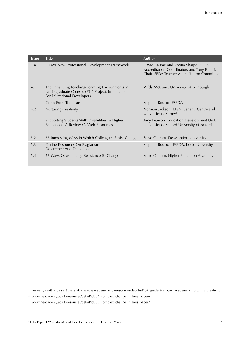| <b>Issue</b> | <b>Title</b>                                                                                                                       | <b>Author</b>                                                                                                                   |
|--------------|------------------------------------------------------------------------------------------------------------------------------------|---------------------------------------------------------------------------------------------------------------------------------|
| 3.4          | SEDA's New Professional Development Framework                                                                                      | David Baume and Rhona Sharpe, SEDA<br>Accreditation Coordinators and Tony Brand,<br>Chair, SEDA Teacher Accreditation Committee |
| 4.1          | The Enhancing Teaching-Learning Environments In<br>Undergraduate Courses (ETL) Project: Implications<br>For Educational Developers | Velda McCune, University of Edinburgh                                                                                           |
|              | Gems From The Ltsns                                                                                                                | Stephen Bostock FSEDA                                                                                                           |
| 4.2          | <b>Nurturing Creativity</b>                                                                                                        | Norman Jackson, LTSN Generic Centre and<br>University of Surrey <sup>1</sup>                                                    |
|              | Supporting Students With Disabilities In Higher<br>Education - A Review Of Web Resources                                           | Amy Pearson, Education Development Unit,<br>University of Salford University of Salford                                         |
| 5.2          | 53 Interesting Ways In Which Colleagues Resist Change                                                                              | Steve Outram, De Montfort University <sup>2</sup>                                                                               |
| 5.3          | Online Resources On Plagiarism<br>Deterrence And Detection                                                                         | Stephen Bostock, FSEDA, Keele University                                                                                        |
| 5.4          | 53 Ways Of Managing Resistance To Change                                                                                           | Steve Outram, Higher Education Academy <sup>3</sup>                                                                             |

<sup>1</sup> An early draft of this article is at: www.heacademy.ac.uk/resources/detail/id157\_guide\_for\_busy\_academics\_nurturing\_creativity

<sup>2</sup> www.heacademy.ac.uk/resources/detail/id554\_complex\_change\_in\_heis\_paper6

<sup>3</sup> www.heacademy.ac.uk/resources/detail/id555\_complex\_change\_in\_heis\_paper7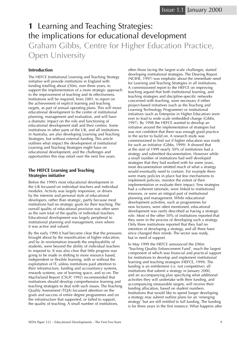### **1** Learning and Teaching Strategies: the implications for educational development Graham Gibbs, Centre for Higher Education Practice, Open University

#### **Introduction**

The HEFCE Institutional Learning and Teaching Strategy initiative will provide institutions in England with funding totalling about £50m, over three years, to support the implementation of a more strategic approach to the improvement of teaching and its effectiveness. Institutions will be required, from 2001, to report on the achievement of explicit learning and teaching targets, as part of annual operating plans. This will move educational development to the centre of institutional planning, management and evaluation, and will have a dramatic impact on the role and functioning of educational development staff and their centres. Some institutions in other parts of the UK, and all institutions in Australia, are also developing Learning and Teaching Strategies, but without external funding. This article outlines what impact the development of institutional Learning and Teaching Strategies might have on educational development, and the challenges and opportunities this may entail over the next five years.

#### **The HEFCE Learning and Teaching Strategies initiative**

Before the 1990's most educational development in the UK focussed on individual teachers and individual modules. Activity was largely responsive, or driven by the interests and personal style of educational developers, rather than strategic, partly because most institutions had no strategic goals for their teaching. The overall quality of educational provision was often seen as the sum total of the quality of individual teachers. Educational development was largely peripheral to institutional planning and management, even where it was active and valued.

By the early 1990 it had become clear that the pressures brought about by the massification of higher education, and by its reorientation towards the employability of students, were beyond the ability of individual teachers to respond to. It was also clear that little progress was going to be made in shifting to more resource based, independent or flexible learning, with or without the exploitation of IT, unless institutions paid attention to their infrastructure, funding and accountancy systems, rewards systems, use of learning space, and so on. The MacFarland Report (CSUP, 1992) recommended that institutions should develop comprehensive learning and teaching strategies to deal with such issues. The Teaching Quality Assessment (TQA) focussed attention on the goals and success of entire degree programmes and on the infrastructure that supported, or failed to support, the quality of teaching. A small number of institutions,

often those facing the largest scale challenges, started developing institutional strategies. The Dearing Report (NCIHE, 1997) was emphatic about the immediate need for Learning and Teaching Strategies in all institutions. A commissioned report to the HEFCE on improving teaching argued that both institutional learning, and teaching strategies and discipline-specific networks concerned with teaching, were necessary if either project-based initiatives (such as the Teaching and Learning Technology Programme) or institutional initiatives (such as Enterprise in Higher Education) were ever to lead to wide scale embedded change (Gibbs, 1997). By 1998 the HEFCE wanted to develop an initiative around the implementation of strategies but was not confident that there was enough good practice in the sector to build on. A research study was commissioned to find out if higher education was ready for such an initiative (Gibbs, 1999). It showed that at the start of 1999 nearly 50% of institutions had a strategy and submitted documentation. However while a small number of institutions had well developed strategies that they had worked with for some years, most documentation omitted much of what a strategy would eventually need to contain. For example there were many policies in place but few mechanisms to implement policies, monitor the extent of their implementation or evaluate their impact. Few strategies had a coherent rationale, were linked to institutional missions, or were an integral part of institutional planning and management. While educational development activities, such as programmes for new lecturers, were often mentioned, educational development was rarely described as having a strategic role. Most of the other 50% of institutions reported that they were in the process of developing such a strategy. Only three institutions reported that they had no intention of developing a strategy, and all three have since changed their minds. The sector was ready, but in need of support.

In May 1999 the HEFCE announced the £90m 'Teaching Quality Enhancement Fund', much the largest component of which was financial and practical support for institutions to develop and implement institutional learning and teaching strategies (HEFCE, 1999). The funding is an entitlement (i.e. not competitive): all institutions that submit a strategy in January 2000, and an accompanying plan specifying what additional activities they will undertake with their funding, and accompanying measurable targets, will receive their funding allocation, based on student numbers. Institutions that would like to spend longer developing a strategy may submit outline plans for an 'emerging strategy' but are still entitled to full funding. The funding is for three years in the first instance. What happens after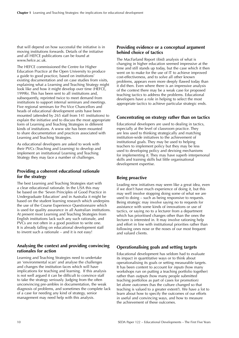that will depend on how successful the initiative is in moving institutions forwards. Details of the initiative and all HEFCE publications can be found at www.hefce.ac.uk.

The HEFCE commissioned the Centre for Higher Education Practice at the Open University to produce a guide to good practice, based on institutions' existing documentation and on case studies from visits, explaining what a Learning and Teaching Strategy might look like and how it might develop over time (HEFCE, 1999b). This has been sent to all institutions and, subsequently, reprinted twice to meet demand from institutions to support internal seminars and meetings. Five regional seminars for Pro Vice Chancellors and heads of educational development units have been mounted (attended by 265 staff from 141 institutions) to explain the initiative and to discuss the most appropriate form of Learning and Teaching Strategies in different kinds of institutions. A www site has been mounted to share documentation and practices associated with Learning and Teaching Strategies.

As educational developers are asked to work with their PVCs (Teaching and Learning) to develop and implement an institutional Learning and Teaching Strategy they may face a number of challenges.

#### **Providing a coherent educational rationale for the strategy**

The best Learning and Teaching Strategies start with a clear educational rationale. In the USA this may be based on the 'Seven Principles of Good Practice in Undergraduate Education' and in Australia it might be based on the student learning research which underpins the use of the Course Experience Questionnaire which is used for quality assurance in all Australian institutions. At present most Learning and Teaching Strategies from English institutions lack such any such rationale, and PVCs are not often in a good position to write one. It is already falling on educational development staff to invent such a rationale – and it is not easy!

#### **Analysing the context and providing convincing rationales for action**

Learning and Teaching Strategies need to undertake an 'environmental scan' and analyse the challenges and changes the institution faces which will have implications for teaching and learning. If this analysis is not well argued it can be difficult to convince staff to take the strategy seriously. Judging from the often unconvincing pre-ambles in documentation, the weak diagnosis of problems, and sometimes the complete lack of a case for needing any kind of strategy, senior management may need help with this analysis.

#### **Providing evidence or a conceptual argument behind choice of tactics**

The MacFarland Report (ibid) analysis of what is changing in higher education seemed impressive at the time and still stands up today, but the case which it then went on to make for the use of IT to achieve improved cost-effectiveness, and to solve all other known problems, appears even more deeply flawed today than it did then. Even where there is an impressive analysis of the context there may be a weak case for proposed teaching tactics to address the problems. Educational developers have a role in helping to select the most appropriate tactics to achieve particular strategic ends.

#### **Concentrating on strategy rather than on tactics**

Educational developers are used to dealing in tactics, especially at the level of classroom practice. They are less used to thinking strategically and matching institution-wide initiatives to the achievement of institutional goals. They may be used to helping teachers to implement policy but they may be less used to developing policy and devising mechanisms for implementing it. They may have superb interpersonal skills and training skills but little organisational development expertise.

#### **Being proactive**

Leading new initiatives may seem like a great idea, even if we don't have much experience of doing it, but this may well involve stopping doing some of what we are used to doing – such as being responsive to requests. Being strategic may involve saying no to requests for assistance with some kinds of innovations or use of tactics, or saying no to a lecturer from a department which has prioritised changes other than the ones the lecturer is interested in. It may involve rationing help and effort in line with institutional priorities rather than following ones nose or the noses of our most frequent and valued clients.

#### **Operationalising goals and setting targets**

Educational development has seldom had to evaluate its impact in quantitative ways or to think about operationalising its goals or setting measurable targets. It has been content to account for inputs (how many workshops run on putting a teaching portfolio together) rather than outputs (how many people submitted teaching portfolios as part of cases for promotion) let alone outcomes (has the culture changed so that teaching is valued to a greater extent?). We have a lot to learn about how to specify the outcomes of our efforts in useful and convincing ways, and how to measure the achievement of these outcomes.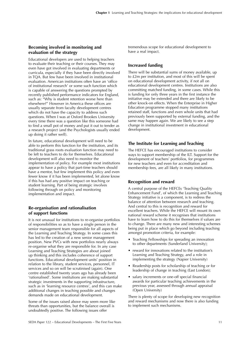#### **Becoming involved in monitoring and evaluation of the strategy**

Educational developers are used to helping teachers to evaluate their teaching or their courses. They may even have got involved in evaluating departments or curricula, especially if they have been directly involved in TQA. But few have been involved in institutional evaluation. American institutions often have an 'office of institutional research' or some such function which is capable of answering the questions prompted by recently published performance indicators for England, such as: "Why is student retention worse here than elsewhere?" However in America these offices are usually separate from faculty development centres which do not have the capacity to address such questions. When I was at Oxford Brookes University every time there was a question like this someone had to find a small pot of money and put it out to tender as a research project (and the Psychologists usually ended up doing it rather well).

In future, educational development will need to be able to perform this function for the institution, and its traditional grass roots evaluation function may need to be left to teachers to do for themselves. Educational development will also need to monitor the implementation of policy. For example most institutions appear to have a policy that part-time teachers should have a mentor, but few implement this policy and even fewer know if it has been implemented, let alone know if this has had any positive impact on teaching or student learning. Part of being strategic involves following through on policy and monitoring implementation and impact.

#### **Re-organisation and rationalisation of support functions**

It is not unusual for institutions to re-organise portfolios of responsibilities so as to have a single person in the senior management team responsible for all aspects of the Learning and Teaching Strategy. In some cases this has led to the creation of a new senior management position. New PVCs with new portfolios nearly always re-organise what they are responsible for. In any case Learning and Teaching Strategies are about joined up thinking and this includes coherence of support functions. Educational development units' position in relation to the library, student services, personnel, IT services and so on will be scrutinised (again). One centre established twenty years ago has already been 'rationalised'. Some institutions are making substantial strategic investments in the supporting infrastructure, such as in 'learning resource centres', and this can make additional changes in teaching possible and changes demands made on educational development.

Some of the issues raised above may seem more like threats than opportunities, but the balance overall is undoubtedly positive. The following issues offer

tremendous scope for educational development to have a real impact.

#### **Increased funding**

There will be substantial sums of money available, up to £2m per institution, and most of this will be spent on educational development activity, if not all on educational development centres. Institutions are also committing matched funding, in some cases. While this is funding for only three years in the first instance the initiative may be extended and there are likely to be other knock-on effects. When the Enterprise in Higher Education programme stopped many institutions retained staff, functions and even whole units that had previously been supported by external funding, and the same may happen again. We are likely to see a step change in institutional investment in educational development.

#### **The Institute for Learning and Teaching**

The HEFCE has encouraged institutions to consider ways to support membership of the ILT. Support for the development of teachers' portfolios, for programmes for new teachers and even for accreditation and membership fees, are all likely in many institutions.

#### **Recognition and reward**

A central purpose of the HEFCEs 'Teaching Quality Enhancement Fund', of which the Learning and Teaching Strategy initiative is a component, is to redress the balance of attention between research and teaching. And central to this is recognition and reward for excellent teachers. While the HEFCE will mount its own national reward scheme it recognises that institutions have to learn how to do this for themselves if values are to change. There are many new and interesting schemes being put in place which go beyond including teaching amongst promotion criteria, for example:

- Teaching Fellowships for spreading an innovation to other departments (Sunderland University);
- reward for innovations related to the institution's Learning and Teaching Strategy, and a role in implementing the strategy (Napier University)
- Readership posts for scholarship of teaching or for leadership of change in teaching (East London);
- salary increments or one-off special financial awards for particular teaching achievements in the previous year, assessed through annual appraisal (Open University)

There is plenty of scope for developing new recognition and reward mechanisms and now there is also funding to implement such mechanisms.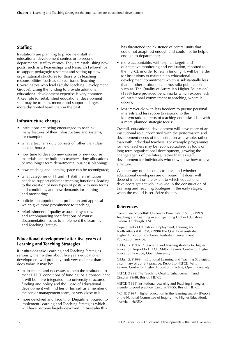#### **Staffing**

Institutions are planning to place new staff in educational development centres or to second departmental staff to centres. They are establishing new posts (such as a Readerships and Research Fellowships to support pedagogic research) and setting up new organisational structures for those with teaching responsibilities (such as subject-based Teaching Co-ordinators who lead Faculty Teaching Development Groups). Using the funding to provide additional educational development expertise is very common. A key role for established educational development staff may be to train, mentor and support a larger, more distributed team than in the past.

#### **Infrastructure changes**

- Institutions are being encouraged to re-think many features of their infrastructure and systems, for example:
- what a teacher's duty consists of, other than class contact hours;
- how time to develop new courses or new course materials can be built into teachers' duty allocations or into longer term departmental business planning;
- how teaching and learning space can be reconfigured;
- what categories of FT and PT staff the institution needs to support different teaching functions, leading to the creation of new types of posts with new terms and conditions, and new demands for training and monitoring;
- policies on appointment, probation and appraisal which give more prominence to teaching;
- refurbishment of quality assurance systems, and accompanying specifications of course documentation, so as to implement the Learning and Teaching Strategy.

#### **Educational development after five years of Learning and Teaching Strategies**

If institutions take Learning and Teaching Strategies seriously, then within about five years educational development will probably look very different than it does today. It may be:

- mainstream, and necessary to help the institution to meet HEFCE conditions of funding. As a consequence it will be more integrated into university structures, funding and policy and the Head of Educational development will find her or himself as a member of the senior management team, or very close to it.
- more devolved and Faculty or Department-based, to implement Learning and Teaching Strategies which will have become largely devolved. In Australia this

has threatened the existence of central units that could not adapt fast enough and could not be helpful enough to departments;

- more accountable, with explicit targets and quantitative monitoring and evaluation, reported to the HEFCE in order to retain funding. It will be harder for institutions to maintain an educational development commitment which is substantially less than at other institutions. In Australia publications such as 'The Quality of Australian Higher Education' (1998) have provided benchmarks which expose lack of institutional commitment to teaching, where it occurs;
- less 'maverick' with less freedom to pursue personal interests and less scope to respond to the idiosyncratic interests of teaching enthusiasts but with a more planned strategic focus;

Overall, educational development will have more of an institutional role, concerned with the performance and development needs of the institution as a whole, rather than with individual teachers. For example programmes for new teachers may be reconceptualised as tools of long term organisational development, growing the change agents of the future, rather than as staff development for individuals who now know how to give a lecture.

Whether any of this comes to pass, and whether educational developers are on board if it does, will depend in part on the extent to which educational developers get actively involved in the construction of Learning and Teaching Strategies in the early stages, when the mould is set. Seize the day!

#### **References**

Committee of Scottish University Principals [CSUP] (1992) Teaching and Learning in an Expanding Higher Education System, Edinburgh, CSUP.

Department of Education, Employment, Training and Youth Affairs (DEETYA) (1998) The Quality of Australian Higher Education. Canberra: Australian Government Publication Service.

Gibbs, G. (1997) A teaching and learning strategy for higher education. Report to HEFCE. Milton Keynes: Centre for Higher Education Practice, Open University

Gibbs, G. (1999) Institutional Learning and Teaching Strategies: a summary of current practice. Report to HEFCE. Milton Keynes: Centre for Higher Education Practice, Open University.

HEFCE (1999) The Teaching Quality Enhancement Fund. Circular 99/48. Bristol: HEFCE.

HEFCE (1999) Institutional Learning and Teaching Strategies: a guide to good practice. Circular 99/55. Bristol: HEFCE.

NCIHE (1997) Higher education in the learning society [Report of the National Committee of Inquiry into Higher Education], Norwich: HMSO.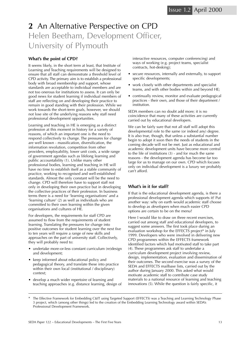### **2** An Alternative Perspective on CPD Helen Beetham, Development Officer, University of Plymouth

#### **What's the point of CPD?**

It seems likely, in the short term at least, that Institute of Learning and Teaching requirements will be designed to ensure that all staff can demonstrate a threshold level of CPD activity. The primary aim is to establish a professional body with broad membership and support, whose standards are acceptable to individual members and are not too onerous for institutions to assess. It can only be good news for student learning if individual members of staff are reflecting on and developing their practice to remain in good standing with their profession. While we work towards the short-term goals, however, we should not lose site of the underlying reasons why staff need professional development opportunities.

Learning and teaching in HE is emerging as a distinct profession at this moment in history for a variety of reasons, of which an important one is the need to respond collectively to change. The pressures for change are well known - massification, diversification, the information revolution, competition from other providers, employability, lower unit costs, a wide range of government agendas such as lifelong learning and public accountability (1). Unlike many other professional bodies, learning and teaching in HE will have no time to establish itself as a stable community of practice, working to recognised and well-established standards. Almost the only constant will be the need to change. CPD will therefore have to support staff not only in developing their own practice but in developing the collective practices of their profession. In business terms there is a need for 'learning organisations' and a 'learning culture' (2) as well as individuals who are committed to their own learning within the given organisations and cultures of HE.

For developers, the requirements for staff CPD are assumed to flow from the requirements of student learning. Translating the pressures for change into positive outcomes for student learning over the next five to ten years will require a range of new skills and approaches on the part of university staff. Collectively, they will probably need to:

- undertake more-or-less constant curriculum (re)design and development;
- keep informed about educational policy and pedagogical theory, and translate these into practice within their own local (institutional / disciplinary) context;
- develop a much wider repertoire of learning and teaching approaches (e.g. distance learning, design of

interactive resources, computer conferencing) and ways of working (e.g. project teams, specialist contracts, hot-desking);

- secure resources, internally and externally, to support specific developments;
- work closely with other departments and specialist teams, and with other bodies within and beyond HE;
- continually review, monitor and evaluate pedagogical practices - their own, and those of their department / institution.

SEDA members can no doubt add more; it is no coincidence that many of these activities are currently carried out by educational developers.

We can be fairly sure that not all staff will adopt this developmental role to the same (or indeed any) degree. It is also true, though, that unless a substantial number begin to adopt it soon then the needs of students in the coming decade will not be met. Just as educational and academic development units have become more central to the life of institutions (3) - and for much the same reasons - the development agenda has become far too large for us to manage on our own. CPD which focuses only on individual development is a luxury we probably can't afford.

#### **What's in it for staff?**

If that is the educational development agenda, is there a professional development agenda which supports it? Put another way: why on earth would academic staff choose to develop as developers when much easier CPD options are certain to be on the menu?

Here I would like to draw on three recent exercises, carried out among staff and educational developers, to suggest some answers. The first took place during an evaluation workshop for the EFFECTS project\* in July 1999. Developers who were involved in delivering new CPD programmes within the EFFECTS framework identified factors which had motivated staff to take part (4). These programmes ask staff to undertake a curriculum development project involving review, design, implementation, evaluation and dissemination of their outcomes. The second exercise was a survey of the SEDA and EFFECTS mailbase lists, carried out by the author during January 2000. This asked what would motivate academic staff to contribute case study materials to a national resource of learning and teaching innovations (5). While the question is fairly specific, it

The Effective Framework for Embedding C&IT using Targeted Support (EFFECTS) was a Teaching and Learning Technology Phase 3 project, which (among other things) led to the creation of the Embedding Learning Technology award within SEDA's Professional Development Framework.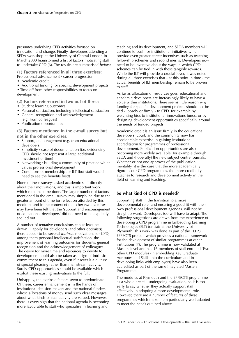presumes underlying CPD activities focused on innovation and change. Finally, developers attending a SEDA workshop at the University of Central London in March 2000 brainstormed a list of factors motivating staff to undertake CPD  $(6)$ . The results are summarised below:

**(1) Factors referenced in all three exercises:** 

- Professional advancement / career progression
- Academic credit
- Additional funding for specific development projects

• Time off from other responsibilities to focus on development

**(2) Factors referenced in two out of three:** 

- Student learning outcomes
- Personal satisfaction, including intellectual satisfaction
- General recognition and acknowledgement (e.g. from colleagues)
- Publication opportunities

**(3) Factors mentioned in the e-mail survey but not in the other exercises:** 

- Support, encouragement (e.g. from educational developers)
- Simplicity / ease of documentation (i.e. evidencing CPD should not represent a large additional investment of time)
- Networking / building a community of practice which values professional development
- Conditions of membership for ILT (but staff would need to see the benefits first!)

None of these surveys asked academic staff directly about their motivations, and this is important work which remains to be done. The larger number of factors mentioned in the email survey may simply be due to the greater amount of time for reflection afforded by this medium, and in the context of the other two exercises it may have been felt that the 'support and encouragement of educational developers' did not need to be explicitly spelled out!

A number of tentative conclusions can at least be drawn. Happily for developers (and other optimists) there appear to be several intrinsic motivations for CPD, among them personal intellectual satisfaction, the improvement of learning outcomes for students, general recognition and the acknowledgement of colleagues. The desire for more time and resources to devote to development could also be taken as a sign of intrinsic commitment to this agenda, even if it reveals a culture of special pleading rather than mainstream activity. Surely CPD opportunities should be available which exploit these existing motivations to the full.

Unhappily, the extrinsic factors seem to predominate. Of these, career enhancement is in the hands of institutional decision makers and the national funders whose allocations of money send such clear messages about what kinds of staff activity are valued. However, there is every sign that the national agenda is becoming more favourable to staff who specialise in learning and

teaching and its development, and SEDA members will continue to push for institutional initiatives which provide even greater career incentives such as teaching fellowship schemes and second merits. Developers now need to be inventive about the ways in which CPD schemes can be tied in with these tangible rewards. While the ILT will provide a crucial lever, it was noted during all three exercises that - at this point in time - the actual benefits of ILT membership remain to be proven to staff.

As far as allocation of resources goes, educational and academic developers are increasingly likely to have a voice within institutions. There seems little reason why funding for specific development projects should not be tied - loosely or firmly - to CPD, for example by weighting bids to institutional innovations funds, or by designing development opportunities specifically around the needs of funded projects.

Academic credit is an issue firmly in the educational developers' court, and the community now has considerable expertise in gaining institutional accreditation for programmes of professional development. Publication opportunities are also becoming more widely available, for example through SEDA and (hopefully) the new subject centre journals. Whether or not one approves of the publication mentality, it is the case that the more academically rigorous our CPD programmes, the more credibility attaches to research and development activity in the field of learning and teaching.

#### **So what kind of CPD is needed?**

Supporting staff in the transition to a more developmental role, and ensuring a good fit with their own professional development agendas, will not be straightforward. Developers too will have to adapt. The following suggestions are drawn from the experience of developing a CPD programme in Embedding Learning Technologies (ELT) for staff at the University of Plymouth. This work was done as part of the TLTP3 EFFECTS project, which provides a national framework for the development of similar programmes at other institutions (7). The programme is now validated at Masters level and has 16 members of staff enrolled. Two other CPD modules (in embedding Key Graduate Attributes and Skills into the curriculum and in developing links with employers) have also been accredited as part of the same Integrated Masters Programme.

The modules at Plymouth and the EFFECTS programme as a whole are still undergoing evaluation, so it is too early to say whether they actually support staff effectively in adopting a more developmental role. However, there are a number of features of these programmes which make them particularly well adapted to meet the needs outlined above.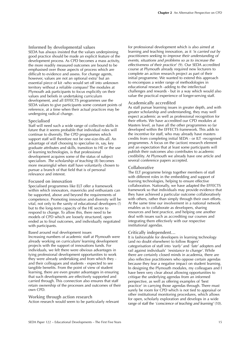#### **Informed by developmental values**

SEDA has always insisted that the values underpinning good practice should be made an explicit feature of the development process. As CPD becomes a mass activity, the more readily measured outcomes are bound to be emphasised over those aspects of process which are difficult to evidence and assess. For change agents, however, values are not an optional extra' but an essential piece of kit -who would set off into unknown territory without a reliable compass? The modules at Plymouth ask participants to focus explicitly on their values and beliefs in undertaking curriculum development, and all EFFECTS programmes use the SEDA values to give participants some constant points of reference, at a time when their actual practices may be undergoing radical change.

#### **Specialised**

Staff will need such a wide range of collective skills in future that it seems probable that individual roles will continue to diversify. The CPD programmes which support staff will therefore not be one-size-fits-all. An advantage of staff choosing to specialise in, say, key graduate attributes and skills, transition to HE or the use of learning technologies, is that professional development acquires some of the status of subject specialism. The scholarship of teaching (8) becomes more meaningful when staff have voluntarily chosen to pursue a branch of that field that is of personal relevance and interest.

#### **Focused on innovation**

Specialised programmes like ELT offer a framework within which innovators, mavericks and enthusiasts can be supported, above and beyond the requirements of competence. Promoting innovation and diversity will be vital, not only to the sanity of educational developers (!) but to the long-term capacity of the HE sector to respond to change. To allow this, there need to be models of CPD which are loosely structured, open ended as to final outcomes, and individually negotiated with participants.

Based around real development issues Increasing numbers of academic staff at Plymouth were already working on curriculum/ learning development projects with the support of innovations funds. For individuals, we felt there were obvious advantages in tying professional development opportunities to work they were already undertaking and from which they and their colleagues and students - expected to see tangible benefits. From the point of view of student learning, there are even greater advantages in ensuring that such developments are effectively supported and carried through. This connection also ensures that staff retain ownership of the processes and outcomes of their own CPD.

**Working through action research** Action research would seem to be particularly relevant

for professional development which is also aimed at learning and teaching innovation, as it 'is carried out by practitioners seeking to improve their understanding of events, situations and problems so as to increase the effectiveness of their practice' (9). Our SEDA accredited course at Plymouth already required new lecturers to complete an action research project as part of their initial programme. We wanted to extend this approach to encompass a wider range of methodologies in educational research -adding to the intellectual challenges and rewards - but in a way which would also value the practical experience of longer-serving staff.

#### **Academically accredited**

As staff pursue learning issues in greater depth, and with greater scholarship and understanding, they may well expect academic as well as professional recognition for their efforts. We have accredited our CPD modules at Masters level, as have all the other programmes so far developed within the EFFECTS framework. This adds to the incentive for staff, who may already have masters credits from completing initial SEDA - or ILT -recognised programmes. A focus on the (action) research element and an expectation that at least some participants will publish their outcomes also contributes to academic credibility. At Plymouth we already have one article and several conference papers accepted.

#### **Collaborative**

The ELT programme brings together members of staff with different roles in the embedding and support of learning technologies, helping to ensure effective collaboration. Nationally, we have adapted the EFFECTS framework so that individuals may provide evidence that they have achieved a particular outcome collaboratively with others, rather than simply through their own efforts. At the same time our involvement in a national network enables us to collaborate as developers, sharing resources and best practice, and helping one another deal with issues such as accrediting our courses and integrating them effectively with our respective institutional agendas.

#### **Critically independent…**

It is fashionable for developers in learning technology (and no doubt elsewhere) to follow Rogers' categorisation of staff into 'early' and 'late' adopters and rail against individuals' 'resistance to change'. While there are certainly closed minds in academia, there are also reflective practitioners who oppose certain agendas because they fear a negative impact on student learning. In designing the Plymouth modules, my colleagues and I have been very clear about allowing opportunities to critique the underlying agendas from an informed perspective, as well as offering examples of 'best practice' in carrying those agendas through. There must surely be room for CPD which is not tied to appraisal or other institutional monitoring procedures, which allows for open, scholarly exploration and develops in a wide range of staff the 'conscience of teaching and learning' (10).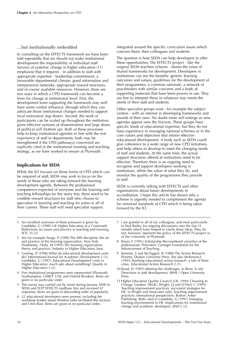#### **…but institutionally embedded**

In consulting on the EFFECTS framework we have been told repeatedly that we should not make institutional development the responsibility of individual staff. Surveys of systemic change in higher education (11) emphasise that it requires - in addition to staff with appropriate expertise - leadership commitment, a favourable departmental climate, good information and interpersonal networks, appropriate reward structures, and of course available resources. However, there are two ways in which a CPD framework can become a lever for change at institutional level. First, the development team supporting the framework may well have some central influence, through which they can advocate those institutional changes needed to support local innovation (top down). Second, the work of participants can be scaled up throughout the institution, given effective avenues of dissemination and large doses of political will (bottom up). Both of these processes help to keep institutional agendas in line with the real experience of staff in departments; both may be strengthened if the CPD pathway(s) concerned are explicitly cited in the institutional learning and teaching strategy, as we have worked to ensure at Plymouth.

#### **Implications for SEDA**

While the ILT focuses on those forms of CPD which can be required of staff, SEDA may wish to focus on the needs of those who are taking forward the learning development agenda. Between the professional competence expected of everyone and the learning and teaching fellowships for the starry few, there need to be credible reward structures for staff who choose to specialise in learning and teaching for some or all of their careers. These staff will need specialist support,

integrated around the specific curriculum issues which concern them, their colleagues and students.

The question is how SEDA can help developers to offer these opportunities. The EFFECTS project - like the original SEDA teachers scheme - shows the value of shared frameworks for development. Developers in institutions can see the benefits: generic learning outcomes and values, guidelines for the development of their programmes, a common rationale, a network of practitioners with similar concerns and a body of supporting materials that have been proven in use. They are free to interpret these in whatever way meets the needs of their staff and students.

Other specialist groups exist - for example the subject centres - with an interest in developing frameworks and awards of their own. No doubt more will emerge as new agendas appear over the horizon. These groups have specific kinds of educational expertise, but they do not have experience in managing national schemes or in the core values and objectives that inform effective educational development. A body such as SEDA could give coherence to a wide range of new CPD initiatives, and help others to develop to meet the changing needs of staff and students. At the same time, the actual support structures offered at institutions need to be effective. Therefore there is an ongoing need to recognise and support developers working in institutions, affirm the value of what they do, and monitor the quality of the programmes they provide to staff.

SEDA is currently talking with EFFECTS and other organisations about future developments in accreditation. I hope this article has shown why a scheme is urgently needed to complement the agenda for universal standards of CPD which is being taken forward by the ILT.

- 1 An excellent overview of these pressures is given by Lueddeke, G (1998) UK Higher Education at a Crossroads: Reflections on issues and practice in teaching and learning, IETI, 35 (2)
- 2 See for example Senge, P (1990) The fifth discipline: the art and practice of the learning organization. New York: Doubleday; Otala, M (1995) The learning organization: theory and practice, Industry in Higher Education, June.
- 3 Gosling, D (1996) What do educational development units do? International Journal for Academic Development 1 (1); Lueddeke, G (1997), Educational Development Units in Higher Education: much ado about something? Quality in Higher Education 3 (2).
- 4 Five institutional programmes were represented (Plymouth, Southampton, UMIST, UNL and Oxford Brookes). Items are given in no particular order.
- The survey was carried out by email during January 2000 to SEDA and TLTP EFFECTS mailbase lists and received 47 responses. Items are given in descending order of popularity.
- 6 22 educational developers were present, including the workshop leaders James Wisdom (who facilitated this section) and Chris Rust. Items are given in no particular order.
- 7 I am grateful to all of my colleagues, and most particularly to Paul Bailey, for ongoing discussions over the last 15 months which have helped to clarify these ideas. They do not, however, represent the policy of the EFFECTS project or of the University of Plymouth.
- 8 Boyer, E (1991) Scholarship Reconsidered: priorities of the professoriate, Princeton: Carnegie Foundation for the Advancement of Teaching.
- 9 Kemmis, S and McTaggart, R (1988) The Action Research Planner, Deakin University Press. See also McKernan,J (1993) Teaching educational action research: a tale of three cities. Educational Action Research 2 (1).
- 10 Boud, D (1995) Meeting the challenges, in Brew, A (ed) Directions in staff development, SRHE / Open University Press.
- 11 Higher Education Quality Council (UK, 1994) Choosing to Change, London: HEQC; Wright, Q and O'Neil, C (1995) Teaching improvement practices: successful strategies for HE, in Wright and Associates (eds), Teaching improvement practices: international perspectives, Bolton: Anker Publishing. Both cited in Lueddeke, G (1997) Emerging learning environments in HE: Implications for institutional change and academic developers. IJAD 2 (2).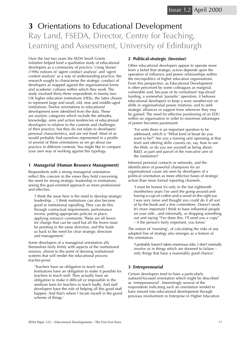### **3** Orientations to Educational Development Ray Land, FSEDA, Director, Centre for Teaching, Learning and Assessment, University of Edinburgh

Over the last two years the SEDA Small Grants initiative helped fund a qualitative study of educational developers as a community of practice. Using Stones' (1996) notions of 'agent conduct analysis' and 'agent context analysis' as a way of understanding practice, the research sought to characterise the strategic conduct of developers as mapped against the organisational forms and academic cultures within which they work. The study involved thirty-three respondents in twenty-two UK higher education institutions (HEIs), the latter chosen to represent large and small, old, new and middle-aged institutions. Twelve orientations to educational development were identified from the data. These are analytic categories which include the attitudes, knowledge, aims and action tendencies of educational developers in relation to the contexts and challenges of their practice, but they do not relate to developers' personal characteristics, and are not fixed. Most of us would probably find ourselves represented in a profile of several of these orientations as we go about our practice in different contexts. You might like to compare your own way of working against this typology.

#### **1 Managerial (Human Resource Management)**

Respondents with a strong managerial orientation reflect this concern in the views they hold concerning the need for strong strategic leadership in institutions, seeing this goal-oriented approach as more professional and effective.

'I think the issue here is the need to develop strategic leadership ... I think institutions can also become good at institutional signalling. They can do this through contractual requirements, performance review, putting appropriate policies in place, applying resource constraints. These are all levers for change that can be used but all the levers must be pointing in the same direction, and this leads us back to the need for clear strategic direction and management.'

Some developers of a managerial orientation ally themselves fairly firmly with aspects of the institutional mission, almost to the point of devising institutional systems that will render the educational process teacher-proof.

'Teachers have an obligation to teach well. Institutions have an obligation to make it possible for teachers to teach well. They actually have an obligation to make it difficult or impossible in the medium term for teachers to teach badly. And staff developers have the role of helping all this good stuff happen. And that's where I locate myself in the grand scheme of things.'

#### **2 Political-strategic (Investor)**

Other educational developers appear to operate more from a belief that strategic action depends upon the operation of influence and power relationships within the micropolitics of higher education organisations. From this perspective, as Educational Development is often perceived by some colleagues as marginal, vulnerable and, because of its centralised 'top-sliced' funding, a somewhat 'parasitic' operation, it behoves educational developers to keep a wary weather-eye on shifts in organisational power relations, and to seek strategic alliances or support from wherever they may be gained. The need for effective positioning of an EDU within an organisation in order to maximise advantages of power becomes paramount.

'For units there is an important question to be addressed, which is "What kind of beast do you want to be?" Are you a training unit operating at that level and offering skills courses on, say, how to use the Web, or do you see yourself as being about R&D, as part and parcel of the executive arm of the institution?'

Informal personal contacts or networks, and the identification of powerful champions for an organisational cause are seen by developers of a political orientation as more effective bases of strategic action than more formal reporting channels.

'I must be honest it's only in the last eighteenth months/two years I've used the going-around-andhaving-a-cup-of-coffee-and-a-word-in-the-right-ear. I was very naive and thought you could do it all sort of by-the-book and a few committees. Doesn't work. It's more important I think to have influential people on your side…and informally, or dropping something out and saying "I've done this. I'll send you a copy" – if the person's fairly important, you know.'

The notion of 'investing', of calculating the risks of any adopted line of strategy also emerges as a feature of this orientation.

'I probably haven't taken enormous risks. I don't normally involve us in things which are doomed to failure – only things that have a reasonably good chance.'

#### **3 Entrepreneurial**

Certain developers tend to have a particularly outward-focused orientation which might be described as 'entrepreneurial'. Interestingly several of the respondents indicating such an orientation tended to have moved into educational development through previous involvement in Enterprise in Higher Education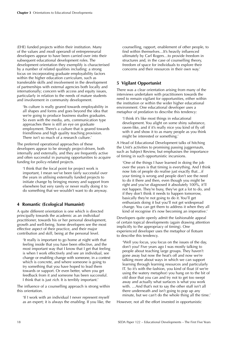(EHE) funded projects within their institution. Many of the values and modi operandi of entrepreneurial developers appear to have been carried over into their subsequent educational development roles. The development orientation they exemplify is characterised by a number of related qualities including: a strong focus on incorporating graduate employability factors within the higher education curriculum, such as transferable skills and involvement in the development of partnerships with external agencies both locally and internationally; concern with access and equity issues, particularly in relation to the needs of mature students and involvement in community development.

'Its culture is really geared towards employability in all shapes and forms and goes beyond the idea that we're going to produce business studies graduates. So even with the media, arts, communication type approaches there is still an eye on graduate employment. There's a culture that is geared towards friendliness and high quality teaching provision. There isn't so much of a research culture.'

The preferred operational approaches of these developers appear to be strongly project-driven, both internally and externally, and they are frequently active and often successful in pursuing opportunities to acquire funding for policy-related projects.

'I think that the focal point for project work is important, I mean we've been fairly successful over the years in utilising externally funded projects to initiate change by bringing money and support from elsewhere but very rarely or never really doing it to do something that we wouldn't want to do anyway.

#### **4 Romantic (Ecological Humanist)**

A quite different orientation is one which is directed principally towards the academic as an individual practitioner, towards his or her personal development, growth and well-being. Some developers see the most effective aspect of their practice, and their major contribution and skill, being at the personal level.

'It really is important to go home at night with that feeling inside that you have been effective, and the most important way that I know that I get that feeling is when I work effectively and see an individual, see change or enabling change with someone, in a context which is concrete, and where someone is going to try something that you have hoped to lead them towards or support. Or even better, when you get feedback from it and someone has been successful. I think that is just rich. It is terribly important.'

The influence of a counselling approach is strong within this orientation.

'If I work with an individual I never represent myself as an expert; it is always the enabling. If you like, the counselling, rapport, enablement of other people, to find within themselves…It's heavily influenced ultimately by Carl Rogers…to provide freedom in structures and, in the case of counselling theory, freedom of space for individuals to explore their concerns and their resources in their own way.'

#### **5 Vigilant Opportunist**

There was a clear orientation arising from many of the interviews undertaken with practitioners towards the need to remain vigilant for opportunities, either within the institution or within the wider higher educational environment. One educational developer uses a metaphor of predation to describe this tendency:

'I think it's like most things in educational development. You alight on some shiny substance, raven-like, and if it's really nice you kind of fly off with it and show it to as many people as you think might be interested or something.'

A Head of Educational Development talks of hitching the Unit's activities to promising passing juggernauts, such as Subject Review, but emphasises the importance of timing in such opportunistic incursions.

'One of the things I have learned in doing the job over the years is that timing is everything. And I think now lots of people do realise just exactly that…if your timing is wrong and people don't see the need to do it there and then, even though you might be right and you've diagnosed it absolutely 100%, it'll not happen. They're busy, they've got a lot to do, and if they don't think it needs to happen tomorrow, basically they're not going to do it. You'll get enthusiasts doing it but you'll not get widespread change. You can get them to address it when they all kind of recognise it's now becoming an imperative.'

Developers quite openly admit the fashionable appeal of certain topical developments (again drawing attention implicitly to the appropriacy of timing). One experienced developer uses the metaphor of flotsam to describe this tendency.

'Well you focus, you focus on the issues of the day, don't you? Five years ago I was mostly talking to people about teaching large groups. They haven't gone away but now the heat's off and now we're talking more about ways in which we can support learning through learning resources and particularly IT. So it's with the fashion, you kind of float (if we're using the watery metaphor) you hang on to the bit of old door that you can and try not to get too swept away and actually what surfaces is what you work with. …And that's not to say the other stuff isn't all there underneath and isn't going to pop up any minute, but we can't do the whole thing all the time.'

However, not all the effort invested in opportunistic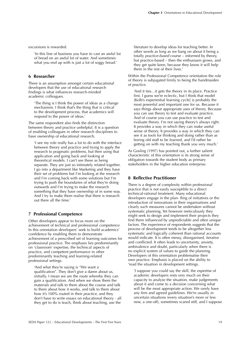excursions is rewarded.

'In this line of business you have to cast an awful lot of bread on an awful lot of water. And sometimes what you end up with is just a lot of soggy bread.'

#### **6 Researcher**

There is an assumption amongst certain educational developers that the use of educational research findings is what influences research-minded academic colleagues.

'The thing is I think the power of ideas as a change mechanism. I think that's the thing that is critical to the development process, that academics will respond to the power of ideas.'

The same respondent also finds the distinction between theory and practice unhelpful. It is a question of enabling colleagues in other research disciplines to have ownership of educational research.

'I see my role really has a lot to do with the interface between theory and practice and trying to apply the research to pragmatic problems, but then using that application and going back and looking at theoretical models. I can't see these as being separate. They are just so intimately related together. I go into a department like Marketing and they have their set of problems but I'm looking at the research and I'm coming back with some solutions but I'm trying to push the boundaries of what they're doing outwards and I'm trying to make the research something that they have ownership of in some way. And I try to make them realise that there is research out there all the time.'

#### **7 Professional Competence**

Other developers appear to focus more on the achievement of technical and professional competence. In this orientation developers' seek to build academics' confidence by enabling them to demonstrate achievement of a prescribed set of learning outcomes for professional practice. The emphasis lies predominantly on 'classroom' expertise, the technical aspects of practice, and competent performance in other predominantly teaching and learning-related professional settings.

'And what they're saying is "We want a qualification". They don't give a damn about us, initially. I mean we are the route whereby they can gain a qualification. And when we show them the materials and talk to them about the course and talk to them about how it works, and talk to them about how it's 100% routed in their practice, and they don't have to write essays on educational theory - all they get to do is teach, think about teaching, use the

literature to develop ideas for teaching better. In other words as long as we bang on about it being a totally practice-based course – informed by theory, but practice-based – then the enthusiasm grows, and they get quite keen, because they know it will help them in the rest of their lives.'

Within the Professional Competence orientation the role of theory is subjugated firmly to being the handmaiden of practice.

'And it ties…it gets the theory in its place. Practice first. I guess we're eclectic, but I think that model [Kolb's experiential learning cycle] is probably the most powerful and important one for us. Because it says things about appropriate uses of theory. Because you can use theory to test and evaluate practice. And of course you can use practice to test and evaluate theory. I'm not saying theory's always right. It provides a way in which they can make useful sense of theory. It provides a way in which they can see it as tools for thinking and doing rather than as boring old stuff to be learned, and I'd rather be getting on with my teaching thank you very much.'

As Gosling (1997) has pointed out, a further salient characteristic of this orientation is its strong sense of obligation towards the student body as primary stakeholders in the higher education enterprise.

#### **8 Reflective Practitioner**

There is a degree of complexity within professional practice that is not easily susceptible to a direct technical-rational treatment. Many educational developers engage in the plan- fling of initiatives or the introduction of innovations in their organisations and clearly such measures cannot be undertaken without systematic planning. Yet however meticulously they might seek to design and implement their projects they find them influenced by unpredictable and often unique factors. The experience of respondents suggests that the process of development tends to be altogether less systematic and logically coherent than rational accounts would indicate. It is often messy, disorganised, iterative and conflicted. It often leads to uncertainty, anxiety, ambivalence and doubt, particularly when there is no explicit system of values to guide the planning. Developers of this orientation problematise their own practice. Emphasis is placed on the ability to 'read the situation in development settings.

'I suppose you could say the skill, the expertise of academic developers rests very much on their capacity to analyse the situation, make judgements about it and come to a decision concerning what will be the most appropriate action. We rarely have any firm and agreed guidelines. We're usually in uncertain situations (every situation's more or less new, a one-off), sometimes scared stiff, and I suppose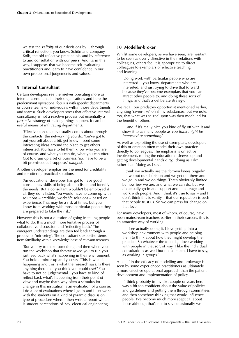we test the *validity* of our decisions by... through critical reflection, you know, Schön and company, Kolb, the old reflective practice bit, and by reference to and consultation with our peers. And it's in this way, I suppose, that we become self-evaluating practitioners and learn to have confidence in our own professional judgements and values.'

#### **9 Internal Consultant**

Certain developers see themselves operating more as internal consultants in their organisations and here the predominant operational focus is with specific departments or course teams (or individuals within those departments and teams). Such developers stress that effective internal consultancy is not a reactive process but essentially a proactive strategy of making things happen. It can be a useful means of infiltrating departments.

'Effective consultancy usually comes about through the contacts, the networking you do. You've got to put yourself about a bit, get known, seed some interesting ideas around the place to get others interested. You have to let them know who you are, of course, and what you can do, what you can offer. Got to drum up a bit of business. You have to be a bit promiscuous I suppose.' (laughs).

Another developer emphasises the need for credibility and for offering practical solutions.

'An educational developer has got to have good consultancy skills of being able to listen and identify the needs. But a consultant wouldn't be employed if all they do is listen. You would have to come up with solutions – credible, workable solutions – based on experience. That may be a risk at times, but you know from working with those particular people they are prepared to take the risk.'

However this is not a question of going in telling people what to do. It is a much more tentative process of collaborative discussion and 'reflecting back.' The emergent understandings are then fed back through a process of 'mirroring'. The consultant's expertise stems from familiarity with a knowledge base of relevant research.

'But you try to make something and then when you run the workshop that they've asked you to run you just feed back what's happening in their environment. You hold a mirror up and you say "This is what is happening and this is what the research says. Is there anything there that you think you could use?" You have to not be judgemental…you have to kind of reflect back what's happening from their point of view and maybe that's why often a stimulus for change in this institution is an evaluation of a course. I do a lot of evaluations where I go in and I just work with the students on a kind of pyramid discussion type of procedure where I then write a report which is student perceptions of, say, electrical engineering.'

#### **10 Modeller-broker**

Whilst some developers, as we have seen, are hesitant to be seen as overly directive in their relations with colleagues, others feel it is appropriate to direct colleagues to exemplars of effective teaching and learning.

'Doing work with particular people who are interested .. you know, departments who are interested, and just trying to drive that forward because they've become exemplars that you can attract other people to, and doing these sorts of things, and that's a deliberate strategy.'

We recall our predatory opportunist mentioned earlier, alighting 'raven-like' on shiny substances, but we note, too, that what was seized upon was then modelled for the benefit of others:

'…and if it's really nice you kind of fly off with it and show it to as many people as you think might be interested or something.'

As well as exploiting the use of exemplars, developers of this orientation often model their own practice directly to colleagues. The emphasis is on active involvement, rolling the educational sleeves up and getting developmental hands dirty, 'doing as I do' rather than 'doing as I say'.

'I think we actually are the "brown knees brigade", i.e. we put our shorts on and we get out there and we go in and we do things. That's obviously limited by how few we are, and what we can do, but we do actually go in and support and encourage and work with people. And I think it's true to say – and I don't think this is vanity – that our reputation is such that people trust us. So we can press for change on that level.'

For many developers, most of whom, of course, have been mainstream teachers earlier in their careers, this is an attractive way of working:

'I adore actually doing it. I love getting into a workshop environment with people and helping them to think about how they might develop their practice. So whatever the topic is, I love working with people in that sort of way. I like the individual consultations as well but not as much, I have to say, as working in groups.'

A belief in the efficacy of modelling and brokerage is seen by some experienced practitioners as ultimately a more effective operational approach than the patient development and implementation of policy.

'I think probably in my first couple of years here I was a bit too confident about the value of policies and guidelines and putting them through committees and then somehow thinking that would influence people. I've become much more sceptical about those although that's not to say occasionally we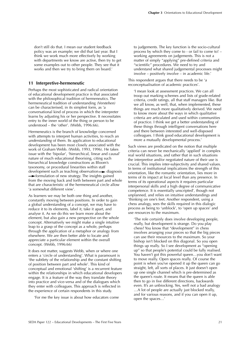don't still do that. I mean our student feedback policy was an example; we did that last year. But I think we work much more effectively by working with departments we know are active, then try to get some examples out to other people. They see that it works and then we try to bring them on board.'

#### **11 Interpretive-hermeneutic**

Perhaps the most sophisticated and radical orientation of educational development practice is that associated with the philosophical tradition of hermeneutics. The hermeneutical tradition of understanding (Verstehen) can be characterised, in its simplest form, as 'a conversational kind of process in which the interpreter learns by adjusting his or her perspective. It necessitates entry to the inner world of the thing or person to be understood – the 'other'. (Webb, 1996:66).

Hermeneutics is the branch of knowledge concerned with attempts to interpret human activities, to reach an understanding of them. Its application to educational development has been most closely associated with the work of Graham Webb. (Webb, 1993, 1996). He takes issue with the 'bipolar', 'hierarchical, linear and causal' nature of much educational theorising, citing such hierarchical knowledge constructions as Bloom's taxonomy, or procedural linearities within staff development such as teaching observation $\rightarrow$  diagnosis  $\rightarrow$  formulation of new strategy. The insights gained from the moving back and forth between part and whole that are characteristic of the hermeneutical circle allow 'a somewhat different view'.

As learners we may be both one thing and another, constantly moving between positions. In order to gain a global understanding of a concept, we may have to reduce it to its elements, label it, take it apart, and analyse it. As we do this we learn more about the element, but also gain a new perspective on the whole concept. Alternatively we might make a single intuitive leap to a grasp of the concept as a whole, perhaps through the application of a metaphor or analogy from elsewhere. We are then better able to locate and appreciate a particular element within the overall concept. (Webb, 1996:66)

It does not matter, suggests Webb, when or where one enters a 'circle of understanding'. What is paramount is 'the subtlety of the relationship and the constant shifting of position between part and whole'. This kind of conceptual and emotional 'shifting' is a recurrent feature within the relationships in which educational developers engage. It is a feature of the way they translate theory into practice and vice-versa and of the dialogues which they enter with colleagues. This approach is reflected in the experience of certain respondents in this study.

'For me the key issue is about how educators come

to judgements. The key function is the socio-cultural process by which they come to - or fail to come to! – working agreements on judgements. This is not a matter of simply "applying" pre-defined criteria and "scientific" procedures. We need to try and understand what shared judgemental processes might involve – positively involve – in academic life.'

This respondent argues that there needs to be 'a reconceptualisation of academic practices'.

'I mean look at assessment practices. We can all troop out marking schemes and lists of grade-related criteria, credit ratings, all that stuff managers like. But we all know, as well, that, when implemented, these things are much more qualitatively derived. We need to know more about the ways in which qualitative criteria are articulated and used within communities of practice. I think we get a better understanding of these things through intelligent conversations here and there between interested and well-disposed colleagues. I think good educational development is more a mutually developmental process.'

Such views are predicated on the notion that multiple criteria can never be mechanically 'applied' in complex real world situations, and rather that in such situations the interpretive and/or negotiated nature of their use is crucial. This implies inter-subjectivity and shared values. In terms of institutional implications the strength of this orientation, like the romantic orientation, lies more in terms of its impact at local level than any presence. In terms of its operational aspects it requires particular interpersonal skills and a high degree of communicative competence. It is essentially unscripted', though not unplanned, and relies on intuitive understandings and 'thinking on one's feet. Another respondent, using a chess analogy, sees the skills required in this dialogic process as being to 'unblock', to 'open up spaces' and use resources to the maximum.

'The role certainly does involve developing people, really, but development is strange. Do you play chess? You know that "development" in chess involves arranging your pieces so that the big pieces can use their resources to the maximum. So your bishop isn't blocked on this diagonal. So you open things up really. So I see development as "opening up" so that people's potential could be fully realised. You haven't got this powerful queen…you don't want to move really. Open spaces really. Of course the point is when you've opened it up the queen can go straight, left, all sorts of places. It just doesn't open up one single channel which is pre-determined as the queen's route. It means that the queen is able then to go in five different directions, backwards even. It's an unbiocking. Yes, well not a bad analogy …A lot of people are actually just blocked really, and for various reasons, and if you can open it up, open the spaces…'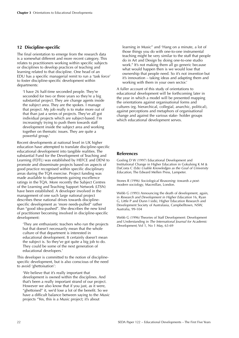#### **12 Discipline-specific**

The final orientation to emerge from the research data is a somewhat different and more recent category. This relates to practitioners working within specific subjects or disciplines to develop practices of teaching and learning related to that discipline. One head of an EDU has a specific managerial remit to run a 'task force' to foster discipline-specific development within departments:

'I have 26 half-time seconded people. They're seconded for two or three years so they're a big substantial project. They are change agents inside the subject area. They are the spokes. I manage that project. My job really is to make more out of that than just a series of projects. They've all got individual projects which are subject-based. I'm increasingly trying to push them towards staff development inside the subject area and working together on thematic issues. They are quite a powerful group.'

Recent developments at national level in UK higher education have attempted to translate discipline-specific educational development into tangible realities. The substantial Fund for the Development of Teaching and Learning (FDTL) was established by HEFCE and DENI to promote and disseminate projects based on aspects of good practice recognised within specific disciplinary areas during the TQA exercise. Project funding was made available to departments gaining excellence ratings in the TQA. More recently the Subject Centres of the Learning and Teaching Support Network (LTSN) have been established. A developer involved in the management of one such large national project describes these national drives towards disciplinespecific development as 'more needs-pulled" rather than "good idea-pushed". She describes the new kind of practitioner becoming involved in discipline-specific development:

'They are enthusiastic teachers who run the projects but that doesn't necessarily mean that the whole culture of that department is interested in educational development. It certainly doesn't mean the subject is. So they've got quite a big job to do. They could be some of the next generation of educational developers.'

This developer is committed to the notion of disciplinespecific development, but is also conscious of the need to avoid 'ghettoisation':

'We believe that it's really important that development is owned within the disciplines. And that's been a really important strand of our project. However we also know that if you just, as it were, "ghettoised" it, we'd lose a lot of the benefit. So we have a difficult balance between saying to the Music projects "Yes, this is a Music project; it's about

learning in Music" and 'Hang on a minute, a lot of those things you do with one-to-one instrumental teaching might be very similar to the stuff that people do in Art and Design by doing one-to-one studio work." It's not making them all go generic because what would happen then is we would lose that ownership that people need. So it's not invention but it's innovation – taking ideas and adapting them and working with them in your own sector.'

A fuller account of this study of orientations to educational development will be forthcoming later in the year in which a model will be presented mapping the orientations against organisational forms and cultures (eg. hierarchical, collegial, anarchic, political), against perceptions and metaphors of organisational change and against the various stake- holder groups which educational development serves.

#### **References**

Gosling D W (1997) Educational Development and Institutional Change in Higher Education in Gokulsing K M & DaCosta C (Eds) Usable Knowledges as the Goal of University Education, The Edward Mellen Press, Lampeter.

Stones R (1996) Sociological Reasoning: towards a postmodern sociology, Macmillan, London.

Webb G (1993) Announcing the death of development, again, in Research and Development in Higher Education 16, Ryan G, Little P and Dunn I (eds), Higher Education Research and Development Society of Australasia, Campbelltown, NSW, Australia, 99-104

Webb G (1996) Theories of Staff Development: Development and Understanding in The International Journal for Academic Development, Vol 1, No 1 May, 63-69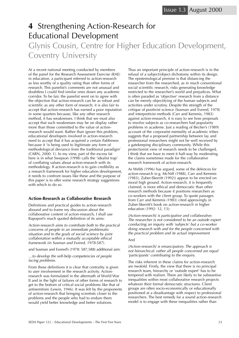### **4** Strengthening Action-Research for Educational Development Glynis Cousin, Centre for Higher Education Development, Coventry University

At a recent national meeting conducted by members of the panel for the Research Assessment Exercise (RAE) in education, a participant referred to action-research as less worthy of a quality rating than other forms of research. This panelist's comments are not unusual and doubtless I could find similar ones down any academic corridor. To be fair, the panelist went on to agree with the objection that action-research can be as robust and scientific as any other form of research; it is also fair to accept that action-research has earned a poor reputation in some quarters because, like any other research method, it has weaknesses. I think that we must also accept that such weaknesses may be on display rather more than those committed to the value of actionresearch would want. Rather than ignore this problem, educational developers involved in action-research need to accept that it has acquired a certain flabbiness because it 'is being used to legitimate any form of methodological deviance from the traditional paradigm' (CARN, 2000: 1). In my view, part of the excess fat here is in what Swepson (1998) calls the 'idealist trap' of conflating values about action-research with its methodology. If action-research is to gain credibility as a research framework for higher education development, it needs to confront issues like these and the purpose of this paper is to offer some research strategy suggestions with which to do so.

#### **Action-Research as Collaborative Research**

Definitions and practical guides to action-research abound and to frame my discussion about the collaborative content of action-research, I shall use Rapoport's much quoted definition of its aims:

Action-research aims to contribute both to the practical concerns of people in an immediate problematic situation and to the goals of social science by joint collaboration within a mutually acceptable ethical framework (in Susman and Evered, 1978:587).

and Susman and Evered's (1978: 587,588) additional aim:

#### …to develop the self-help competencies of people facing problems.

From these definitions it is clear that centrality is given to user involvement in the research activity. Actionresearch was formulated in the aftermath of World War II and in the light of failures of other forms of research to get to the bottom of critical social problems like that of antisemitism (Lewin, 1946). It was felt by the proponents of action-research that bringing scientists closer to the problems and the people who had to endure them would yield better knowledge and better solutions.

Thus an important principle of action-research is in the refusal of a subject/object dichotomy within its design. The epistemological premise is that distancing the researcher from the researched, as in much conventional social scientific research, risks generating knowledge restricted to the researcher's world and prejudices. What is often paraded as 'objective' research from a distance can be merely objectifying of the human subjects and activities under scrutiny. Despite the strength of the critique of positivist science (Susman and Evered, 1978) and interpretivist methods (Carr and Kemmis, 1983) against action-research, it is easy to see how proposals to involve subjects as co-researchers had popularity problems in academe. Just a reading of Becher's (1989) account of the corporatist mentality of academic tribes suggests that a proposed partnership between lay and professional researchers might not be well received by a gatekeeping disciplinary community. While this protectionist view of research needs to be challenged, I think that we have to meet it half-way by moderating the claims sometimes made for the collaborative research framework of action-research.

As Webb (1996) has argued, some of the defences for action-research (e.g. McNiff (1988), Carr and Kemmis (1983), Zuber-Skerritt (1992)) appear to be erected on moral high ground. Action-research, it is frequently claimed, is more ethical and democratic than other research methods because it positions researchers as co-workers with the client group. To quote passages from Carr and Kemmis (1983) cited approvingly in Zuber-Skerritt's book on action-research in higher education (1992: 12, 13):

[Action-research] is participative and collaborative. The researcher is not considered to be an outside expert conducting an inquiry with 'subjects' but a co-worker doing research with and for the people concerned with the practical problem and its actual improvement

#### And

#### [Action-research] is emancipatory. The approach is not hierarchical: rather all people concerned are equal 'participants' contributing to the enquiry.

The risks inherent in these claims for action-research are twofold. Firstly, the view that there is no principal research team, hierarchy or 'outside expert' has to be tempered with realism. There are likely to be substantive inequalities within most collaborative research projects whatever their formal democratic structures. Client groups are often socio-economically or educationally positioned at a disadvantage with respect to professional researchers. The best remedy for a sound action-research model is to engage with these inequalities rather than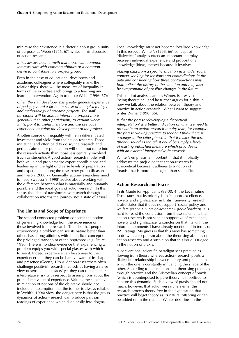minimise their existence in a rhetoric about group unity of purpose, as Webb (1966: 67) writes in his discussion of action-research:

It has always been a myth that those with common interests start with common abilities or a common desire to contribute to a project group.

Even in the case of educational developers and academic colleagues where collegiality marks the relationships, there will be measures of inequality in terms of the expertise each brings to a teaching and learning intervention. Again to quote Webb (1996: 67):

Often the staff developer has greater general experience of pedagogy and a far better sense of the epistemology and methodology of research projects. The staff developer will be able to interpret a project more generally than other participants, to explain where it fits, point to useful literature and use previous experience to guide the development of the project.

Another source of inequality will lie in differentiated investment and yield from the action-research. Those initiating (and often paid to do so) the research and perhaps aiming for publication will often put more into the research activity than those less centrally involved (such as students). A good action-research model will both value and problematise expert contributions and leadership in the light of diverse levels of preparation and experience among the researcher group (Reason and Heron, 2000:7). Generally, action-researchers need to heed Swepson's (1998) advice about working with the difference between what is materially and humanly possible and the ideal goals of action-research. In this sense, the ideal of transformative research through collaboration informs the journey, not a state of arrival.

#### **The Limits and Scope of Experience**

The second connected problem concerns the notion of generating knowledge from the experience of those involved in the research. The idea that people experiencing a problem can see its nature better than others has strong affinities with the radical concept of the privileged standpoint of the oppressed (e.g. Freire, 1990). There is no clear evidence that experiencing a problem equips you with special glasses with which to see it. Indeed experience can be so near to the experiencer that they can be barely aware of its shape and presence (Geertz, 1983). Action-researchers often challenge positivist research methods as having a naive view of sense data as 'facts' yet they can run a similar interpretative risk with respect to assumptions about the prima facie value of experience. Valuing the subjective in rejection of notions of the objective should not include an assumption that the former is always reliable. In Webb's (1996) view, the danger here is that the group dynamics of action-research can produce partisan readings of experience which slide easily into dogma.

Local knowledge must not become localised knowledge. In this respect, Winter's (1998: 66) concept of 'dialectical' analysis offers an important interplay between individual experience and propositional knowledge (ideas, theory) because it involves:

placing data from a specific situation in a wider social context, looking for tensions and contradictions in the data and considering how these contradictions may both reflect the history of the situation and may also be symptomatic of possible changes in the future.

This kind of analysis, argues Winter, is a way of 'being theoretical' and he further argues for a shift in how we talk about the relation between theory and practice in action-research. 'What I want to suggest' writes Winter (1998: 66):

is that the phrase 'developing a theoretical interpretation' is a better indication of what we need to do within an action-research inquiry than, for example, the phrase 'linking practice to theory' I think there is a danger in the latter phrase in that it makes the term 'theory' sound as though it could be simply a body of existing published literature which provides us with an external interpretative framework.

Winter's emphasis is important in that it implicitly addresses the prejudice that action-research is atheoretical because it adheres to a notion of 'praxis' that is more ideological than scientific.

#### **Action-Research and Praxis**

In its Guide for Applicants (99-00: 4) the Leverhulme Trust states that its priority is to 'support excellence, novelty and significance' in British university research; it also states that it does not support 'social policy and welfare (especially action-research)' (their brackets). It is hard to resist the conclusion from these statements that action-research is not seen as supportive of excellence, novelty and significance, a conclusion that fits with the informal comments I have already mentioned in terms of RAE ratings. My guess is that this view has something to do with a scepticism about the theorising abilities of action-research and a suspicion that this issue is fudged in the notion of praxis.

A conventional scientific paradigm sees practice as flowing from theory whereas action-research posits a dialectical relationship between theory and practice in which the one is constantly influencing the shape of the other. According to this relationship, theorising proceeds through practice and the Aristotelian concept of praxis (which is counterposed to pure theory) is mobilised to capture this dynamic. Such a view of praxis should not mean, however, that action-researchers enter the research process theory-free in the expectation that practice will beget theory as its natural offspring or can be added on in the manner Winter describes in the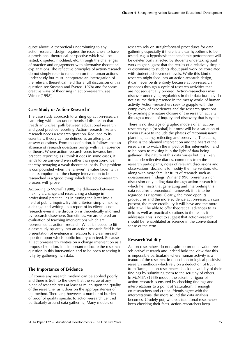quote above. A theoretical underpinning to any action-research design requires the researchers to have a provisional theoretical perspective which will be tested, disputed, modified, etc. through the challenges of practice and engagement with alternative theoretical explanations. The reflective principles of action-research do not simply refer to reflection on the human actions under study but must incorporate an interrogation of the relevant theoretical field (for a full discussion of this question see Susman and Evered (1978) and for some creative ways of theorising in action-research, see Winter (1998)).

#### **Case Study or Action-Research?**

The case study approach to writing up action-research can bring with it an under-theorised discussion that treads an unclear path between educational research and good practice reporting. Action-research like any research needs a research question. Reduced to its essentials, theory can be defined as an attempt to answer questions. From this definition, it follows that an absence of research questions brings with it an absence of theory. Where action-research veers towards best practice reporting, as I think it does in some cases, it tends to be answer-driven rather than question-driven, thereby betraying a weak theoretical basis. This problem is compounded when the 'answer' is value laden with the assumption that the change intervention to be researched is a 'good thing' which the action-research process will 'prove'.

According to McNiff (1988), the difference between making a change and researching a change in professional practice lies in turning the latter into a field of public inquiry. By this criterion simply making a change and writing up a report of its effects is not research even if the discussion is theoretically informed by research elsewhere. Sometimes, we are offered an evaluation of teaching interventions which are represented as action- research. What is needed to lift a case study squarely into an action-research field is the presentation of evidence in relation to a clear research question upon which public inquiry can feed. Because all action-research centres on a change intervention as a proposed solution, it is important to locate the research question in this intervention and to be open to testing it fully by gathering rich data.

#### **The Importance of Evidence**

Of course any research method can be applied poorly and there is truth to the view that the value of any piece of research rests at least as much upon the quality of the researcher as it does on the appropriateness of the method. There are, however, a number of burdens of proof of quality specific to action-research centred particularly around data gathering. Many models of

research rely on straightforward procedures for data gathering especially if there is a clear hypothesis to be tested, e.g. a hypothesis that academic performance will be deleteriously affected by students undertaking paid work might suggest that the results of a relatively simple questionnaire to students about paid work be correlated with student achievement levels. While this kind of research might feed into an action-research design, it can never be its entirety because action-research proceeds through a cycle of research activities that are not sequentially ordered. Action-researchers may discover underlying regularities in their data but they do not assume their presence in the messy world of human activity. Action-researchers seek to grapple with the complexity of experiences and the research questions by avoiding premature closure of the research activity through a model of inquiry and discovery that is cyclic.

There is no shortage of graphic models of an actionresearch cycle (or spiral) but most will be a variation of Lewin (1946) to include the phases of reconnaissance, planning, acting, reflecting and observing. The acting phase is the planned intervention and the heart of the research is to watch the impact of this intervention and to be open to revising it in the light of data being gathered. The nature of this data varies but it is likely to include reflective diaries, comments from the research participants, notes of relevant discussions and observations, decisions to modify the intervention, etc. along with more familiar fruits of research such as questionnaire findings. Winter (1998) presents a rich discussion on yielding data through action-research in which he insists that generating and interpreting this data requires a procedural framework if it is to be regarded as rigorous. Clearly, the more open its procedures and the more evidence action-research can present, the more credibility it will have and the more able it will be able to offer theoretical advances to its field as well as practical solutions to the issues it addresses. This is not to suggest that action-research should be rehabilitated as science in the conventional sense of the term.

#### **Research Validity**

Action-researchers do not aspire to produce value-free 'objective' research and indeed hold the view that this is impossible particularly where human activity is a feature of the research. In opposition to logical positivist research methods which rely on a deduction of truth from 'facts', action-researchers check the validity of their findings by submitting them to the scrutiny of others. In McNiff's (1988) model, the scientific rigour of action-research is ensured by checking findings and interpretations to a point of 'saturation'. If enough co-researchers and critical friends agree with the interpretations, the more sound the data analysis becomes. Crudely put, whereas traditional researchers keep checking their facts, action-researchers keep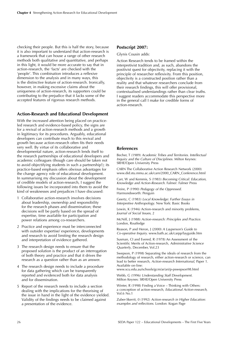checking their people. But this is half the story, because it is also important to understand that action-research is a framework that can house a range of other research methods both qualitative and quantitative, and perhaps in this light, it would be more accurate to say that in action-research, the 'facts' are checked with the 'people'. This combination introduces a reflexive dimension to the analysis and in many ways, this is the distinctive feature of action-research. Ironically, however, in making excessive claims about the uniqueness of action-research, its supporters could be contributing to the prejudice that it lacks some of the accepted features of rigorous research methods.

#### **Action-Research and Educational Development**

With the increased attention being placed on practiceled research and evidence-based policy, the signs are for a revival of action-research methods and a growth in legitimacy for its procedures. Arguably, educational developers can contribute much to this revival and growth because action-research often fits their needs very well. By virtue of its collaborative and developmental nature, action-research lends itself to the research partnerships of educational developers and academic colleagues (though care should be taken not to avoid objectifying students in such a partnership!); its practice-based emphasis offers obvious advantages for the change agency role of educational development. In summarising my discussion about the development of credible models of action-research, I suggest the following issues be incorporated into them to avoid the kind of weaknesses and prejudices I have discussed:

- 1 Collaborative action-research involves decisions about leadership, ownership and responsibility for the research phases and dissemination; these decisions will be partly based on the spread of expertise, time available for participation and power relations among co-researchers.
- 2 Practice and experience must be interconnected with outsider expertise/ experience, developments and research to avoid limiting the research design and interpretation of evidence gathered.
- 3 The research design needs to ensure that the proposed solution is the product of an interrogation of both theory and practice and that it drives the research as a question rather than as an answer.
- 4 The research design needs to include a procedure for data gathering which can be transparently reported and evidenced both for data analysis and for dissemination.
- 5 Report of the research needs to include a section dealing with the implications for the theorising of the issue in hand in the light of the evidence yielded. Validity of the findings needs to be claimed against a presentation of the evidence.

#### **Postscript 2007:**

#### Glynis Cousin adds:

Action Research tends to be framed within the interpretivist tradition and, as such, abandons the positivist quest for objectivity, replacing it with the principle of researcher reflexivity. From this position, objectivity is a constructed position rather than a reality and that whatever researchers conclude from their research findings, this will offer provisional, contextualised understandings rather than clear truths. I suggest readers accommodate this perspective more in the general call I make for credible forms of action-research.

#### **References**

Becher, T (1989) Academic Tribes and Territories. Intellectual Inquiry and the Culture of Disciplines. Milton Keynes: SRHE/Open University Press

CARN The Collaborative Action Research Network (2000) www.did.stu.mmu.ac.uk/carn/2000\_CARN\_Conference.html

Carr, W and Kemmis, S (1983) Becoming Critical: Education, Knowledge and Action-Research. Falmer: Falmer Press

Freire, P (1990) Pedagogy of the Oppressed. Harmondsworth: Penguin

Geertz, C (1983) Local Knowledge: Further Essays in Interpretive Anthropology. New York: Basic Books

Lewin, K (1946) Action-research and minority problems, Journal of Social Issues, 2

McNiff, J (1988) Action-research: Principles and Practice. London, Routledge

Reason, P and Heron, J (2000) A Layperson's Guide to Co-operative Inquiry. www.bath.ac.uk/carpp/layguide.htm

Susman, CI and Evered, R (1978) An Assessment of the Scientific Merits of Action-research, Administrative Science Quarterly, December, Vol.23

Swepson, P (1998) Separating the ideals of research from the methodology of research, either action-research or science, can lead to better research, Action-research International, Paper 1. Available on-line:

www.scu.edu.au/schools/gcm/ar/ari/p-pswepson98.html

Webb, G (1996) Understanding Staff Development. Milton Keynes: SRHE/Open University Press

Winter, R (1998) Finding a Voice – Thinking with Others: a conception of action-research, Educational Action-research, Vol.6 No.1

Zuber-Skerrit, 0 (1992) Action-research in Higher Education: examples and reflections. London: Kogan Page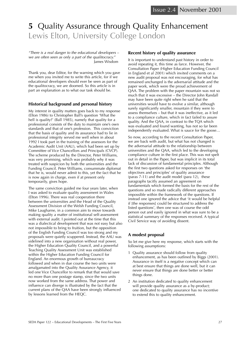### **5** Quality Assurance through Quality Enhancement Lewis Elton, University College London

"There is a real danger to the educational developers – we are often seen as only a part of the qualitocracy." James Wisdom

Thank you, dear Editor, for the warning which you gave me when you invited me to write this article, for if we educational developers should ever be seen as part of the qualitocracy, we are doomed. So this article is in part an explanation as to what our task should be.

#### **Historical background and personal history**

My interest in quality matters goes back to my response (Elton 1986) to Christopher Ball's question 'What the hell is quality?' (Ball 1985), namely that quality for a professional consists of the duty to maintain one's own standards and that of one's profession. This conviction that the basis of quality and its assurance had to lie in professional integrity served me well when in about 1992 I took part in the training of the assessors for the Academic Audit Unit (AAU), which had been set up by Committee of Vice Chancellors and Principals (CVCP). The scheme produced by the Director, Peter Williams, was very promising, which was probably why it was treated with suspicion by both the universities and the Funding Council. Peter Williams, consummate diplomat that he is, would never admit to this, yet the fact that he is now again in charge, even if at present only temporarily, gives hope.

The same conviction guided me four years later, when I was asked to evaluate quality assessment in Wales (Elton 1996). There was real cooperation there between the universities and the Head of the Quality Assessment Division of the Welsh Funding Council, Mike Laugharne, in a common aim to move towards making quality a matter of institutional self-assessment with external audit. I pointed out at the time that this was a dialectical development that was not easy but also not impossible to bring to fruition, but the opposition of the English Funding Council was too strong and my proposals were quietly scuppered. Instead, the AAU was sidelined into a new organisation without real power, the Higher Education Quality Council, and a powerful Teaching Quality Assessment Unit was established within the Higher Education Funding Council for England. An enormous growth of bureaucracy followed and when in due course the two units were amalgamated into the Quality Assurance Agency, it led one Vice Chancellor to remark that that would save no more than one postage stamp, since the two units now worked from the same address. That power and influence can diverge is illustrated by the fact that the current plans of the QAA have been strongly influenced by lessons learned from the HEQC.

#### **Recent history of quality assurance**

It is important to understand past history in order to avoid repeating it, this time as farce. However, the Consultation Paper (Higher Education Funding Council in England et al 2001) which invited comments on a new audit proposal was not encouraging, for what has remained unchanged is the adversarial attitude and the paper work, which were the proud achievement of QAA. The problem with the paper mountain was not so much that it was excessive – the Director John Randall may have been quite right when he said that the universities would have to evolve a similar, although surely significantly smaller, mountain if they were to assess themselves – but that it was ineffective, as it led to a compliance culture, which in fact failed to assure quality. And the QAA, in contrast to the TQA which was evaluated and found wanting, has not so far been independently evaluated. What is sauce for the goose…

So now, according to the recent Consultation Paper, we are back with audit, but what has not changed is the adversarial attitude to the relationship between universities and the QAA, which led to the developing compliance culture in the first place. This was not spelt out in detail in the Paper, but was implicit in its total lack of discussion of fundamental principles. Although the first two questions asked for responses on 'the objectives and principles' of quality assurance (paras 7-11) and the audit model (para 12), these paragraphs tacitly assumed an agreement on fundamentals which formed the basis for the rest of the questions and so made radically different approaches impossible within the framework of the questions. If instead one ignored the advice that 'it would be helpful if [the responses] could be structured to address the listed questions', then one was of course the odd person out and easily ignored in what was sure to be a statistical summary of the responses received. A typical Civil Service way of avoiding dissent.

#### **A modest proposal**

So let me give here my response, which starts with the following assumptions:

- 1 Quality assurance should follow from quality enhancement, as has been outlined by Biggs (2001). Assurance in itself is a negative concept which can at best ensure that things are done well, but it can never ensure that things are done better or better things done.
- 2 An institution dedicated to quality enhancement will provide quality assurance as a by-product; one dedicated to quality assurance has no incentive to extend this to quality enhancement.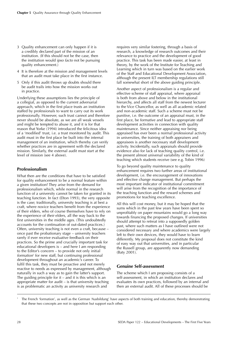- 3 Quality enhancement can only happen if it is a credibly declared part of the mission of an institution. (If this should not be the case, then the institution would ipso facto not be pursuing quality enhancement.)
- 4 It is therefore at the mission and management levels that an audit must take place in the first instance.
- 5 Only if this audit throws up doubts should there be audit trails into how the mission works out in practice.

Underlying these assumptions lies the principle of a collegial, as opposed to the current adversarial approach, which in the first place trusts an institution staffed by professionals to want to carry out its work professionally. However, such trust cannot and therefore never should be absolute, as we are all weak vessels and might be tempted to abuse it, and it is for that reason that Yorke (1994) introduced the felicitous idea of a 'modified' trust, i.e. a trust monitored by audit. This audit must in the first place be built into the internal management of an institution, which thereby can verify whether practices are in agreement with the declared mission. Similarly, the external audit must start at the level of mission (see 4 above).

#### **Professionalism**

What then are the conditions that have to be satisfied for quality enhancement to be a normal feature within a given institution? They arise from the demand for professionalism which, while normal in the research function of a university cannot be taken for granted in its teaching function. In fact (Elton 1993), the very opposite is the case; traditionally, university teaching is at best a craft, where novice teachers benefit from the experience of their elders, who of course themselves have to rely on the experience of their elders, all the way back to the first universities in the middle ages. (This undoubtedly accounts for the continuation of out-dated practices.) Often, university teaching is not even a craft, because – once past the probationary stage – university teachers rarely if ever receive evaluative feedback on their practices. So the prime and crucially important task for educational developers is – and here I am responding to the Editor's concern – to provide not only initial formation $1$  for new staff, but continuing professional development throughout an academic's career. To fulfil this task, they must be proactive and not merely reactive to needs as expressed by management, although naturally in such a way as to gain the latter's support. The guiding principle for  $it$  – and it is this which is an appropriate matter for audit – is that university teaching is as problematic an activity as university research and

requires very similar fostering, through a basis of research, a knowledge of research outcomes and their relevance to practice and the development of good practice. This task has been made easier, at least in theory, by the work of the Institute for Teaching and Learning which in turn was based on the earlier work of the Staff and Educational Development Association, although the present ILT membership regulations still fall somewhat short of the above guiding principle.

Another aspect of professionalism is a regular and effective scheme of staff appraisal, where appraisal is both from above and below in the institutional hierarchy, and affects all staff from the newest lecturer to the Vice Chancellor, as well as all academic related and non-academic staff. Such a scheme must not be punitive, i.e. the outcome of an appraisal must, in the first place, be formative and lead to appropriate staff development activities in connection with quality maintenance. Since neither appraising nor being appraised has ever been a normal professional activity in universities, the training of both appraisers and appraisees is another necessary staff development activity. Incidentally, such appraisals should provide evidence also for lack of teaching quality control, i.e. the present almost universal variability of the kind of teaching which students receive (see e.g. Tobin 1996)

To go beyond quality maintenance to quality enhancement requires two further areas of institutional development, i.e. the encouragement of innovations and effective change management. But perhaps the most important indicator of institutional commitment will arise from the recognition of the importance of the teaching function and the reward schemes and promotions for teaching excellence.

All this will cost money, but it may be hoped that the sums which in the past few years have been spent so unprofitably on paper mountains would go a long way towards financing the proposed changes. If universities should attempt to retreat into a supposedly golden past, where such matters as I have outlined were not considered necessary and where academics were largely left to their own devices, they would have to learn differently. My proposal does not constitute the kind of easy way out that universities, and in particular the Russell group, are apparently now demanding (Baty 2001).

#### **Genuine Self-assessment**

The scheme which I am proposing consists of a self-assessment, in which an institution declares and evaluates its own practices, followed by an internal and then an external audit. All of these processes should be

<sup>1</sup> The French 'formation', as well as the German 'Ausbildung' have aspects of both training and education, thereby demonstrating that these two concepts are not in opposition but support each other.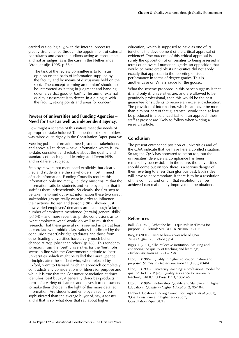carried out collegially, with the internal processes greatly strengthened through the appointment of external consultants and external auditors acting as consultants and not as judges, as is the case in the Netherlands (Vroeijenstijn 1995, p.58):

The task of the review committee is to form an opinion on the basis of information supplied by the faculty and by means of discussions held on the spot…The concept 'forming an opinion' should not be interpreted as 'sitting in judgment and handing down a verdict good or bad'… The aim of external quality assessment is to detect, in a dialogue with the faculty, strong points and areas for concern.

#### **Powers of universities and Funding Agencies – Need for trust as well as independent agency.**

How might a scheme of this nature meet the needs of appropriate stake holders? The question of stake holders was raised quite rightly in the Consultation Paper, para 9a:

Meeting public information needs, so that stakeholders – and above all students – have information which is upto-date, consistent and reliable about the quality and standards of teaching and learning at different HEIs and in different subjects.

Employers were not mentioned explicitly, but clearly they and students are the stakeholders most in need of such information. Funding Councils require this information only indirectly, i.e. they must ensure that the information satisfies students and employers, not that it satisfies them independently. So clearly, the first step to be taken is to find out what information these two direct stakeholder groups really want in order to influence their actions. Roizen and Jepson (1985) showed just how varied employers' demands are – although 'a large number of employers mentioned [certain] general skills' (p.154) – and more recent simplistic conclusions as to 'what employers want' would do well to revisit that research. That these general skills seemed in part at least to correlate with middle class values is indicated by the conclusion that 'Oxbridge graduates and those from other leading universities have a very much better chance at "top jobs" than others' (p.168). This tendency to recruit from the 'best' universities for the 'best' jobs seems in line with the Government's attitude to 'best' universities, which might be called the Laura Spence principle, after the student who, when rejected by Oxford, went to Harvard. Such an approach completely contradicts any considerations of fitness for purpose and while it is true that the Consumer Association at times identifies 'best buys', it generally describes products in terms of a variety of features and leaves it to consumers to make their choice in the light of this more detailed information. Are students and employers really less sophisticated than the average buyer of, say, a toaster, and if that is so, what does that say about higher

education, which is supposed to have as one of its functions the development of the critical appraisal of evidence? One outcome of this critical appraisal is surely the opposition of universities to being assessed in terms of an overall numerical grade, an opposition that would be more credible if universities did not apply exactly that approach to the reporting of student performance in terms of degree grades. This is another case of 'What's sauce for the goose…'

What the scheme proposed in this paper suggests is that if, and only if, universities are, and are allowed to be, genuinely professional, then this would be the best guarantee for students to receive an excellent education. The provision of information, which can never be more than a minor part of that guarantee, would then at least be produced in a balanced fashion, an approach their staff at present are likely to follow when writing a research article.

#### **Conclusion**

The present entrenched position of universities and of the QAA indicate that we have here a conflict situation. So far, the QAA has appeared to be on top, but the universities' defence via compliance has been remarkably successful. If in the future, the universities should come out on top, there is a serious danger of their reverting to a less than glorious past. Both sides will have to accommodate, if there is to be a resolution of this conflict, and only if that resolution can be achieved can real quality improvement be obtained.

#### **References**

Ball, C. (1985), 'What the hell is quality?' in 'Fitness for purpose', Guildford: SRHE/NFER-Nelson, 96-102.

Baty, P (2001), 'Dispute brews over role of QAA', Times Higher, 26 October, p.4.

Biggs, J. (2001), 'The reflective institution: Assuring and enhancing the quality of teaching and learning', Higher Education 41, 221 – 238.

Elton, L. (1986), 'Quality in higher education: nature and purpose'. Studies in Higher Education 11 (1986) 83-84.

Elton, L. (1993), 'University teaching: a professional model for quality'. In Ellis, R (ed) 'Quality assurance for university teaching', SRHE/OU Press 1993, 133-146.

Elton, L. (1996), 'Partnership, Quality and Standards in Higher Education'. Quality in Higher Education 2, 95-104.

Higher Education Funding Council for England et al (2001), 'Quality assurance in higher education', Consultation Paper 01/45.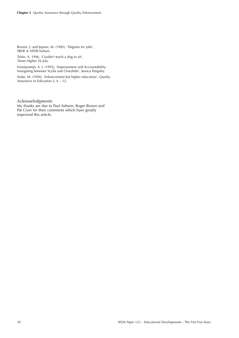Roizen, J. and Jepson, M. (1985), 'Degrees for jobs', SRHE & NFER-Nelson.

Tobin, A. 1996, 'Couldn't teach a dog to sit', Times Higher 26 July.

Vroeijenstijn, A. I. (1995), 'Improvement and Accountability: Navigating between Scylla and Charybdis', Jessica Kingsley.

Yorke, M. (1994), 'Enhancement-led higher education', Quality Assurance in Education 2, 6 – 12.

**Acknowledgments**

My thanks are due to Paul Ashwin, Roger Brown and Pat Cryer for their comments which have greatly improved this article.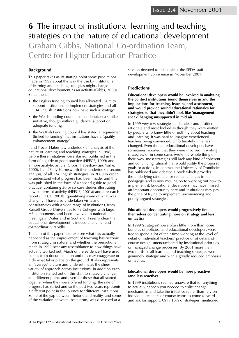### **6** The impact of institutional learning and teaching strategies on the nature of educational development Graham Gibbs, National Co-ordination Team, Centre for Higher Education Practice

#### **Background**

This paper takes as its starting point some predictions made in 1999 about the way the use by institutions of learning and teaching strategies might change educational development as an activity (Gibbs, 2000). Since then:

- the English funding council has allocated £50m to support institutions to implement strategies and all 134 English institutions now have such a strategy;
- the Welsh funding council has undertaken a similar initiative, though without guidance, support or adequate funding;
- the Scottish Funding council has stated a requirement (linked to funding) that institutions have a 'quality enhancement strategy'.

I and Trevor Habeshaw undertook an analysis of the nature of learning and teaching strategies in 1998, before these initiatives were started, published in the form of a guide to good practice (HEFCE, 1999) and a more analytic article (Gibbs, Habeshaw and Yorke, 2000). I and Sally Harmsworth then undertook a second analysis, of all 134 English strategies, in 2000 in order to understand what progress had been made, and this was published in the form of a second guide to good practice, containing 30 or so case studies illustrating new patterns of activity (HEFCE, 2001a) and a research report (HEFCE, 2001b) quantifying some of what was changing. I have also undertaken visits and consultancies with a wide range of institutions, from Russell Group Universities to FE Colleges with large HE components, and been involved in national meetings in Wales and in Scotland. I seems clear that educational development is indeed changing, and extraordinarily rapidly.

The aim of this paper is to explore what has actually happened as the improvement of teaching has become more strategic in nature, and whether the predictions made in 1999 bear any resemblance to how things have actually worked out. Much of the evidence I have used comes from documentation and this may exaggerate or hide what takes place on the ground. It also represents an 'average' picture and underestimates the sheer variety of approach across institutions. In addition each institution started out on this shift to strategic change at a different point, and even for those that all started together when they were offered funding, the rate of progress has varied and so the past two years represents a different point in the journey for different institutions. Some of the gap between rhetoric and reality, and some of the variation between institutions, was discussed at a

session devoted to this topic at the SEDA staff development conference in November 2001.

#### **Predictions**

**Educational developers would be involved in analysing the context institutions found themselves in and the implications for teaching, learning and assessment, and would provide sound educational rationales for strategies so that they didn't look like 'management speak' hanging unsupported in mid air.**

In 1999 very few strategies had a clear and justified rationale and most looked as though they were written by people who knew little or nothing about teaching and learning. It was hard to imagine experienced teachers being convinced. Unfortunately little has changed. Even though educational developers have sometimes reported that they were involved in writing strategies, or in some cases wrote the whole thing on their own, most strategies still lack any kind of coherent and convincing rational that would justify the proposed goals or actions. In contrast the University of Trondheim has published and debated a book which provides the underlying rationale for radical changes in their pedagogy, and is now moving on to working out how to implement it. Educational developers may have missed an important opportunity here and institutions may pay the price of trying to implement unconvincing and poorly argued strategies.

#### **Educational developers would progressively find themselves concentrating more on strategy and less on tactics**

In 1999 'strategies' were often little more than loose bundles of policies, and educational developers were free to spend a lot of their time working at the level of detail of individual teachers' practice or of details of course design, unencumbered by institutional priorities or managed change processes. By 2001 more than two thirds of all learning and teaching strategies were genuinely strategic and with a greatly reduced emphasis on tactics.

#### **Educational developers would be more proactive (and less reactive)**

In 1999 institutions seemed unaware that for anything to actually happen you needed to enlist change mechanisms and take the initiative rather than rely on individual teachers or course teams to come forward and ask for support. Only 10% of strategies mentioned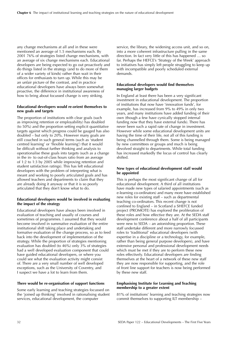any change mechanisms at all and in these were mentioned an average of 1.5 mechanisms each. By 2001 76% of strategies listed change mechanisms, with an average of six change mechanisms each. Educational developers are being expected to go out proactively and do things listed in the strategy (and to do more of them of a wider variety of kinds) rather than wait in their offices for enthusiasts to turn up. While this may be an unfair picture of the contrast, and in practice educational developers have always been somewhat proactive, the difference in institutional awareness of how to bring about focussed change is very striking.

#### **Educational developers would re-orient themselves to new goals and targets**

The proportion of institutions with clear goals (such as improving retention or employability) has doubled (to 50%) and the proportion setting explicit quantitative targets against which progress could be gauged has also doubled – but only to 20%. However many goals are still couched in such general terms (such as 'student centred learning' or 'flexible learning') that it would be difficult without further thinking and analysis to operationalise these goals into targets (such as a change in the in- to out-of-class hours ratio from an average of 1:2 to 1:3 by 2005 while improving retention and student satisfaction ratings). This has left educational developers with the problem of interpreting what is meant and working to poorly articulated goals and has allowed teachers and departments to claim that they are already doing it anyway or that it is so poorly articulated that they don't know what to do.

#### **Educational developers would be involved in evaluating the impact of the strategy**

Educational developers have always been involved in evaluation of teaching and usually of courses and sometimes of programmes. I assumed that they would become involved in summative evaluation of the entire institutional shift taking place and undertaking and formative evaluation of the change process, so as to feed back into the development of implementation of the strategy. While the proportion of strategies mentioning evaluation has doubled (to 46%) only 3% of strategies had a well developed evaluation component that could have guided educational developers, or where you could see what the evaluation activity might consist of. There are a very small number of well developed exceptions, such as the University of Coventry, and I suspect we have a lot to learn from them.

#### **There would be re-organisation of support functions**

Some early learning and teaching strategies focussed on the 'joined up thinking' involved in rationalising student services, educational development, the computer

service, the library, the widening access unit, and so on, into a more coherent infrastructure pulling in the same direction. In fact very little of this has happened … so far. Perhaps the HEFCE's 'Strategy of the Week' approach to initiatives has simply left people struggling to keep up with incompatible and poorly scheduled external demands.

#### **Educational developers would find themselves managing larger budgets**

In England at least there has been a very significant investment in educational development. The proportion of institutions that now have 'innovation funds', for example, has increased from 9% to 49% in only two years, and many institutions have added funding of their own (though a few have cynically stopped internal funding now that they have external funds). There has never been such a rapid rate of change in investment. However while some educational development units are having the time of their life, not all of this funding is being channelled through them. Some is being managed by new committees or groups and much is being devolved straight to departments. While total funding has increased markedly the locus of control has clearly shifted.

#### **New types of educational development staff would be appointed**

This is perhaps the most significant change of all for educational development. A third of all institutions have made new types of salaried appointments (such as e-learning co-ordinators) and many more have established new roles for existing staff – such as departmental teaching co-ordinators. This recent change is not confined to England – in Scotland a SHEFCE funded project (PROMOTE) has explored the proliferation of these roles and how effective they are. At the SEDA staff development conference about a half of all participants were new to SEDA – an astonishing proportion. These staff undertake different and more narrowly focussed roles to 'traditional' educational developers (with expertise in a discipline or a technology, for example, rather than being general purpose developers), and have extensive personal and professional development needs which must be met if they are to perform these new roles effectively. Educational developers are finding themselves at the heart of a network of these new staff they are now responsible for supporting, and the role of front line support for teachers is now being performed by these new staff.

#### **Emphasising Institute for Learning and Teaching membership to a greater extent**

81% of institutions' learning and teaching strategies now commit themselves to supporting ILT membership –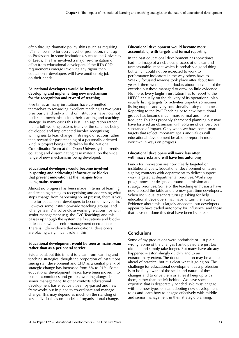often through dramatic policy shifts (such as requiring ILT membership for every level of promotion, right up to Professor). In some institutions, such as the University of Leeds, this has involved a major re-orientation of effort from educational developers. If the ILT's CPD requirements emerge involving any rigour then educational developers will have another big job on their hands.

#### **Educational developers would be involved in developing and implementing new mechanisms for the recognition and reward of teaching**

Five times as many institutions have committed themselves to rewarding excellent teaching as two years previously and only a third of institutions have now not built such mechanisms into their learning and teaching strategy. In many cases this is still an aspiration rather than a full working system. Many of the schemes being developed and implemented involve recognising willingness to lead change in strategic directions rather than reward for past teaching of a personally oriented kind. A project being undertaken by the National Co-ordination Team at the Open University is currently collating and disseminating case material on the wide range of new mechanisms being developed.

#### **Educational developers would become involved in spotting and addressing infrastructure blocks that prevent innovation at the margins from being mainstreamed**

Almost no progress has been made in terms of learning and teaching strategies recognising and addressing what stops change from happening so, at present, there is very little for educational developers to become involved in. However some institution-wide 'teaching groups' and 'change teams' involve close working relationships with senior management (e.g. the PVC Teaching) and this passes up though the system the frustrations and blocks of teachers which senior management need to tackle. There is little evidence that educational developers are playing a significant role in this.

#### **Educational development would be seen as mainstream rather than as a peripheral service**

Evidence about this is hard to glean from learning and teaching strategies, though the proportion of institutions seeing staff development and CPD as a central plank of strategic change has increased from 6% to 91%. Some educational development Heads have been moved into central committees and groups, working alongside senior management. In other contexts educational development has effectively been by-passed and new frameworks put in place to co-ordinate and manage change. This may depend as much on the standing of key individuals as on models of organisational change.

#### **Educational development would become more accountable, with targets and formal reporting**

In the past educational development has sometimes had the image of a nebulous process of unclear and unmeasurable impact which is probably a good thing but which could not be expected to work to performance indicators in the way others have to. Weakly focussed reviews took place after about five years if there were general doubts about the value of the exercise but these managed to draw on little evidence. No more. Every English institution has to report to the HEFCE annually on the delivery of its operational plan, usually listing targets for activities (inputs), sometimes listing outputs and very occasionally listing outcomes. Reporting to the PVC Teaching or to new institutional groups has become much more formal and more frequent. This has probably sharpened planning but may have fostered an obsession with volume of delivery over substance of impact. Only when we have some smart targets that reflect important goals and values will educational development be able to report in more worthwhile ways on progress.

#### **Educational developers will work less often with mavericks and will have less autonomy**

Funds for innovation are now clearly targeted on institutional goals. Educational development units are signing contracts with departments to deliver support work targeted at departmental priorities. Workshop programmes are designed around the mission and strategy priorities. Some of the teaching enthusiasts have now crossed the table and are now part time developers. When individual teachers turn up asking for help educational developers may have to turn them away. Evidence about this is largely anecdotal but developers appear to have traded autonomy for influence, and those that have not done this deal have been by-passed.

#### **Conclusions**

Some of my predictions were optimistic or just plain wrong. Some of the changes I anticipated are just too difficult and simply take longer. But many have already happened – astonishingly quickly and to an extraordinary extent. The documentation may be a little ahead of practice, but it is clear what is going on. The challenge for educational development as a profession is to be fully aware of the scale and nature of these changes and to drive them or at least keep up with them, rather than be left behind. We have special expertise that is desperately needed. We must engage with the new types of staff adopting new development roles and learn how to engage effectively with middle and senior management in their strategic planning.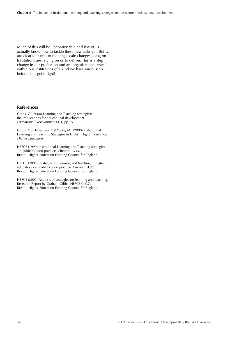Much of this will be uncomfortable and few of us actually know how to tackle these new tasks yet. But we are clearly crucial to the large scale changes going on. Institutions are relying on us to deliver. This is a step change in our profession and an 'organisational crack' within our institutions of a kind we have rarely seen before. Lets get it right!

#### **References**

Gibbs, G. (2000) Learning and Teaching Strategies: the implications for educational development Educational Developments 1,1, pp1-5.

Gibbs, G., Habeshaw, T. & Yorke, M. (2000) Institutional Learning and Teaching Strategies in English Higher Education. Higher Education

HEFCE (1999) Institutional Learning and Teaching Strategies – a guide to good practice. Circular 99/55. Bristol: Higher education Funding Council for England.

HEFCE (2001) Strategies for learning and teaching in higher education - a guide to good practice. Circular 01/37. Bristol: Higher Education Funding Council for England.

HEFCE (2001) Analysis of strategies for learning and teaching. Research Report by Graham Gibbs. HEFCE 01/37a. Bristol: Higher Education Funding Council for England.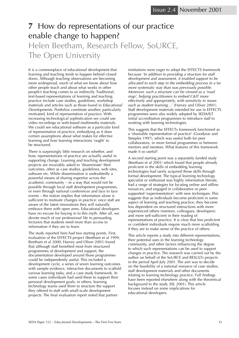### **7** How do representations of our practice enable change to happen? Helen Beetham, Research Fellow, SoURCE, The Open University

It is a commonplace of educational development that learning and teaching tends to happen behind closed doors. Although teaching observations are becoming more widespread, much of what we know about how other people teach and about what works in other people's teaching comes to us indirectly. Traditional, text-based representations of learning and teaching practice include case studies, guidelines, workshop materials and articles such as those found in Educational Developments. Portfolios constitute another, particularly motivated, kind of representation of practice. With increasing technological sophistication we could use video recordings or web-based multimedia materials. We could see educational software as a particular kind of representation of practice, embodying as it does certain assumptions about what makes for effective learning and how learning interactions 'ought' to be structured.

There is surprisingly little research on whether, and how, representations of practice are actually useful in supporting change. Learning and teaching development projects are invariably asked to 'disseminate' their outcomes, often as case studies, guidelines, web sites, software etc. While dissemination is undoubtedly a powerful means of sharing expertise across the academic community – in a way that would not be possible through local staff development programmes, or even through national conferences and face to face events – the notion implies that information alone is sufficient to motivate changes in practice: once staff are aware of the latest innovations they will naturally embrace them with open arms. Educational developers have no excuse for buying in to this myth. After all, we devote much of our professional life to persuading lecturers that students need more than access to information if they are to learn.

The study reported here had two starting points. First, evaluation of the EFFECTS project (Beetham et al 1999; Beetham et al 2000; Harvey and Oliver 2001) found that although staff benefited most from structured programmes of development and support, the documentation developed around those programmes could be independently useful. This included a development cycle, a series of seven learning outcomes with sample evidence, interactive documents to scaffold various learning tasks, and a case study framework. In some cases individuals had used these to support their personal development goals; in others, learning technology teams used them to structure the support they offered to staff with small-scale development projects. The final evaluation report noted that partner

institutions were eager to adopt the EFFECTS framework because 'In addition to providing a structure for staff development and assessment, it enabled support to be allocated to each step in the embedding process in a far more systematic way than was previously possible. Moreover, such a structure can be viewed as a 'road map', helping practitioners to embed C&IT more effectively and appropriately, with sensitivity to issues such as student learning…' (Harvey and Oliver 2001). Staff development materials intended for use in EFFECTS programmes were also widely adopted by SEDA/ILT initial accreditation programmes to introduce staff to working with learning technologies.

This suggests that the EFFECTs framework functioned as a 'shareable representation of practice' (Goodyear and Steeples 1997), which was useful both for peer collaborators, in more formal programmes or between mentors and mentees. What features of this framework made it so useful?

A second starting point was a separately funded study (Beetham et al 2001) which found that people already proficient in the skills of embedding learning technologies had rarely acquired those skills through formal development. The typical learning technology specialist or enthusiast was highly information literate, had a range of strategies for locating online and offline resources, and engaged in collaborative or peersupported 'experimentation' with new techniques. This suggests that as individuals become proficient in some aspect of learning and teaching practice, they become less dependent on structured interactions with more experienced others (mentors, colleagues, developers) and more self-sufficient in their reading of representations of practice. It is clear that less proficient or confident individuals require much more scaffolding if they are to make sense of the practice of others.

This article reports a study into different representations, their potential uses in the learning technology community, and other factors influencing the degree to which such representations can be used to support changes in practice. The research was carried out by the author on behalf of the SoURCE and RESULTs projects in the period April-July 2001. The aim was to decide on the feasibility of a national resource of case studies, staff development materials and other documents relating to learning technology practice. Full findings have been reported elsewhere along with the theoretical background to the study (ISL 2001). This article focuses instead on some implications for educational developers.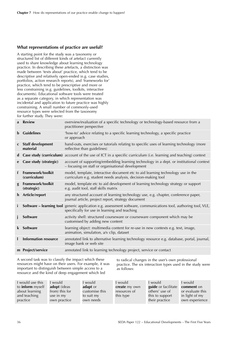#### **What representations of practice are useful?**

A starting point for the study was a taxonomy or structured list of different kinds of artefact currently used to share knowledge about learning technology practice. In describing these artefacts, a distinction was made between 'texts about' practice, which tend to be descriptive and relatively open-ended (e.g. case studies, portfolios, action research reports), and 'frameworks for' practice, which tend to be prescriptive and more or less constraining (e.g. guidelines, toolkits, interactive documents). Educational software tools were treated as a separate category, in which representation was incidental and application to future practice was highly constraining. A small number of commonly-used resource types were selected from the taxonomy for further study. They were:

| a            | <b>Review</b>                     | overview/evaluation of a specific technology or technology-based resource from a<br>practitioner perspective                                                             |
|--------------|-----------------------------------|--------------------------------------------------------------------------------------------------------------------------------------------------------------------------|
| $\mathbf b$  | <b>Guidelines</b>                 | 'how-to' advice relating to a specific learning technology, a specific practice<br>or approach                                                                           |
| $\mathbf{C}$ | Staff development<br>material     | hand-outs, exercises or tutorials relating to specific uses of learning technology (more<br>reflective than guidelines)                                                  |
| $\mathbf d$  |                                   | Case study (curriculum) account of the use of ICT in a specific curriculum (i.e. learning and teaching) context                                                          |
| e            | Case study (strategic)            | account of supporting/embedding learning technology in a dept. or institutional context<br>- focusing on staff or organisational development                             |
| f            | Framework/toolkit<br>(curriculum) | model, template, interactive document etc to aid learning technology use in the<br>curriculum e.g. student needs analysis, decision-making tool                          |
| g            | Framework/toolkit<br>(strategic)  | model, template etc to aid development of learning technology strategy or support<br>e.g. audit tool, staff skills matrix                                                |
| h.           | Article/report                    | any structured account of learning technology use, e.g. chapter, conference paper,<br>journal article, project report, strategy document                                 |
| Ť            |                                   | <b>Software – learning tool</b> generic application e.g. assessment software, communications tool, authoring tool, VLE,<br>specifically for use in learning and teaching |
|              | Software                          | activity shell: structured courseware or courseware component which may be<br>customised by adding new content                                                           |
|              | k Software                        | learning object: multimedia content for re-use in new contexts e.g. text, image,<br>animation, simulation, a/v clip, dataset                                             |
|              | <b>Information resource</b>       | annotated link to alternative learning technology resource e.g. database, portal, journal,<br>image bank or web site                                                     |
|              | m Project/service                 | annotated link to learning technology project, service or contact                                                                                                        |

A second task was to classify the impact which these resources might have on their users. For example, it was important to distinguish between simple access to a resource and the kind of deep engagement which led

to radical changes in the user's own professional practice. The six interaction types used in the study were as follows:

| I would use this<br>to <b>inform</b> myself<br>about learning<br>and teaching | L would<br><b>adopt</b> (ideas<br>from) this for<br>use in my | I would<br>adapt or<br>customise this<br>to suit my | I would<br>create my own<br>resources of<br>this type | I would<br><b>guide</b> or facilitate <b>comment</b> on<br>others' use of<br>this to support | I would<br>or evaluate this<br>in light of my |
|-------------------------------------------------------------------------------|---------------------------------------------------------------|-----------------------------------------------------|-------------------------------------------------------|----------------------------------------------------------------------------------------------|-----------------------------------------------|
| practice                                                                      | own practice                                                  | own needs                                           |                                                       | their practice                                                                               | own experience                                |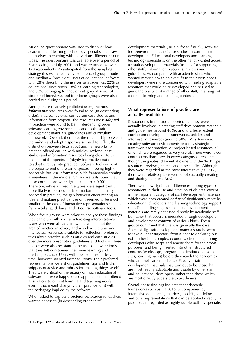An online questionnaire was used to discover how academic and learning technology specialist staff saw themselves interacting with the various different resource types. The questionnaire was available over a period of 6 weeks in June-July 2001, and was returned by over 120 respondents. As anticipated from the sampling strategy this was a relatively experienced group (mode and median = 'proficient' users of educational software), with 28% describing themselves as academics, 22% as educational developers, 18% as learning technologists, and 32% belonging to another category. A series of structured interviews and four focus groups were also carried out during this period.

Among these relatively proficient users, the most *informative* resources were found to be (in descending order): articles, reviews, curriculum case studies and information from projects. The resources most **adopted** in practice were found to be (in descending order): software learning environments and tools, staff development materials, guidelines and curriculum frameworks. Overall, therefore, the relationship between the inform and adopt responses seemed to reflect the distinction between texts about and frameworks for practice offered earlier, with articles, reviews, case studies and information resources being closer to the text end of the spectrum (highly informative but difficult to adopt directly into practice). Software tools were at the opposite end of the same spectrum, being highly adoptable but less informative, with frameworks coming somewhere in the middle. Chi square tests found that these correlations were significant at  $p < 0.001$ . Therefore, while all resource types were significantly more likely to be used for information than actually adopted in practice, the gap between encountering an idea and making practical use of it seemed to be much smaller in the case of interactive representations such as frameworks, guidelines, and of course software tools.

When focus groups were asked to analyse these findings they came up with several interesting interpretations. Users who were already knowledgeable about the area of practice involved, and who had the time and intellectual resources available for reflection, preferred texts about practice such as articles and case studies over the more prescriptive guidelines and toolkits. These people were also resistant to the use of software tools that they felt constrained their own learning and teaching practice. Users with less expertise or less time, however, wanted faster solutions. Their preferred representations were short guidelines, tips and tricks, snippets of advice and rubrics for 'making things work'. They were critical of the *quality* of much educational software but were happy to use applications that offered a 'solution' to current learning and teaching needs, even if that meant changing their practice to fit with the pedagogy implied by the software.

When asked to express a preference, academic teachers wanted access to (in descending order): staff

development materials (usually for self study), software tools/environments, and case studies in curriculum development. Educational developers and learning technology specialists, on the other hand, wanted access to: staff development materials (usually for supporting other staff), information resources, reviews and guidelines. As compared with academic staff, who wanted materials with an exact fit to their own needs, developers were more concerned with finding adaptable resources that could be re-developed and re-used to guide the practice of a range of other staff, in a range of different learning and teaching contexts.

## **What representations of practice are actually available?**

Respondents in the study reported that they were actually involved in creating staff development materials and guidelines (around 40%); and to a lesser extent curriculum development frameworks, articles and information resources (around 30%). Very few were creating software environments or tools, strategic frameworks for practice, or project-based resources, all of which were regarded as very useful. There were fewer contributors than users in every category of resource, though the greatest differential came with the 'text' type resources: reviews, articles and case studies. Although they were regarded as the most informative (ca. 90%) there were relatively far fewer people actually creating and sharing them (ca. 30%).

There were few significant differences among types of respondent in their use and creation of objects, except in the important category of staff development materials which were both created *and used* significantly more by educational developers and learning technology support staff. This finding suggests that staff development materials are rarely accessed directly by academic staff, but rather that access is mediated through developers and development contexts of various kinds. Focus groups confirmed that this was generally the case. Anecdotally, staff development materials rarely seem to take a linear trajectory from author to end-user, but exist rather in a complex economy, circulating among developers who adapt and amend them for their own purposes, and being inserted into other, structured contexts (workshops, programmes, institutional web sites, learning packs) before they reach the academics who are their target audience. Effective staff development materials may turn out to be those that are most readily adaptable and usable by other staff and educational developers, rather than those which are most directly accessible to academics.

Overall these findings indicate that adaptable frameworks such as EFFECTS, accompanied by interactive documents, matrices, toolkits, guidelines and other representations that can be applied directly in practice, are regarded as highly usable both by specialist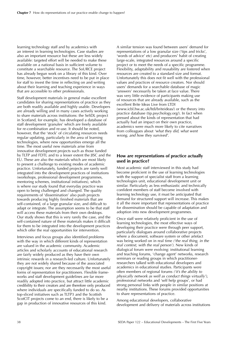learning technology staff and by academics with an interest in learning technologies. Case studies are also an important resource but these are less widely available: targeted effort will be needed to make these available on a national basis in sufficient volume to constitute a searchable resource. The SoURCE project has already begun work on a library of this kind. Over time, however, better incentives need to be put in place for staff to invest the time in reflecting on and writing about their learning and teaching experience in ways that are accessible to other professionals.

Staff development materials in general make excellent candidates for sharing representations of practice as they are both readily available and highly usable. Developers are already willing and in many cases actively working to share materials across institutions: the SeSDL project in Scotland, for example, has developed a database of staff development 'granules' which are freely available for re-combination and re-use. It should be noted, however, that the 'stock' of circulating resources needs regular updating, particularly in the area of learning technologies, where new opportunities emerge all the time. The most useful new materials arise from innovative development projects such as those funded by TLTP and FDTL and to a lesser extent the JISC and the EU. These are also the materials which are most likely to present a challenge to existing modes of academic practice. Unfortunately, funded projects are rarely well integrated into the development practices of institutions (workshops, professional development programmes, mentoring schemes, institutional initiatives), which is where our study found that everyday practice was open to being challenged and changed. The quality requirements of 'dissemination' also push projects towards producing highly finished materials that are self-contained, of a large granular size, and difficult to adapt or integrate. The assumption seems to be that staff will access these materials from their own desktops. Our study shows that this is very rarely the case, and the self-contained nature of these materials makes it difficult for them to be integrated into the development practices which offer the real opportunities for intervention.

Interviews and focus groups also identified problems with the way in which different kinds of representation are valued in the academic community. Academic articles and scholarly accounts of educational research are fairly widely produced as they have their own intrinsic rewards in a research-led culture. Unfortunately they are not widely shared because of the associated copyright issues; nor are they necessarily the most useful forms of representation for practitioners. Flexible frameworks and staff development guidelines are far more readily adopted into practice, but attract little academic credibility to their creators and are therefore only produced where individuals are specifically funded to do so. As top-sliced initiatives such as TLTP3 and the Scottish ScotCIT projects come to an end, there is likely to be a gap in production of innovative resources of this kind.

A similar tension was found between users' demand for representations of a low granular size ('tips and tricks', 'words of advice' etc) and producers' habit of creating large-scale, integrated resources around a specific project or to meet the needs of a specific programme. Flexibility, adaptability and reusability are fostered when resources are created to a standard size and format. Unfortunately this does not fit well with the professional values and practices of resource creators. Nor should users' demands for a searchable database of magic 'answers' necessarily be taken at face value. There was very little evidence of participants making use of resources that are already available, such as the excellent Brite Ideas Live from LTDI (www.icbl.hw.ac.uk/ltdi/briteideas/) or the theory into practice database (tip.psychology.org/). In fact when pressed about the kinds of representation that had actually had an impact on their own practice, academics were much more likely to cite narratives from colleagues about 'what they did, what went wrong, and how they survived'.

### **How are representations of practice actually used in practice?**

Most academic staff interviewed in this study had become proficient in the use of learning technologies with the support of specialist staff from a learning technologies unit, educational development unit or similar. Particularly as less enthusiastic and technically confident members of staff become involved with learning technology use, it must be anticipated that demand for structured support will increase. This makes it all the more important that representations of practice for dissemination should be capable of adaptation and adoption into new development programmes.

Once staff were relatively proficient in the use of learning technologies, the most effective ways of developing their practice were through peer support, particularly dialogues around collaborative projects where a document, software system or other artefact was being worked on in real time *('the real thing, in the* real context, with the real person'). New kinds of dialogical forum were evolving: institutional learning and teaching forums, 'change agent' networks, research seminars or reading groups in which practitionerresearchers talked with educational developers and academics in educational studies. Participants were often members of regional forums ('it's the ability to physically network as well as conduct things virtually'), professional networks and 'self help groups', or had strong personal links with people in similar positions at nearby institutions. These forums provided opportunities to share representations of practice.

Among educational developers, collaborative development and delivery of materials across institutions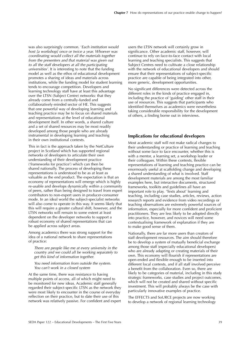was also surprisingly common. 'Each institution would host [a workshop] once or twice a year. Whoever was coordinating would collect all the materials together from the presenters and that material was given out to all the staff developers at all the participating universities'. It is interesting to note that the funding model as well as the ethos of educational development promotes a sharing of ideas and materials across institutions, while the funding model for student learning tends to encourage competition. Developers and learning technology staff have at least this advantage over the LTSN (Subject Centre) networks: that they already come from a centrally-funded and collaboratively-minded sector of HE. This suggests that one powerful way of developing learning and teaching practice may be to focus on shared materials and representations at the level of educational development itself. In other words, a shared culture and a set of shared resources may be most readily developed among those people who are already instrumental in developing learning and teaching in their own institutional contexts.

This in fact is the approach taken by the NetCulture project in Scotland which has supported regional networks of developers to articulate their own understanding of their development practice ('frameworks for practice') which can then be shared nationally. The process of developing these representations is understood to be as at least as valuable as the end product. The expectation is that an economy of representations will emerge which is highly re-usable and develops dynamically within a community of peers, rather than being designed to travel from expert contributors to non-expert users in producer-consumer mode. In an ideal world the subject-specialist networks will also come to operate in this way. It seems likely that this will require a greater cultural shift, however, and the LTSN networks will remain to some extent at least dependent on the developer networks to support a robust economy of shared representations that can be applied across subject areas.

Among academics there was strong support for the idea of a national network to share representations of practice:

There are people like me at every university in the country and we could all be working separately to get this kind of information together.

You need information from outside the system. You can't work in a closed system

At the same time, there was resistance to having multiple points of access, all of which might need to be monitored for new ideas. Academic staff generally regarded their subject-specific LTSN as the network they were most likely to encounter in the course of everyday reflection on their practice, but to date their use of this network was relatively passive. For confident and expert

users the LTSN network will certainly grow in significance. Other academic staff, however, will continue to rely on face-to-face contact with local learning and teaching specialists. This suggests that Subject Centres need to cultivate a close relationship with the network of educational developers and should ensure that their representations of subject-specific practice are capable of being integrated into other, more generic, development opportunities.

No significant differences were detected across the different roles in the kinds of practice engaged in, including the practice of 'guiding' other staff in their use of resources. This suggests that participants who identified themselves as academics were nevertheless taking considerable responsibility for the development of others, a finding borne out in interviews.

## **Implications for educational developers**

Most academic staff will not make radical changes to their understanding or practice of learning and teaching without some face to face encounter, whether this is with a mentor, a learning set, a workshop leader or their colleagues. Within these contexts, flexible representations of learning and teaching practice can be enormously useful at scaffolding change and developing a shared understanding of what is involved. Staff development materials are among the most familiar examples here, but interactive documents, structured frameworks, toolkits and guidelines all have an important role to play. 'Texts about' learning and teaching, including case studies, articles, reviews, action research reports and evidence from video recordings or teaching observations are extremely powerful sources of information, especially for more confident and proficient practitioners. They are less likely to be adopted directly into practice, however, and novices will need some contextualising framework of explanation if they are to make good sense of them.

Nationally, there are far more users than creators of staff development resources. The aim should therefore be to develop a system of mutually beneficial exchange among those staff (especially educational developers) who are already adapting or creating materials of their own. This economy will flourish if representations are open-ended and flexible enough to be inserted into different local contexts, and if all staff involved perceive a benefit from the collaboration. Even so, there are likely to be categories of material, including in this study strategic frameworks, case studies and project outcomes, which will not be created and shared without specific investment. This will probably always be the case with particularly innovative examples of practice.

The EFFECTS and SoURCE projects are now working to develop a network of regional learning technology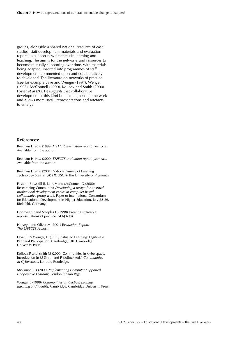groups, alongside a shared national resource of case studies, staff development materials and evaluation reports to support new practices in learning and teaching. The aim is for the networks and resources to become mutually supporting over time, with materials being adapted, inserted into programmes of staff development, commented upon and collaboratively re-developed. The literature on networks of practice [see for example Lave and Wenger (1991), Wenger (1998), McConnell (2000), Kollock and Smith (2000), Foster et al (2001)] suggests that collaborative development of this kind both strengthens the network and allows more useful representations and artefacts to emerge.

### **References:**

Beetham H et al (1999) EFFECTS evaluation report, year one. Available from the author.

Beetham H et al (2000) EFFECTS evaluation report, year two. Available from the author.

Beetham H et al (2001) National Survey of Learning Technology Staff in UK HE, JISC & The University of Plymouth

Foster J, Bowskill B, Lally V,and McConnell D (2000) Researching Community: Developing a design for a virtual professional development centre in computer-based collaborative group work, Paper to International Consortium for Educational Development in Higher Education, July 22-26, Bielefeld, Germany.

Goodyear P and Steeples C (1998) Creating shareable representations of practice, ALT-J 6 (3).

Harvey J and Oliver M (2001) Evaluation Report: The EFFECTS Project.

Lave, J., & Wenger, E. (1990). Situated Learning: Legitimate Periperal Participation. Cambridge, UK: Cambridge University Press.

Kollock P and Smith M (2000) Communities in Cyberspace, Introduction in M Smith and P Collock (eds) Communities in Cyberspace, London, Routledge.

McConnell D (2000) Implementing Computer Supported Cooperative Learning. London, Kogan Page.

Wenger E (1998) Communities of Practice: Leaning, meaning and identity. Cambridge, Cambridge University Press.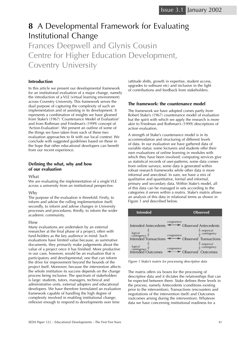# **8** A Developmental Framework for Evaluating Institutional Change Frances Deepwell and Glynis Cousin

Centre for Higher Education Development, Coventry University

# **Introduction**

In this article we present our developmental framework for an institutional evaluation of a major change, namely the introduction of a VLE (virtual learning environment) across Coventry University. This framework serves the dual purpose of capturing the complexity of such an implementation and of assisting in its development. It represents a combination of insights we have gleaned from Stake's (1967) 'Countenance Model of Evaluation' and from Rothman and Friedman's (1999) concept of 'Action-Evaluation'. We present an outline of some of the things we have taken from each of these two evaluation approaches to fit with our local context. We conclude with suggested guidelines based on these in the hope that other educational developers can benefit from our recent experience.

## **Defining the what, why and how of our evaluation**

**What**

We are evaluating the implementation of a single VLE across a university from an institutional perspective.

## **Why**

The purpose of the evaluation is threefold: Firstly, to inform and advise the rolling implementation itself; secondly, to inform and advise changes in University processes and procedures; thirdly, to inform the wider academic community.

### **How**

Many evaluations are undertaken by an external researcher at the final phase of a project, often with fund-holders as the key audience in mind. Such evaluations have limited value because, as summative documents, they primarily make judgements about the value of a project once it has finished. More productive in our case, however, would be an evaluation that is participatory and developmental; one that can inform the drive for improvement beyond the bounds of the project itself. Moreover, because the intervention affects the whole institution its success depends on the change process being inclusive. The spectrum of stakeholders is large: students, tutors, managers, technical and administrative units, external adopters and educational developers. We have therefore formulated an evaluation framework capable of handling the high degree of complexity involved in enabling institutional change; reflexive enough to respond to developments over time

(attitude shifts, growth in expertise, student access, upgrades to software etc) and inclusive in the light of contributions and feedback from stakeholders.

## **The framework: the countenance model**

The framework we have adopted comes partly from Robert Stake's (1967) countenance model of evaluation but the spirit with which we apply the research is more akin to Friedman and Rothman's (1999) descriptions of action evaluation.

A strength of Stake's countenance model is in its accommodation and structuring of different levels of data. In our evaluation we have gathered data of variable status: some lecturers and students offer their own evaluations of online learning in modules with which they have been involved; computing services give us statistical records of user-patterns; some data comes from online surveys; some data is generated within robust research frameworks while other data is more informal and anecdotal. In sum, we have a mix of qualitative and quantitative, formal and informal, primary and secondary data. Within Stake's model, all of this data can be managed in sets according to the categories it serves within a matrix. Stake's matrix allows an analysis of this data in relational terms as shown in Figure 1 and described below.

| <b>Intended</b>                                 | <b>Observed</b>                                                   |  |
|-------------------------------------------------|-------------------------------------------------------------------|--|
| <b>Intended Antecedents</b>                     | congruence<br><b>Observed Antecedents</b>                         |  |
| logical<br>contingency<br>Intended Transactions | empirical<br>contingency<br>congruence<br>← Observed Transactions |  |
| logical<br>contingency<br>Intended Outcomes     | empirical<br>contingency<br>congruence<br>Observed Outcomes       |  |

Figure 1 Stake's matrix for processing descriptive data

The matrix offers six boxes for the processing of descriptive data and it dictates the relationships that can be expected between them. Stake defines three levels in the process, namely Antecedents (conditions existing prior to the intervention), Transactions (encounters and negotiations of the intervention itself) and Outcomes (outcomes arising during the intervention). Whatever data we have concerning institutional readiness for a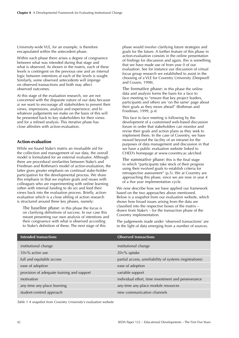University-wide VLE, for an example, is therefore encapsulated within the antecedent phase.

Within each phase there arises a degree of congruence between what was intended during that stage and what is observed. As shown in the matrix, each of these levels is contingent on the previous one and an internal logic between intentions at each of the levels is sought. Similarly, some observed antecedents will impinge on observed transactions and both may affect observed outcomes.

At this stage of the evaluation research, we are not concerned with the disparate nature of our data because a) we want to encourage all stakeholders to present their views, impressions, analysis and experience; and b) whatever judgements we make on the basis of this will be presented back to key stakeholders for their views and for a refined analysis. This iterative phase has close affinities with action-evaluation.

## **Action-evaluation**

While we found Stake's matrix an invaluable aid for the collection and management of our data, the overall model is formulated for an external evaluator. Although there are procedural similarities between Stake's and Friedman and Rothman's model of action-evaluation, the latter gives greater emphasis on continual stake-holder participation for the developmental process. We share this emphasis in that we explore goals and issues with colleagues who are experimenting with online learning (often with internal funding to do so) and feed their views back into the evaluation process. Briefly, actionevaluation which is a close sibling of action research is structured around three key phases, namely:

**The baseline phase**: in this phase the focus is on clarifying definitions of success. In our case this meant presenting our own analysis of intentions and their congruence with what is observed according to Stake's definition of these. The next stage of this

phase would involve clarifying future strategies and goals for the future. A further feature of this phase in action-evaluation consists in the online presentation of findings for discussion and again, this is something that we have made use of from year 0 of our evaluation. See for instance our discussion of virtual focus group research we established to assist in the choosing of a VLE for Coventry University (Deepwell and Cousin, 1998).

**The formative phase:** in this phase the online data and analysis forms the basis for a face to face meeting to "ensure that key project leaders, participants and others are 'on the same' page about their goals as they move ahead" (Rothman and Friedman, 1999, p.4)

This face to face meeting is following by the development of a customised web-based discussion forum in order that stakeholders can monitor and revise their goals and action plans as they seek to implement them. In the case of Coventry, we have moved beyond the facility of an intranet for the purposes of data management and discussion in that we have a public evaluation website linked to CHED's homepage at www.coventry.ac.uk/ched.

**The summative phase:** this is the final stage in which "participants take stock of their progress using their evolved goals to establish criteria for retrospective assessment" (p.5). We at Coventry are approaching this phase, since we are now in year 4 of a five year implementation cycle.

We now describe how we have applied our framework based on the two approaches above mentioned. Below is a snapshot from our evaluation website, which shows how broad issues arising from the data are classified into the respective boxes of the matrix – drawn from Stake's – for the transaction phase of the Coventry implementation.

The judgements made under 'observed transactions' are in the light of data emerging from a number of sources.

| <b>Intended transactions</b>               | <b>Observed transactions</b>                             |
|--------------------------------------------|----------------------------------------------------------|
| institutional change                       | institutional change                                     |
| $10+%$ active use                          | $20+%$ uptake                                            |
| full and equitable access                  | partial access, unreliability of systems (registrations) |
| ease of adoption                           | ease of adoption                                         |
| provision of adequate training and support | variable support                                         |
| motivation                                 | individual effort, time investment and perseverance      |
| any-time any-place learning                | any-time any-place module resources                      |
| student-centred approach                   | new communication channels                               |

Table 1 A snapshot from Coventry University's evaluation website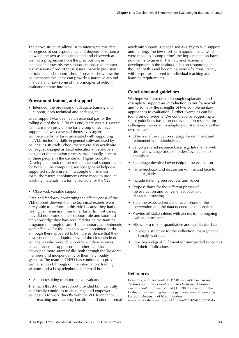The above structure allows us to interrogate this data for degrees of correspondence and degrees of variance between the two aspects (intended and observed) as well as a progression from the previous phase (antecedent) towards the subsequent phase (outcome). A discussion of one of these issues, namely provision for training and support, should serve to show how the countenance evaluator can provide a narrative around this data and how some of the principles of actionevaluation come into play.

## **Provision of training and support**

• Intended: the provision of adequate training and support, both technical and pedagogical

Local support was deemed an essential part of the rolling out of the VLE. To this end, there was a 10-week familiarisation programme for a group of technical support staff who assessed themselves against a competence list of tasks associated with supporting the VLE, including skills in general software used by colleagues. In each School there were also academic colleagues charged as local educational developers to support the adoption process. Additionally, a team of three people in the Centre for Higher Education Development took on the role of a central support team for WebCT. The computing services general helpdesk supported student users. In a couple of instances, extra, short-term appointments were made to produce teaching materials in a format suitable for the VLE.

• Observed: variable support

Data and feedback concerning the effectiveness of the VLE support showed that the technical experts were rarely able to perform in this role because they had not been given remission from other tasks. In most cases, they did not promote their support role and soon lost the knowledge they had acquired during the training programme through disuse. The temporary appointments were effective for the jobs they were appointed to do, although there appeared to be little evidence that they have encouraged adoption beyond the close circle of colleagues who were able to draw on their services. Local academic support on the other hand has developed more successfully, both through the Taskforce members and independently of them (e.g. buddy systems). The team in CHED has continued to provide central support through online information, training sessions and a busy telephone and email hotline.

• Action resulting from formative evaluation

The main thrust of the support provided both centrally and locally continues to encourage and empower colleagues to work directly with the VLE to enhance their teaching and learning. Localised and often informal

academic support is recognised as a key to VLE support and training. The few short-term appointments which were made to "pump prime" the implementation have now come to an end. The nature of academic development in the institution is also responding in the light of this and becoming more of a consultancy, with responses tailored to individual teaching and learning requirements.

## **Conclusion and guidelines**

We hope we have offered enough explanation and example to support an introduction to our framework and to some of the strengths of two complementary approaches to evaluation. Further examples can be found on our website. We conclude by suggesting a set of guidelines based on our evaluation research for colleagues interested in adapting our framework to their own context.

- Offer a draft evaluation strategy for comment and refinement with stakeholders
- Set up a shared resource base, e.g. Intranet or web site – allow range of stakeholders/ evaluators to contribute
- Encourage devolved ownership of the evaluation
- Invite feedback and discussion (online and face to face) regularly
- Include differing perspectives and voices
- Propose dates for the different phases of the evaluation and convene feedback and discussion meetings
- State the expected results of each phase of the intervention and the data needed to support them
- Provide all stakeholders with access to the ongoing evaluation research
- Allow for a mix of quantitative and qualitative data
- Develop a structure for the collection, management and analysis of data
- Look beyond goal fulfilment for unexpected outcomes and their implications.

### **References**

Cousin G, and Deepwell, F (1998) Virtual Focus Group Techniques in the Evaluation of an Electronic Learning Environment. In Oliver, M. (Ed.) ELT 98: Innovation in the Evaluation of Learning Technology Conference Proceedings, London: University of North London. www.corporate.coventry.ac.uk/content/1/c4/94/23/dc98.doc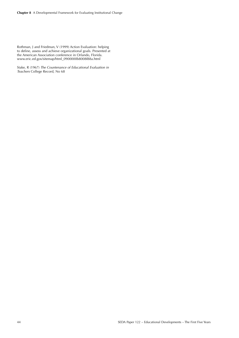Rothman, J and Friedman, V (1999) Action Evaluation: helping to define, assess and achieve organizational goals. Presented at the American Association conference in Orlando, Florida. www.eric.ed.gov/sitemap/html\_0900000b8008f88a.html

Stake, R (1967) The Countenance of Educational Evaluation in Teachers College Record, No 68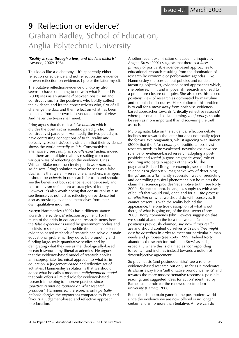# **9** Reflection or evidence? Graham Badley, School of Education, Anglia Polytechnic University

#### **'Reality is seen through a lens, and the lens distorts'** (Atwood, 2002: 106).

This looks like a dichotomy – it's apparently either reflection or evidence and not reflection and evidence or even reflection on evidence. I prefer the latter myself.

The putative reflection/evidence dichotomy also seems to have something to do with what Richard Pring (2000) sees as an apartheid between positivism and constructivism. It's the positivists who boldly collect the evidence and it's the constructivists who, first of all, challenge the data and then reflect on what has been collected from their own idiosyncratic points of view. And never the twain shall meet.

Pring argues that there is a *false dualism* which divides the positivist or scientific paradigm from the constructivist paradigm. Admittedly the two paradigms have contrasting conceptions of truth, reality and objectivity. Scientists/positivists claim that their evidence shows the world *actually as it is*. Constructivists alternatively see reality as socially-constructed, indeed that there are multiple realities resulting from our various ways of reflecting on the evidence. Or as William Blake more succinctly put it: as a man is, so he sees. Pring's solution to what he sees as a false dualism is that we all – researchers, teachers, managers – should be eclectic in our search for truth and should see the benefits of both science (evidence-based) and constructivism (reflection) as strategies of inquiry. However it's also worth noting that constructivists also see themselves not just as reflecting on evidence but also as providing evidence themselves from their own qualitative inquiries.

Martyn Hammersley (2002) has a different stance towards the evidence/reflection argument. For him much of the crisis in educational research stems from the false expectations raised by government bodies and positivist researchers who peddle the idea that scientific evidence-based methods of research can solve our main educational problems. They do so by promoting and funding large-scale quantitative studies and by denigrating what they see as the ideologically-based research favoured by liberal academics. He argues that the evidence-based model of research applies an inappropriate, technical approach to what is, in education, a judgement-based and reflective set of activities. Hammersley's solution is that we should adopt what he calls a moderate enlightenment model that only offers a limited role for evidence-based research in helping to improve practice since 'practice cannot be founded on what research produces'. Hammersley, therefore, is only partially eclectic (forgive the oxymoron) compared to Pring and favours a judgement-based and reflective approach to education.

Another recent examination of academic inquiry by Angela Brew (2001) suggests that there is a false primacy of positivist, evidence-based approaches to educational research resulting from the domination of research by economic or performative agendas. Like Hammersley she sees central policies and funders favouring objectivist, evidence-based approaches which, she believes, limit and impoverish research and lead to a premature closure of inquiry. She also sees this closed positivist view of research as dominated by masculine and colonialist discourses. Her solution to this problem is to call for a move away from positivist, evidencebased approaches towards 'critically reflective research' where personal and social learning, the journey, should be seen as more important than discovering the truth as such.

My pragmatic take on the evidence/reflection debate inclines me towards the latter but does not totally reject the former. We pragmatists, whilst agreeing with Barnett (2000) that the false certainty of traditional positivist research needs to be weakened, nevertheless now see science or evidence-based research adopting a postpositivist and useful (a good pragmatic word) role of inquiring into certain aspects of the world. The pragmatist Richard Rorty, for example, sees modern science as 'a gloriously imaginative way of describing things' and as a 'brilliantly successful' way of predicting and controlling physical phenomena but he rejects the claim that science provides 'redemptive truth' (see Rorty, 2000). Science cannot, he argues, supply us with a set of beliefs that would end, once and for all, the process of reflection on what we should do with ourselves. It cannot present us with the reality behind the appearance, the one true description of what is out there, of what is going on, of the final secret (Rorty, 2000). Rorty commends John Dewey's suggestion that we should abandon the idea that we can (as the positivists previously claimed) say how things really are and should content ourselves with how they might best be described in order to meet our particular human needs and purposes (see Rorty, 1999). Indeed Rorty abandons the search for truth (like Brew) as such, especially where this is claimed as 'corresponding to reality', and inclines instead towards a notion of 'intersubjective agreement'.

So pragmatists (and postmodernists?) see a role for evidence-based research but only so far as it moderates its claims away from 'authoritative pronouncements' and towards the more modest 'tentative responses, possible readings and suggested ideas for action' identified by Barnett as the role for the renewed postmodern university (Barnett, 2000).

Reflection is the main game in the postmodern world since the evidence we are now offered is no longer certain and is no more than tentative. All we can do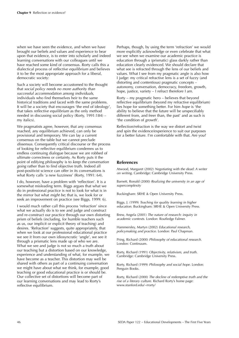when we have seen the evidence, and when we have brought our beliefs and values and experience to bear upon that evidence, is to enter into scholarly and indeed learning conversations with our colleagues until we have reached some kind of consensus. Rorty calls this a dialectical process of reflective equilibrium and believes it to be the most appropriate approach for a liberal, democratic society:

Such a society will become accustomed to the thought that social policy needs no more authority than successful accommodation among individuals, individuals who find themselves heir to the same historical traditions and faced with the same problems. It will be a society that encourages 'the end of ideology', that takes reflective equilibrium as the only method needed in discussing social policy (Rorty, 1991:184) – my italics).

We pragmatists agree, however, that any consensus reached, any equilibrium achieved, can only be provisional and temporary. We can lay a current consensus on the table but we cannot preclude dissensus. Consequently critical discourse or the process of looking for reflective equilibrium condemns us to endless continuing dialogue because we are robbed of ultimate correctness or certainty. As Rorty puts it the point of edifying philosophy is to keep the conversation going rather than to find objective truth. Indeed all post-positivist science can offer in its conversations is what Rorty calls 'a new fuzziness' (Rorty, 1991: 64).

I do, however, have a problem with 'reflection'. It is a somewhat misleading term. Biggs argues that what we do in professional practice is not to look for what is in the mirror but what might be; that is, we look for or seek an improvement on practice (see Biggs, 1999: 6).

I would much rather call this process 'refraction' since what we actually do is to see and judge and construct and re-construct our practice through our own distorting prism of beliefs (including, for humble teachers such as us, our implicit or explicit theory of teaching) and desires. 'Refraction' suggests, quite appropriately, that when we look at our professional educational practice we see it from our own idiosyncratic 'angle', we see it through a prismatic lens made up of who we are. What we see and judge is not so much a truth about our teaching but a distortion based on our knowledge, experience and understanding of what, for example, we have become as a teacher. This distortion may well be shared with others as part of a continuing conversation we might have about what we think, for example, good teaching or good educational practice is or should be. Our collective set of distortions will become part of our learning conversations and may lead to Rorty's reflective equilibrium.

Perhaps, though, by using the term 'refraction' we would more explicitly acknowledge or even celebrate that what we see when we examine our academic practice is education through a (prismatic) glass darkly rather than education clearly evidenced. We should declare that what see is refracted through the lens of our beliefs and values. What I see from my pragmatic angle is also how I judge: my critical refractive lens is a set of fuzzy (and distorting and contentious) pragmatic concepts – autonomy, conversation, democracy, freedom, growth, hope, justice, variety – I refract therefore I am.

Rorty – my pragmatic hero – believes that beyond reflective equilibrium (beyond my refractive equilibrium) lies hope for something better. For him hope is 'the ability to believe that the future will be unspecifiably different from, and freer than, the past' and as such is 'the condition of growth'.

Reflection/refraction is the way we distort and twist and spin the evidence/experience to suit our purposes for a better future. I'm comfortable with that. Are you?

#### **References**

Atwood, Margaret (2002) Negotiating with the dead: A writer on writing. Cambridge: Cambridge University Press.

Barnett, Ronald (2000) Realizing the university in an age of supercomplexity

Buckingham: SRHE & Open University Press.

Biggs, J. (1999) Teaching for quality learning in higher education. Buckingham: SRHE & Open University Press.

Brew, Angela (2001) The nature of research: inquiry in academic contexts. London: Routledge Falmer.

Hammersley, Martyn (2002) Educational research, policymaking and practice. London: Paul Chapman.

Pring, Richard (2000) Philosophy of educational research. London: Continuum.

Rorty, Richard (1991) Objectivity, relativism, and truth. Cambridge: Cambridge University Press.

Rorty, Richard (1999) Philosophy and social hope. London: Penguin Books.

Rorty, Richard (2000) The decline of redemptive truth and the rise of a literary culture. Richard Rorty's home page: www.stanford.edu/~rrorty/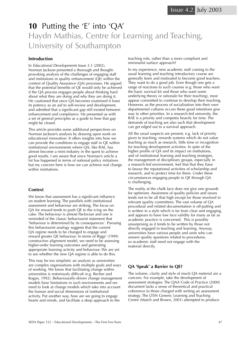# **10** Putting the 'E' into 'QA' Haydn Mathias, Centre for Learning and Teaching, University of Southampton

## **Introduction**

In Educational Developments Issue 3.1 (2002), Norman Jackson presented a thorough and thoughtprovoking analysis of the challenges of engaging staff and institutions in quality enhancement (QE) within the context of Quality Assurance (QA) processes. He argued that the potential benefits of QE would only be achieved if the QA process engages people about thinking hard about what they are doing and why they are doing it. He cautioned that once QA becomes routinised it loses its potency as an aid to self-review and development, and admitted that a significant gap still existed between enhancement and compliance. He presented us with a set of general principles as a guide to how that gap might be closed.

This article provides some additional perspectives on Norman Jackson's analysis by drawing upon work on educational innovation. It offers insights into how we can provide the conditions to engage staff in QE within institutional environments where QA, like RAE, has almost become a mini-industry in the quest to achieve good results. I am aware that since Norman's article a lot has happened in terms of national policy initiatives but my concern here is how we can achieve real change within institutions.

## **Context**

We know that assessment has a significant influence on student learning. The parallels with institutional assessment and behaviour are striking. The focus on QA for reward tends to push QE to the icing on the cake. The behaviour is almost Pavlovian and one is reminded of the classic behaviourist statement that 'behaviour is determined by its consequences'. Pursuing this behaviourist analogy suggests that the current QA regime needs to be changed to engage and reward greater QE behaviour. In terms of Biggs' (1999) constructive alignment model, we need to be assessing higher-order learning outcomes and generating appropriate learning activity and behaviour. We are yet to see whether the new QA regime is able to do this.

This may be too simplistic an analysis as universities are complex organisations with multiple goals and ways of working. We know that facilitating change within universities is notoriously difficult (e.g. Becher and Kogan, 1992). Behaviourally-driven change management models have limitations in such environments and we need to look at change models which take into account the human and social dimensions of institutional activity. Put another way, how are we going to engage hearts and minds, and facilitate a deep approach to the

teaching role, rather than a more compliant and minimalist surface approach?

In my experience, new academic staff coming to the usual learning and teaching introductory course are generally keen and motivated to become good teachers. They want to do a good job. Even though one gets a range of reactions to such courses (e.g. those who want the basic survival kit and those who want some underlying theory or rationale for their teaching), most appear committed to continue to develop their teaching. However, as the process of socialisation into their own departmental cultures occurs these good intentions give way to other priorities. In a research-led university, the RAE is a priority and competes heavily for time. The demands of teaching are also such that development can get edged out to a survival approach.

All the usual suspects are present, e.g. lack of priority given to teaching, rewards systems which do not value teaching as much as research, little time or recognition for teaching development activities. In spite of the higher profile of QA and its impact on institutions, and of institutional learning and teaching strategies, the management of disciplinary groups, especially in a research-led environment, feel that that they have to favour the reputational activities of scholarship and research, and to protect time for them. Under these circumstances engaging people in QE through QA is challenging.

The reality at the chalk face does not give one grounds for optimism. Awareness of quality policies and issues tends not to be all that high except for those involved in relevant quality committees. The vast volume of QA procedural and related documentation is off-putting and is written in a style which is far from clear and engaging, and appears to have low face validity for many as far as academic practice is concerned. This is possibly unsurprising as it tends to be written by those not directly engaged in teaching and learning. Anyway, universities have various people and units who can answer quality questions related to procedures, so academic staff need not engage with the material directly.

## **QA 'Speak' a Barrier to QE?**

The volume, clarity and style of much QA material are a concern. For example, take the development of assessment strategies. The QAA Code of Practice (2000) document lacks a sense of theoretical and practical coherence to those charged with writing an assessment strategy. The LTSN Generic Learning and Teaching Centre (Mutch and Brown, 2001) attempted to produce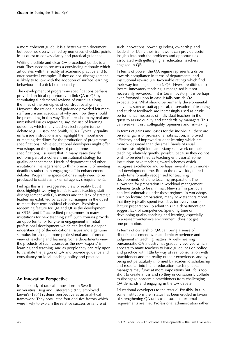a more coherent guide. It is a better written document but becomes overwhelmed by numerous checklist points in its quest to convey clarity and practical guidance.

Writing credible and clear QA procedural guides is a craft. They need to possess a convincing rationale which articulates with the reality of academic practice and to offer practical examples. If they do not, disengagement is likely to follow with the adoption of surface learning behaviour and a tick-box mentality.

The development of programme specifications perhaps provided an ideal opportunity to link QA to QE by stimulating fundamental reviews of curricula along the lines of the principles of constructive alignment. However, the rationale and guidance provided left many staff unsure and sceptical of why and how they should be proceeding in this way. There are also many real and unresolved issues regarding, say, the use of learning outcomes which many teachers feel require further debate (e.g. Hussey and Smith, 2002). Typically quality units issue instructions and highlight the importance of meeting deadlines for the production of programme specifications. While educational developers might offer workshops on the principles of programme specifications, I suspect that in many cases they do not form part of a coherent institutional strategy for quality enhancement. Heads of department and other institutional managers tend to think primarily of meeting deadlines rather than engaging staff in enhancement debates. Programme specifications simply need to be produced to satisfy an external agency's requirements.

Perhaps this is an exaggerated view of reality but it does highlight worrying trends towards teaching staff disengagement with QA matters and the lack of strategic leadership exhibited by academic mangers in the quest to meet short-term political objectives. Possibly a redeeming feature for QA and QE is the development of SEDA- and ILT-accredited programmes in many institutions for new teaching staff. Such courses provide an opportunity for long-term engagement in initial professional development which can lead to a deeper understanding of the educational issues and a genuine stimulus for taking a more professional and informed view of teaching and learning. Some departments view the products of such courses as the new 'experts' in learning and teaching, and as people they can rely upon to translate the jargon of QA and provide guidance and consultancy on local teaching policy and practice.

## **An Innovation Perspective**

In their study of radical innovations in Swedish universities, Berg and Ostergren (1977) employed Lewin's (1951) systems perspective as an analytical framework. They postulated four decisive factors which were likely to explain the relative success or failure of

such innovations: power, gain/loss, ownership and leadership. Using their framework can provide useful insights into both the problems and opportunities associated with getting higher education teachers engaged in QE.

In terms of power, the QA regime represents a driver towards compliance in terms of departmental and institutional reward (i.e. favourable ratings which find their way into league tables). QE drivers are difficult to locate. Innovatory teaching is recognised but not necessarily rewarded. If it is too innovatory, it is perhaps even frowned upon in case it falls outside QA expectations. What should be primarily developmental activities, such as staff appraisal, observation of teaching and student feedback, are increasingly used as crude performance measures of individual teachers in the quest to assure quality and standards by managers. This can weaken trust, collegiality, openness and risk-taking.

In terms of gains and losses for the individual, there are personal gains of professional satisfaction, improved efficiency and improved student learning which are more widespread than the small bands of usual enthusiasts might indicate. Many staff work on their teaching relatively quietly, possibly because they do not wish to be identified as teaching enthusiasts! Some institutions have teaching award schemes which recognise excellence and perhaps reward it with money and development time. But on the downside, there is rarely time formally recognised for teaching development, let alone teaching preparation. The allowance for preparation in workload management schemes tends to be minimal. New staff in particular can feel vulnerable under these regimes. In workshops I run on lecture preparation, many new teachers report that they typically spend two days for every hour of lecture preparation. To admit this in a department can suggest lack of competence. Spending time on developing quality teaching and learning, especially in a research-intensive environment, does not get one promotion.

In terms of ownership, QA can bring a sense of disenfranchisement over academic experience and judgement in teaching matters. A well-meaning bureaucratic QA industry has gradually evolved which appears to many teachers to issue guidelines on policy and practice with little by way of real consultation with practitioners and the reality of their experience, and by being not particularly informed by academic scholarship and research into higher education teaching. Local managers may fume at more impositions but life is too short to create a fuss and so they unconsciously collude to disengage academic practitioners from challenging QA demands and engaging in the QA debate.

Educational developers to the rescue? Possibly, but in some institutions their status has been eroded in favour of strengthening QA units to ensure that external requirements are met. Professional administrators rather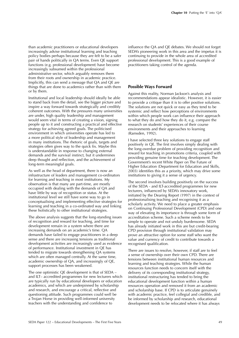than academic practitioners or educational developers increasingly advise institutional learning and teaching policy bodies perhaps because they are felt to be a safer pair of hands politically in QA terms. Even QE support functions (e.g. professional development) have become increasingly subsumed within the professional administrative sector, which arguably removes them from their roots and ownership in academic practice. Implicitly, this can send a message that QA and QE are things that are done to academics rather than with them or by them.

Institutional and local leadership should ideally be able to stand back from the detail, see the bigger picture and inspire a way forward towards strategically and credibly coherent outcomes. With the pressures many universities are under, high quality leadership and management would seem vital in terms of creating a vision, signing people up to it and constructing a practical and effective strategy for achieving agreed goals. The politicised environment in which universities operate has led to a more political style of leadership and management in many institutions. The rhetoric of goals, targets and strategies often gives way to the quick fix. Maybe this is understandable in response to changing external demands and the survival instinct, but it undermines deep thought and reflection, and the achievement of long-term meaningful goals.

As well as the head of department, there is now an infrastructure of leaders and management co-ordinators for learning and teaching in most institutions. My observation is that many are part-time, are mostly occupied with dealing with the demands of QA and have little by way of recognition or status. At the institutional level we still have some way to go in conceptualising and implementing effective strategies for learning and teaching in a co-ordinated way and linking these holistically to other institutional strategies.

The above analysis suggests that the long-standing issues of recognition and reward for teaching, and time for development remain in a system where there are increasing demands on an academic's time. QA demands have failed to engage practitioners in a deep sense and there are increasing tensions as traditional development activities are increasingly used as evidence of performance. Institutional investment in QE has tended to migrate towards strengthening QA systems which are often managed centrally. At the same time, academic ownership of QA, and increasingly of QE, support processes has been weakened.

The one optimistic QE development is that of SEDA – and ILT– accredited programmes for new lecturers which are typically run by educational developers or education academics, and which are underpinned by scholarship and research, and encourage a critical, reflective and questioning attitude. Such programmes could well be a Trojan Horse in providing well-informed university teachers with the understanding and confidence to

influence the QA and QE debates. We should not forget SEDA's pioneering work in this area and the impetus it is continuing to provide in the whole area of accredited professional development. This is a good example of practitioners taking control of the agenda.

#### **Possible Ways Forward**

Against this reality, Norman Jackson's analysis and recommendations appear idealistic. However, it is easier to provide a critique than it is to offer positive solutions. The solutions are not quick or easy as they tend to be systemic and reflect how perceptions of environments within which people work can influence their approach to what they do and how they do it, e.g. compare the research on students' experiences of their course environments and their approaches to learning (Ramsden, 1992).

I have selected three key solutions to engage staff positively in QE. The first involves simply dealing with the long-overdue problem of providing recognition and reward for teaching in promotions criteria, coupled with providing genuine time for teaching development. The Government's recent White Paper on The Future of Higher Education (Department for Education and Skills, 2003) identifies this as a priority, which may drive some institutions to giving it a sense of urgency.

The second involves building positively on the success of the SEDA - and ILT-accredited programmes for new lecturers, influenced by SEDA's innovatory work, initiated by the Dearing Report (1997) in the context of professionalising teaching and recognising it as a scholarly activity. We need to place a greater emphasis on Continuing Professional Development (CPD) and one way of elevating its importance is through some form of accreditation scheme. Such a scheme needs to be simple to operate and not unduly burdensome. SEDA has already initiated work in this are but credit-bearing CPD provision through institutional validation may prove an attractive option for some staff who want the value and currency of credit to contribute towards a recognised qualification.

There are issues to resolve, however, if staff are to feel a sense of ownership over their own CPD. There are tensions between institutional human resources and learning and teaching strategies. While the human resources function needs to concern itself with the delivery of its corresponding institutional strategy, institutional restructuring has tended to bring the educational development function within a human resources operation and removed it from an academic and scholarship base. If CPD is to articulate genuinely with academic practice, feel collegial and credible, and be informed by scholarship and research, educational development needs to be relocated where it has always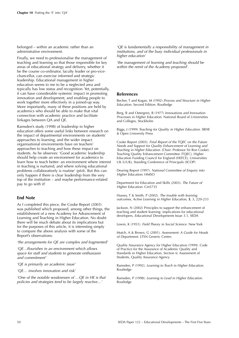belonged – within an academic rather than an administrative environment.

Finally, we need to professionalise the management of teaching and learning so that those responsible for key areas of educational strategy and delivery, whether it be the course co-ordinator, faculty leader or pro-vicechancellor, can exercise informed and strategic leadership. Educational management in higher education seems to me to be a neglected area and typically has low status and recognition. Yet, potentially, it can have considerable systemic impact in promoting innovation and development, and enabling people to work together more effectively in a joined-up way. More importantly, many of these positions are held by academics who should be able to make that vital connection with academic practice and facilitate linkages between QA and QE.

Ramsden's study (1998) of leadership in higher education offers some useful links between research on the impact of departmental environments on students' approaches to learning, and the wider impact organisational environments have on teachers' approaches to teaching and how these impact on students. As he observes: 'Good academic leadership should help create an environment for academics to learn how to teach better: an environment where interest in teaching is nurtured, and where solving educational problems collaboratively is routine' (p64). But this can only happen if there is clear leadership from the very top of the institution – and maybe performance-related pay to go with it!

## **End Note**

As I completed this piece, the Cooke Report (2003) was published which proposed, among other things, the establishment of a new Academy for Advancement of Learning and Teaching in Higher Education. No doubt there will be much debate about its implications but for the purposes of this article, it is interesting simply to compare the above analysis with some of the Report's observations:

'the arrangements for QE are complex and fragmented'

'QE…flourishes in an environment which allows space for staff and students to generate enthusiasm and commitment'

'QE is primarily an academic issue'

'QE… involves innovation and risk'

'One of the notable weaknesses of …QE in HE is that policies and strategies tend to be largely reactive…'

'QE is fundamentally a responsibility of management in institutions, and of the busy individual professionals in higher education'

'the management of learning and teaching should be within the remit of the Academy proposed'.

#### **References**

Becher, T and Kogan, M (1992) Process and Structure in Higher Education. Second Edition. Routledge

Berg, B and Ostergren, B (1977) Innovations and Innovation Processes in Higher Education. National Board of Universities and Colleges, Stockholm

Biggs, J (1999) Teaching for Quality in Higher Education. SRHE & Open University Press

Cooke Report (2003). Final Report of the TQEC on the Future Needs and Support for Quality Enhancement of Learning and Teaching in Higher Education. (Chair: Professor Sir Ron Cooke). Teaching Quality Enhancement Committee (TQEC), Higher Education Funding Council for England (HEFCE), Universities UK (UUK), Standing Conference of Principals (SCOP)

Dearing Report (1997). National Committee of Enquiry into Higher Education. HMSO

Department for Education and Skills (2003). The Future of Higher Education. Cm5735

Hussey, T & Smith, P (2002). The trouble with learning outcomes, Active Learning in Higher Education, **3**, 3, 220-233

Jackson, N (2002) Principles to support the enhancement of teaching and student learning: implications for educational developers, Educational Developments Issue 3.1, SEDA

Lewin, K (1951). Field Theory in Social Science. New York

Mutch, A & Brown, G (2001). Assessment: A Guide for Heads of Department. LTSN Generic Centre.

Quality Assurance Agency for Higher Education (1999). Code of Practice for the Assurance of Academic Quality and Standards in Higher Education, Section 6: Assessment of Students, Quality Assurance Agency

Ramsden, P (1992). Learning to Teach in Higher Education. Routledge

Ramsden, P (1998). Learning to Lead in Higher Education. Routledge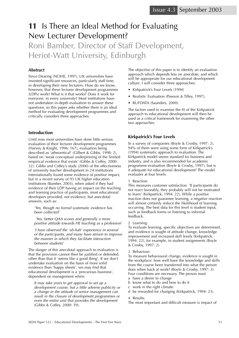# **11** Is There an Ideal Method for Evaluating New Lecturer Development? Roni Bamber, Director of Staff Development, Heriot-Watt University, Edinburgh

## **Abstract**

Since Dearing (NCIHE, 1997), UK universities have invested significant resources, particularly staff time, in developing their new lecturers. How do we know, however, that these lecturer development programmes (LDPs) work? What is it that works? Does it work for everyone, in every university? Most institutions have not undertaken in-depth evaluation to answer these questions, so this paper asks whether there is an ideal method for evaluating development programmes and critically considers three approaches.

### **Introduction**

Until now most universities have done little serious evaluation of their lecturer development programmes (Harvey & Knight, 1996: 167), evaluation being described as 'atheoretical' (Gilbert & Gibbs, 1998: 2), based on 'weak conceptual underpinning of the limited empirical evidence that exists' (Gibbs & Coffey, 2000: 32). Gibbs and Coffey's study (2000) of the effectiveness of university teacher development in 24 institutions internationally found some evidence of positive impact, but in a recent survey of 93 UK higher education institutions (Bamber, 2003), when asked if they had evidence of their LDP having an impact on the teaching and learning practice of participants, most educational developers provided, not evidence, but anecdotal answers, such as:

'Yes, though no formal systematic evidence has been collected'

'Yes, better QAA scores and generally a more positive attitude towards HE teaching as a profession'

'I have observed the 'ah-hah' experience in several of the participants, and many have striven to improve the manner in which they facilitate interaction between students'

The danger of this anecdotal approach to evaluation is that the provision cannot then be justified or defended, other than that it 'seems like a good thing'. If we don't undertake evaluation on the basis of more solid evidence than 'happy sheets', we may find that educational development is a 'precarious business', dependent on management whim:

It may take years to get approval to set up a development course, but a little adverse publicity or a change in the attitude of senior management can result in the closure of development programmes or even the entire unit that provides the development (Gibbs & Coffey, 2000: 39).

The objective of this paper is to identify an evaluation approach which depends less on anecdote, and which will be appropriate for our educational development culture. I will consider three approaches:

- Kirkpatrick's Four Levels (1994)
- Realistic Evaluation (Pawson & Tilley, 1997),
- RUFDATA (Saunders, 2000).

The factors used to examine the fit of the Kirkpatrick approach to educational development will then be used as a critical framework for examining the other two approaches.

## **Kirkpatrick's Four Levels**

In a survey of companies (Boyle & Crosby, 1997: 2), 94% of them were using some form of Kirkpatrick's (1994) systematic approach to evaluation. The Kirkpatrick model seems standard for business and industry, and is also recommended for academic programme evaluation (Boyle & Crosby, 1997), but is it adequate for educational development? The model evaluates at four levels:

1 Reaction:

This measures customer satisfaction. 'If participants do not react favorably, they probably will not be motivated to learn' (Kirkpatrick, 1994: 22). While a positive reaction does not guarantee learning, a negative reaction will almost certainly reduce the likelihood of learning occurring. The best data for this level is student input, such as feedback forms or listening to informal feedback.

2 Learning:

To evaluate learning, specific objectives are determined, and evidence is sought of attitude change, knowledge improvement and increased skill levels (Kirkpatrick, 1994: 22), for example, in student assignments (Boyle & Crosby, 1997: 2).

3 Behaviour:

To measure behavioural change, evidence is sought in the workplace: how well have the knowledge and skills from the course been transferred into what the person does when back at work? (Boyle & Crosby, 1997: 3) Four conditions are necessary. The person must

- a have a desire to change
- b know what to do and how to do it
- c work in the right climate
- d be rewarded for changing (Kirkpatrick, 1994: 23).

#### 4 Results:

The most important and difficult measure is impact of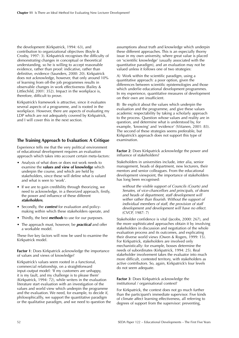the development (Kirkpatrick, 1994: 63), and contribution to organizational objectives (Boyle & Crosby, 1997: 3). Kirkpatrick recognises the difficulty of demonstrating changes in conceptual or theoretical understanding, so he is willing to accept reasonable evidence, rather than proof: indicative, rather than definitive, evidence (Saunders, 2000: 20). Kirkpatrick does not acknowledge, however, that only around 10% of learning from off-the job programmes results in observable changes in work effectiveness (Bailey & Littlechild, 2001: 352). Impact in the workplace is, therefore, difficult to prove.

Kirkpatrick's framework is attractive, since it evaluates several aspects of a programme, and is rooted in the workplace. However, there are aspects of evaluating my LDP which are not adequately covered by Kirkpatrick, and I will cover this in the next section.

## **The Training Approach to Evaluation: A Critique**

Experience tells me that the very political environment of educational development requires an evaluation approach which takes into account certain meta-factors:

- Analysis of what does or does not work needs to examine the **values and view of knowledge** which underpin the course, and which are held by stakeholders, since these will define what is valued and what is seen to 'work'.
- If we are to gain credibility through theorizing, we need to acknowledge, in a theorized approach, firstly, the power and influence of these different **stakeholders**,
- Secondly, the **context** for evaluation and policymaking within which these stakeholders operate, and
- Thirdly, the best **methods** to use for our purposes.
- The approach must, however, be **practical** and offer a workable model.

These five key factors will now be used to examine the Kirkpatrick model.

**Factor 1:** Does Kirkpatrick acknowledge the importance of values and views of knowledge?

Kirkpatrick's values seem rooted in a functional, commercial relationship, on a straightforward input–output model: 'If my customers are unhappy, it is my fault, and my challenge is to please them' (Kirkpatrick, 1994: 72), while writers in the evaluation literature start evaluation with an investigation of the values and world view which underpin the programme and the evaluation. We need, for example, to decide if, philosophicallly, we support the quantitative paradigm or the qualitative paradigm, and we need to question the

assumptions about truth and knowledge which underpin these different approaches. This is an especially thorny issue in my own university, where great value is placed on 'scientific knowledge' (usually associated with the quantitative paradigm), and an evaluation may not be valued unless it follows one of two strategies:

A) Work within the scientific paradigm, using a quantitative approach: a poor option, given the differences between scientific epistemologies and those which underlie educational development programmes. In my experience, quantitative measures of development on their own are insufficient.

B) Be explicit about the values which underpin the evaluation and the programme, and give these values academic respectability by taking a scholarly approach to the process. Question whose values and reality are in question, and determine what is understood by, for example, 'knowing' and 'evidence' (Viitanen, 2001: 83). The second of these strategies seems preferable, but Kirkpatrick's approach does not support this type of examination.

**Factor 2**: Does Kirkpatrick acknowledge the power and influence of stakeholders?

Stakeholders in universities include, inter alia, senior management, heads of department, new lecturers, their mentors and senior colleagues. From the educational development viewpoint, the importance of stakeholders has long been recognised:

without the visible support of Councils (Courts) and Senates, of vice-chancellors and principals, of deans and heads of department, staff development will wither rather than flourish. Without the support of individual members of staff, the provision of staff development and development will have no effect. (CVCP, 1987: 7)

Stakeholder confidence is vital (Jacobs, 2000: 267), and the more sophisticated approaches obtain it by involving stakeholders in discussion and negotiation of the whole evaluation process and its outcomes, and explicating their diverse world views (Owen & Rogers, 1999: 15). For Kirkpatrick, stakeholders are involved only mechanistically: for example, bosses determine the needs of subordinates (Kirkpatrick, 1994: 25). Real stakeholder involvement takes the evaluator into much more difficult, contested territory, with stakeholders as active contributors. So, again, Kirkpatrick's four levels do not seem adequate.

**Factor 3**: Does Kirkpatrick acknowledge the institutional / organisational context?

For Kirkpatrick, the context does not go much further than the participant's immediate supervisor. Five kinds of climate affect learning effectiveness, all referring to degrees of support from the supervisor: preventing,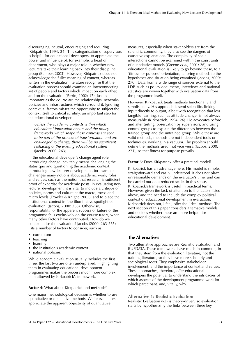discouraging, neutral, encouraging and requiring (Kirkpatrick, 1994: 24). This categorisation of supervisors is helpful for educational developers, to appreciate the power and influence of, for example, a head of department, who plays a major role in whether new lecturers take their learning back into their discipline group (Bamber, 2003). However, Kirkpatrick does not acknowledge the fuller meaning of context, whereas writers in the evaluation literature recognise that the evaluation process should examine an interconnecting set of people and factors which impact on each other, and on the evaluation (Perrin, 2002: 17). Just as important as the course are the relationships, networks, policies and infrastructures which surround it. Ignoring contextual factors misses the opportunity to subject the context itself to critical scrutiny, an important step for the educational developer:

Unless the academic contexts within which educational innovation occurs and the policy frameworks which shape these contexts are seen to be part of the process of transformation and are challenged to change, there will be no significant reshaping of the existing educational system (Jacobs, 2000: 263).

In the educational developer's change agent role, introducing change inevitably means challenging the status quo and questioning the academic context. Introducing new lecturer development, for example, challenges many notions about academic work, roles and values, such as the notion that research is sufficient proof of expertise for academic posts. In evaluating new lecturer development, it is vital to include a critique of policies, norms and culture at the macro, meso and micro levels (Trowler & Knight, 2002), and to place the institutional context in 'the illuminative spotlight of evaluation' (Jacobs, 2000: 265). Otherwise, responsibility for the apparent success or failure of the programme falls exclusively on the course tutors, when many other factors have contributed. How do we contextualise the evaluation? Jacobs (2000: 263-265) lists a number of factors to consider, such as:

- curriculum
- teaching
- learning
- the institution's academic context
- national policies.

While academic evaluation usually includes the first three, the last two are often underplayed. Highlighting them in evaluating educational development programmes makes the process much more complex than allowed by Kirkpatrick's framework.

### **Factor 4**: What about Kirkpatrick and **methods**?

One major methodological decision is whether to use quantitative or qualitative methods. While evaluators appreciate the apparent objectivity of quantitative

measures, especially when stakeholders are from the scientific community, they also see the dangers of causative explanations. The complexity of social interactions cannot be examined within the constraints of quantitative models (Greene et al, 2001: 26), so educational evaluation is likely to go beyond these, to a 'fitness for purpose' orientation, tailoring methods to the hypotheses and situation being examined (Jacobs, 2000: 270). Data from a wide range of sources external to the LDP, such as policy documents, interviews and national statistics are woven together with evaluation data from the programme itself.

However, Kirkpatrick treats methods functionally and simplistically. His approach is semi-scientific, linking input directly to output, albeit with recognition that less tangible learning, such as attitude change, is not always measurable (Kirkpatrick, 1994: 26). He advocates before and after testing, observation by supervisors, and using control groups to explain the differences between the trained group and the untrained group. While these are valid methods, methods are not independent tools or techniques, working in a vacuum. The problem should define the methods used, not vice versa (Jacobs, 2000: 271), so that fitness for purpose prevails.

### **Factor 5**: Does Kirkpatrick offer a practical model?

Kirkpatrick has an advantage here. His model is simple, straightforward and easily understood. It does not place unreasonable demands on the evaluator's time, and can be carried out on a reduced scale. In this sense, Kirkpatrick's framework is useful in practical terms. However, given the lack of attention to the factors listed above, and the need to include the complex political context of educational development in evaluation, Kirkpatrick does not, I feel, offer the 'ideal method'. The next section of this paper considers alternative models, and decides whether these are more helpful for educational development.

## **The Alternatives**

Two alternative approaches are Realistic Evaluation and RUFDATA. These frameworks have much in common, in that they stem from the evaluation literature, not the training literature, so they have more scholarly and sociological roots. They emphasize stakeholder involvement, and the importance of context and values. These approaches, therefore, offer educational developers the potential to understand the intricacies of which aspects of the development programme work for which participant, and, vitally, why.

**Alternative 1: Realistic Evaluation** Realistic Evaluation (RE) is theory-driven, so evaluation starts by hypothesizing the links between three key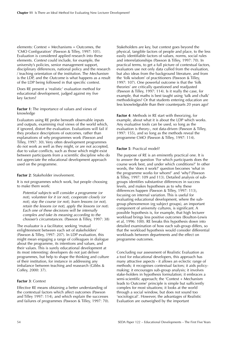elements: Context + Mechanisms = Outcomes, the 'CMO Configuration' (Pawson & Tilley, 1997: 101). Evaluation is considered applied research into these elements. Context could include, for example, the university's policies, senior management support, disciplinary differences, national policy and the research / teaching orientation of the institution. The Mechanism is the LDP, and the *Outcome* is what happens as a result of the LDP being followed in that specific context.

Does RE present a 'realistic' evaluation method for educational development, judged against my five key factors?

**Factor 1:** The importance of values and views of knowledge

Evaluators using RE probe beneath observable inputs and outputs, examining rival views of the world which, if ignored, distort the evaluation. Evaluations will fail if they produce descriptions of outcomes, rather than explanations of why programmes work (Pawson and Tilley, 1997: 30). Very often development programmes do not work as well as they might, or are not accepted, due to value conflicts, such as those which might exist between participants from a scientific discipline who do not appreciate the educational development approach used on the programme.

### **Factor 2**: Stakeholder involvement.

It is not programmes which work, but people choosing to make them work:

Potential subjects will consider a programme (or not), volunteer for it (or not), cooperate closely (or not), stay the course (or not), learn lessons (or not), retain the lessons (or not), apply the lessons (or not). Each one of these decisions will be internally complex and take its meaning according to the chooser's circumstances. (Pawson & Tilley, 1997: 38)

The evaluator is a facilitator, seeking 'mutual enlightenment between each set of stakeholders' (Pawson & Tilley, 1997: 207). In LDP evaluation, this might mean engaging a range of colleagues in dialogue about the programme, its intentions and values, and their values. This is surely educational development at its most interesting: developers do not just deliver programmes, but help to shape the thinking and culture of their institution, for instance in addressing any imbalance between teaching and reasearch (Gibbs & Coffey, 2000: 37).

### **Factor 3**: Context

Effective RE means obtaining a better understanding of the contextual factors which affect outcomes (Pawson and Tilley 1997: 114), and which explain the successes and failures of programmes (Pawson & Tilley, 1997: 70).

Stakeholders are key, but context goes beyond the physical, tangible factors of people and place, to the less easily identifiable factors of values, norms, social rules and interrelationships (Pawson & Tilley, 1997: 70). In practical terms, to get a full picture of contextual factors, evaluators use not only data culled from the evaluation, but also ideas from the background literature, and from the 'folk wisdom' of practitioners (Pawson & Tilley, 1997: 107). One powerful outcome is that the 'folk theories' are critically questioned and readjusted (Pawson & Tilley, 1997: 114). Is it really the case, for example, that maths is best taught using 'talk and chalk' methodologies? Or that students entering education are less knowledgeable than their counterparts 20 years ago?

**Factor 4**: Methods in RE start with theorizing, for example, about what it is about the LDP which works. Any evaluative tools can be used, so long as the evaluation is theory-, not data-driven (Pawson & Tilley, 1997: 155), and so long as the methods reveal the programme CMO (Pawson & Tilley, 1997: 114).

### **Factor 5**: Practical model?

The purpose of RE is an eminently practical one. It is to answer the question 'For which participants does the course work best, and under which conditions?' In other words, the 'does it work?' question becomes 'what in the programme works for whom?' and 'why?'(Pawson & Tilley, 1997: 109 and 113). Detailed analysis of subgroups identifies substantive differences in success levels, and makes hypotheses as to why these differences happen (Pawson & Tilley, 1997: 113), focusing on internal variation. This is useful for evaluating educational development, where the subgroup phenomenon (eg subject groups), an important component of university cultures, is significant. A possible hypothesis is, for example, that high lecturer workload brings less positive outcomes (Boulton-Lewis et al, 1996: 100). RE breaks this hypothesis down into detailed examination of how each sub-group differs, so that the workload hypothesis would consider differential workloads between departments and the effect on programme outcomes.

Concluding our assessment of Realistic Evaluation as a tool for educational developers, this approach has many attractive aspects - it allows an eclectic range of methods; it recognises contextual factors; it aids policymaking; it encourages sub-group analysis; it involves stake-holders in hypothesis formulation; it embraces a semi-scientific approach; the 'Context + Mechanism leads to Outcome' principle is simple but sufficiently complex for most situations; it looks at the world through a social window, but does not sound too 'sociological'. However, the advantages of Realistic Evaluation are outweighed by the important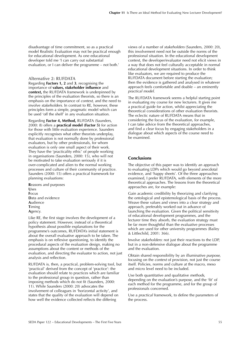disadvantage of time commitment, so as a practical model Realistic Evaluation may not be practical enough for educational development. As one educational developer told me 'I can carry out substantial evaluation, or I can deliver the programme – not both.'

#### **Alternative 2: RUFDATA**

Regarding **Factors 1, 2** and **3**, recognising the importance of **values, stakeholder influence** and **context,** the RUFDATA framework is underpinned by the principles of the evaluation theorists, so there is an emphasis on the importance of context, and the need to involve stakeholders. In contrast to RE, however, these principles form a simple, pragmatic model which can be used 'off the shelf' in any evaluation situation.

Regarding **Factor 4, Method,** RUFDATA (Saunders, 2000: 8) offers a **practical model (Factor 5)** for action for those with little evaluation experience. Saunders explicitly recognises what other theorists underplay, that evaluation is not normally done by professional evaluators, but by other professionals, for whom evaluation is only one small aspect of their work. They have the 'practicality ethic' of people working in organisations (Saunders, 2000: 15), who will not be motivated to take evaluation seriously if it is over-complicated and alien to the normal working processes and culture of their community of practice. Saunders (2000: 15) offers a practical framework for planning evaluations:

**R**easons and purposes **U**ses **F**ocus **D**ata and evidence **A**udience **T**iming **A**gency.

Like RE, the first stage involves the development of a policy statement. However, instead of a theoretical hypothesis about possible explanations for the programme's outcomes, RUFDATA's initial statement is about the overall evaluative approach to be taken. The emphasis is on reflexive questioning, to identify the procedural aspects of the evaluation design, making no assumptions about the content or methods of the evaluation, and directing the evaluator to action, not just analysis and reflection.

RUFDATA is, then, a practical, problem-solving tool, but 'practical' derived from the concept of 'practice': the evaluation should relate to practices which are familiar to the professional group in question, rather than imposing methods which do not fit (Saunders, 2000: 11). While Saunders (2000: 20) advocates the involvement of colleagues in 'horizontal activity', and states that the quality of the evaluation will depend on how well the evidence collected reflects the differing

views of a number of stakeholders (Saunders, 2000: 20), this involvement need not be outside the norms of the professional situation. In the educational development context, the developer/evaluator need not elicit views in a way that does not feel culturally acceptable in normal educational development situations. In order to think like evaluators, we are required to produce the RUFDATA document before starting the evaluation; then the evidence is gathered and analysed in whatever approach feels comfortable and doable – an eminently practical model.

The RUFDATA framework seems a helpful starting point in evaluating my course for new lecturers. It gives me a practical guide for action, whilst appreciating the theoretical considerations of other evaluation theorists. The eclectic nature of RUFDATA means that in considering the focus of the evaluation, for example, I can take advice from the theoretical approaches, and find a clear focus by engaging stakeholders in a dialogue about which aspects of the course need to be examined.

# **Conclusions**

The objective of this paper was to identify an approach to evaluating LDPs which would go beyond anecdotal evidence, and 'happy sheets'. Of the three approaches examined, I prefer RUFDATA, with elements of the more theoretical approaches. The lessons from the theoretical approaches are, for example:

Gain academic credibility by theorizing and clarifying the ontological and epistemological basis of the process. Weave these values and views into a clear strategy and approach, preferably worked out in advance of launching the evaluation. Given the political sensitivity of educational development programmes, and the lecturer time they absorb, the evaluation strategy must be far more thoughtful than the evaluative processes which are used for other university programmes (Bailey & Littlechild, 2001: 366).

Involve stakeholders: not just their reactions to the LDP, but in a non-defensive dialogue about the programme and the evaluation.

Obtain shared responsibility by an illuminative purpose, focusing on the context of provision, not just the course itself. Policies, norms and culture at the macro, meso and micro level need to be included.

Use both quantitative and qualitative methods, depending on the evaluation's purpose, and the 'fit' of each method for the programme, and for the group of professionals concerned.

Use a practical framework, to define the parameters of the process.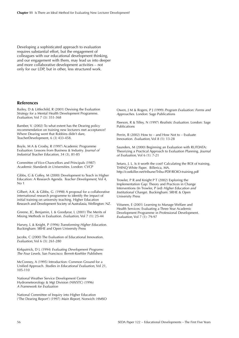Developing a sophisticated approach to evaluation requires substantial effort, but the engagement of colleagues with our educational development thinking, and our engagement with them, may lead us into deeper and more collaborative development activities – not only for our LDP, but in other, less structured work.

### **References**

Bailey, D & Littlechild, R (2001) Devising the Evaluation Strategy for a Mental Health Development Programme. Evaluation, Vol 7 (3): 351-368

Bamber, V. (2002) To what extent has the Dearing policy recommendation on training new lecturers met acceptance? Where Dearing went that Robbins didn't dare, TeacherDevelopment, 6 (3) 433-458.

Boyle, M A & Crosby, R (1997) Academic Programme Evaluation: Lessons from Business & Industry. Journal of Industrial Teacher Education, 34 (3), 81-85

Committee of Vice-Chancellors and Principals (1987) Academic Standards in Universities. London: CVCP

Gibbs, G & Coffey, M (2000) Development to Teach in Higher Education: A Research Agenda. Teacher Development, Vol 4, No 1

Gilbert, A.K. & Gibbs, G. (1998) A proposal for a collaborative international research programme to identify the impact of initial training on university teaching. Higher Education Research and Development Society of Australasia, Wellington: NZ.

Greene, JC, Benjamin, L & Goodyear, L (2001) The Merits of Mixing Methods in Evaluation. Evaluation, Vol 7 (1): 25-44

Harvey, L & Knight, P (1996) Transforming Higher Education. Buckingham: SRHE and Open University Press

Jacobs, C (2000) The Evaluation of Educational Innovation. Evaluation, Vol 6 (3): 261-280

Kirkpatrick, D L (1994) Evaluating Development Programs: The Four Levels. San Francisco: Berrett-Koehler Publishers

McConney, A (1995) Introduction: Common Ground for a Unified Approach. Studies in Educational Evaluation, Vol 21, 105-110

National Weather Service Development Center Hydrometeorology & Mgt Division (NWSTC) (1996) A Framework for Evaluation

National Committee of Inquiry into Higher Education ('The Dearing Report') (1997) Main Report, Norwich: HMSO Owen, J M & Rogers, P J (1999) Program Evaluation: Forms and Approaches. London: Sage Publications

Pawson, R & Tilley, N (1997) Realistic Evaluation. London: Sage Publications

Perrin, B (2002) How to – and How Not to – Evaluate Innovation. Evaluation, Vol 8 (1): 13-28

Saunders, M (2000) Beginning an Evaluation with RUFDATA: Theorizing a Practical Approach to Evaluation Planning. Journal of Evaluation, Vol 6 (1): 7-21

Setaro, J. L. Is it worth the cost? Calculating the ROI of training. THINQ White Paper. Billerica, MA. http://costkiller.net/tribune/Tribu-PDF/ROIO-training.pdf

Trowler, P R and Knight P T (2002) Exploring the Implementation Gap: Theory and Practices in Change Interventions (In Trowler, P (ed) Higher Education and Institutional Change). Buckingham: SRHE & Open University Press

Viitanen, E (2001) Learning to Manage Welfare and Health Services: Evaluating a Three-Year Academic Development Programme in Professional Development. Evaluation, Vol 7 (1): 79-97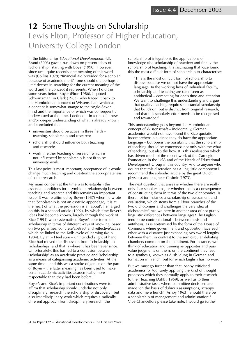# **12** Some Thoughts on Scholarship Lewis Elton, Professor of Higher Education, University College London

In the Editorial for Educational Developments 4.3, Brand (2003) gave a run down on present ideas of 'Scholarship', starting with Boyer (1990). However, since until quite recently one meaning of this word was (Collins 1979) "financial aid provided for a scholar because of academic merit", one should dig perhaps a little deeper in searching for the current meaning of the word and the concept it represents. When I did this, some years before Boyer (Elton 1986), I quoted Schwartzman, in Clark (1983), who traced it back to the Humboldtian concept of Wissenschaft, which as a concept is somewhat strange to the Anglo-Saxon mind and the importance of which was consequently undervalued at the time. I defined it in terms of a new and/or deeper understanding of what is already known and concluded that

- universities should be active in three fields teaching, scholarship and research;
- scholarship should influence both teaching and research;
- work in either teaching or research which is not influenced by scholarship is not fit to be university work.

This last point is most important; acceptance of it would change much teaching and question the appropriateness of some research.

My main concern at the time was to establish the essential conditions for a symbiotic relationship between teaching and research and this remains an important issue. It was re-affirmed by Boyer (1987) when he wrote that 'Scholarship is not an esoteric appendage; it is at the heart of what the profession is all about'. I enlarged on this in a second article (1992), by which time Boyer's ideas had become known, largely through the work of Rice (1991) who systematised Boyer's four forms of scholarship in terms of different ways of knowing, based on two polarities: concrete/abstract and reflective/active, which he linked to the Kolb cycle of learning (Kolb 1984). By an – I feel sure – unintended slight of hand, Rice had moved the discussion from 'scholarship' to 'scholarships' and that is where it has been ever since. Unfortunately, this has led to a confusion between 'scholarship' as an academic practice and 'scholarship' as a means of categorising academic activities. At the same time – and this was a stroke of genius on the part of Boyer – the latter meaning has been used to make certain academic activities academically more respectable than they had been before.

Boyer's and Rice's important contributions were to affirm that scholarship should underlie not only disciplinary research (the scholarship of discovery), but also interdisciplinary work which requires a radically different approach from disciplinary research (the

scholarship of integration), the applications of knowledge (the scholarship of practice) and finally the scholarship of teaching. It is fascinating that Rice found this the most difficult form of scholarship to characterise:

"This is the most difficult form of scholarship to discuss because we do not have the appropriate language. In the working lives of individual faculty, scholarship and teaching are often seen as antithetical – competing for one's time and attention. We want to challenge this understanding and argue that quality teaching requires substantial scholarship that builds on, but is distinct from original research, and that this scholarly effort needs to be recognised and rewarded."

This understanding goes beyond the Humboldtian concept of Wissenschaft – incidentally, German academics would not have found the Rice quotation incomprehensible, since they do have the appropriate language – but opens the possibility that the scholarship of teaching should be concerned not only with the what of teaching, but also the how. It is this realisation which has driven much of the recent work of the Carnegie Foundation in the USA and of the Heads of Educational Development Group in this country. And to anyone who doubts that this discussion has a linguistic component I recommend the splendid article by the great Dutch physicist and engineer Casimir (1973).

The next question that arises is whether there are really only four scholarships, or whether this is a consequence of constructing them in terms of the two dichotomies. Is there not for instance a scholarship of assessment and evaluation, which stems from all four branches of the two dichotomies and challenges the very idea of dichotomies? Are we here in another area of not purely linguistic differences between languages? The English tend to be confrontational – between thesis and antithesis, as is epitomised by the form of the House of Commons where government and opposition face each other with a distance just exceeding two sword lengths between them, in contrast to the semicircular debating chambers common on the continent. For instance, we think of education and training as opposites and pass value judgments on them; on the continent they lead to a synthesis, known as Ausbildung in German and formation in French, but for which English has no word.

But we must go further than that. Ashby criticised academics for too rarely applying the kind of thought processes which they normally apply to their research to their teaching (Ashby 1969), as well as to their administrative tasks where committee decisions are made 'on the basis of dubious assumptions, scrappy data and mere hunch' (Ashby 1963). Should there be a scholarship of management and administration'? Vice-Chancellors please take note. I would go further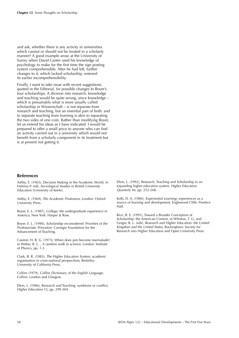and ask, whether there is any activity in universities which cannot or should not be treated in a scholarly manner? A good example arose at the University of Surrey when David Canter used his knowledge of psychology to make for the first time the sign posting system comprehensible. After he had left, further changes to it, which lacked scholarship, restored its earlier incomprehensibility.

Finally, I want to take issue with recent suggestions, quoted in the Editorial, for possible changes to Boyer's four scholarships. A division into research, knowledge and teaching would be quite wrong, since knowledge – which is presumably what is more usually called scholarship or Wissenschaft – is not separate from research and teaching, but an essential part of both; and to separate teaching from learning is akin to separating the two sides of one coin. Rather than modifying Boyer, let us extend his ideas as I have indicated. I would be prepared to offer a small price to anyone who can find an activity carried out in a university which would not benefit from a scholarly component in its treatment but is at present not getting it.

#### **References**

Ashby, E. (1963), Decision Making in the Academic World, in Halmos P. (ed), Sociological Studies in British University Education (University of Keele).

Ashby, E. (1969), The Academic Profession, London: Oxford University Press.

Boyer, E. L. (1987), College: the undergraduate experience in America, New York: Harper & Row.

Boyer, E. L. (1990), Scholarship reconsidered: Priorities of the Professoriate, Princeton: Carnegie Foundation for the Advancement of Teaching.

Casimir, H. B. G. (1973), When does jam become marmalade?, in Weber, R. L. , A random walk in science, London: Institute of Physics, pp. 1-3.

Clark, B. R. (1983), The Higher Education System: academic organisation in cross-national perspectives, Berkeley: University of California Press.

Collins (1979), Collins Dictionary of the English Language, Collins: London and Glasgow.

Elton, L. (1986), Research and Teaching: symbiosis or conflict, Higher Education 15, pp. 299-304.

Elton, L. (1992), Research, Teaching and Scholarship in an expanding higher education system, Higher Education Quarterly 46, pp. 252-268.

Kolb, D. A. (1984), Experiential Learning: experiences as a source of learning and development, Englewood Cliffs: Prentice Hall.

Rice, R. E. (1991), Toward a Broader Conception of Scholarship: the American Context, in Whiston, T. G. and Geiger, R. L. (eds), Research and Higher Education: the United Kingdom and the United States, Buckingham: Society for Research into Higher Education and Open University Press.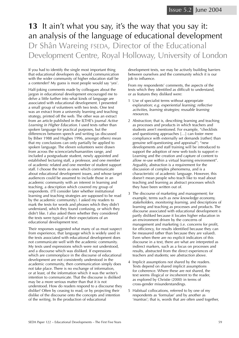# **13** It ain't what you say, it's the way that you say it: an analysis of the language of educational development Dr Shân Wareing FSEDA, Director of the Educational Development Centre, Royal Holloway, University of London

If you had to identify the single most important thing that educational developers do, would communication with the wider community of higher education staff be a contender? My guess is most people would say 'yes'.

Half-joking comments made by colleagues about the jargon in educational development encouraged me to delve a little further into what kinds of language are associated with educational development. I presented a small group of volunteers with two texts. One text was an extract from a university learning and teaching strategy, printed off the web. The other was an extract from an article published in the ILTHE's journal Active Learning in Higher Education. I used texts rather than spoken language for practical purposes, but the differences between speech and writing (as discussed by Biber 1988 and Hughes 1996, amongst others) mean that my conclusions can only partially be applied to spoken language. The eleven volunteers were drawn from across the science/arts/humanities range, and included a postgraduate student, newly appointed and established lecturing staff, a professor, and one member of academic related and one member of student support staff. I choose the texts as ones which communicate about educational development issues, and whose target audiences could be assumed to include those in an academic community with an interest in learning and teaching, a description which covered my group of respondents. (I'll consider later whether institutional learning and teaching strategies are supposed to be read by the academic community). I asked my readers to mark the texts for words and phrases which they didn't understand, which they found confusing, or which they didn't like. I also asked them whether they considered the texts were typical of their expectations of an educational development text.

Their responses suggested what many of us must suspect from experience, that language which is widely used in the texts associated with educational development does not communicate well with the academic community. My texts used expressions which were not understood, and a discourse which was disliked. If expressions which are commonplace in the discourse of educational development are not consistently understood in the academic community, then communication simply does not take place. There is no exchange of information, or at least, of the information which it was the writer's intention to communicate. That the discourse is disliked may be a more serious matter than that it is not understood. How do readers respond to a discourse they dislike? Often by ceasing to read, or by projecting their dislike of the discourse onto the concepts and intention of the writing. In the production of educational

development texts, we may be actively building barriers between ourselves and the community which it is our job to influence.

From my respondents' comments, the aspects of the texts which they identified as difficult to understand, or as features they disliked were:

- 1 Use of specialist terms without appropriate explanation; e.g. experiential learning; reflective activities, learning strategies; reusable learning resources.
- 2 Abstraction; that is, describing learning and teaching as processes and products in which teachers and students aren't mentioned. For example, "checklists and questioning approaches […] can foster mere compliance with externally set demands [rather] than genuine self-questioning and appraisal"; "new developments and staff training will be introduced to support the adoption of new web tools to support e-Learning and the creation and capture of content to allow re-use within a virtual learning environment". Arguably, abstraction is a requirement for the discussion of complex phenomena, and is a characteristic of academic language. However, this doesn't mean people who teach like to read about teaching and learning as abstract processes which they have been written out of.
- 3 The discourse of marketing and management; for example, terms such as new knowledge economy, stakeholders, monitoring learning, and descriptions of learning and teaching as processes and products. The discourse associated with educational development is partly disliked because it locates higher education in an environment driven by the concerns of management and marketing (i.e. concerns for profit, for efficiency, for results identified because they can be measured rather than because they are valued). Even when there are no explicit indicators of this discourse in a text, there are what are interpreted as indirect markers, such as a focus on processes and results, abstracted from the direct experiences of teachers and students; see abstraction above.
- 4 Implicit assumptions not shared by the readers. Texts depend on shared implicit assumptions for coherence. Where these are not shared, the text seems illogical or incoherent to the reader, as explored by Christie (2000) in terms of cross-gender misunderstandings.
- 5 Habitual collocations, referred to by one of my respondents as 'formulae' and by another as 'mantras'; that is, words that are often used together,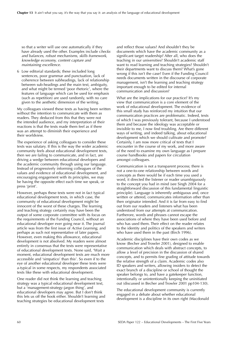so that a writer will use one automatically if they have already used the other. Examples include checks and balances, robust mechanisms, skills framework, knowledge economy, content capture and maintaining excellence.

6 Low editorial standards; these included long sentences, poor grammar and punctuation, lack of coherence between subheadings, lack of relationship between sub-headings and the main text, ambiguity, and what might be termed 'poor rhetoric', where the features of language which can be used for emphasis (such as repetition) are used randomly, with no care given to the aesthetic dimension of the writing.

My colleagues viewed these texts as having been written without the intention to communicate with them as readers. They deduced from this that they were not the intended audience, and my interpretation of their reactions is that the texts made them feel as if there was an attempt to diminish their experience and their worldview.

The experience of asking colleagues to consider these texts was salutary. If this is the way the wider academic community feels about educational development texts, then we are failing to communicate, and in fact, are driving a wedge between educational developers and the academic community through using our language. Instead of progressively informing colleagues of the values and evidence of educational development, and encouraging engagement with its principles, we may be having the opposite effect each time we speak, or press 'print'.

However, perhaps these texts were not in fact typical educational development texts, in which case, the community of educational development might be innocent of the worst of these charges. The learning and teaching strategy certainly may have been the output of some corporate committee with its focus on the requirements of the Funding Council, without an educational developer ever going near it. The journal article was from the first issue of Active Learning, and perhaps as such not representative of later papers. However, even making this allowance, educational development is not absolved. My readers were almost entirely in consensus that the texts were representative of educational development texts. None said, 'Wait a moment, educational development texts are much more accessible and 'simpatico' than this'. So even if to the eye of another educational developer these texts were a-typical in some respects, my respondents associated texts like these with educational development.

One reader did not think the learning and teaching strategy was a typical educational development text, but a 'management-strategy-jargon thing', and educational developers may agree. But I don't think this lets us off the hook either. Shouldn't learning and teaching strategies be educational development texts

and reflect those values? And shouldn't they be documents which have the academic community as a significant target readership? After all, who does the teaching in our universities? Shouldn't academic staff want to read learning and teaching strategies? Shouldn't their departments want to discuss them? What's gone wrong if this isn't the case? Even if the Funding Council needs documents written in the discourse of corporate management, isn't the learning and teaching strategy important enough to be edited for internal communication and discussion?

What are the implications for our practice? It's my view that communication is a core element of the work of educational development. The evidence of this small study has reinforced my intuition that our communication practices are problematic. Indeed, texts of which I was previously tolerant, because I understood them and because the ideology was acceptable or invisible to me, I now find troubling. Are there different ways of writing, and indeed talking, about educational development which we should cultivate and promote? Certainly, I am now more critical of texts that I encounter in the course of my work, and more aware of the need to examine my own language as I prepare course handbooks and papers for circulation amongst colleagues.

Communication is not a transparent process; there is not a one-to-one relationship between words and concepts as there would be if each time you used a word, it directed the listener or reader unambiguously to the concept you had in mind (see Singh 2004 for a straightforward discussion of this fundamental linguistic principle). Language is inherently ambiguous and, once written or uttered, communicates information other than then originator intended. And it is far from easy to find out from our readers and listeners what has been understood from our attempts at communication. Furtherore, words and phrases cannot escape the associations of where they have been used before and who has used them. Their effect on the reader relates to the identity and politics of the speakers and writers who have used them in the past (Birch 1996).

Academic disciplines have their own codes as we know (Becher and Trowler 2001), designed to enable communication which deals with abstract concepts, to allow a level of precision in the discussion of shared concepts, and to permits fine grading of attitude towards the relative strength of a claim. Academic codes also ID speakers and writers, allowing insiders to detect the exact branch of a discipline or school of thought the speaker belongs to, and have a gatekeeper function, intentionally or unintentionally keeping the uninitiated out (discussed in Becher and Trowler 2001 pp104-130).

The educational development community is currently engaged in a debate about whether educational development is a discipline in its own right (Macdonald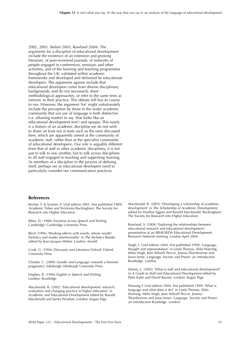2002, 2003, Stefani 2003, Rowland 2004). The arguments for a discipline of educational development include the existence of an extensive and growing literature, of peer-reviewed journals, of networks of people engaged in conferences, seminars and other activities, and of the learning and teaching programmes throughout the UK, validated within academic frameworks and developed and delivered by educational developers. The arguments against include that educational developers come from diverse disciplinary backgrounds, and do not necessarily share methodological approaches, or refer to the same texts as intrinsic to their practice. This debate still has its course to run. However, the argument 'for' might unfortunately include the perception by those in the wider academic community that our use of language is both distinctive (i.e. allowing readers to say 'that looks like an educational development text') and opaque. This surely is a feature of an academic discipline we do not wish to share (at least not in texts such as the ones discussed here, which are apparently aimed at the community of academic staff, rather than at the specialist community of educational developers). Our role is arguably different from that of staff in other academic disciplines; it is not just to talk to one another, but to talk across disciplines to all staff engaged in teaching and supporting learning. As members of a discipline in the process of defining itself, perhaps we as educational developers need to particularly consider our communication practices.

#### **References**

Becher, T. & Trowler, P. (2nd edition 2001, first published 1989) Academic Tribes and Territories Buckingham: The Society for Research into Higher Education

Biber, D. (1988) Variation across Speech and Writing Cambridge: Cambridge University Press

Birch (1996) 'Working effects with words: whose words? Stylistics and reader intertextuality' in The Stylistics Reader edited by Jean Jacques Weber. London: Arnold

Cook, G. (1994) Discourse and Literature Oxford: Oxford University Press

Christie, C. (2000) Gender and Language: towards a feminist pragmatics. Edinburgh: Edinburgh University Press

Hughes, R. (1996) English in Speech and Writing London: Routledge

Macdonald, R. (2002) 'Educational development: research, evaluation and changing practice in higher education' in Academic and Educational Development edited by Ranald Macdonald and James Wisdom, London: Kogan Page.

Macdonald, R. (2003) 'Developing a scholarship of academic development' in The Scholarship of Academic Development, edited by Heather Eggins and Ranald Macdonald, Buckingham: The Society for Research into Higher Education

Rowland, S. (2004) 'Exploring the relationships between educational research and educational development'; presentation at an SRHE/SEDA Educational Development Research Network meeting, London April 2004.

Singh, I. (2nd edition 2004, first published 1999) 'Language, thought and representation' in Linda Thomas, Shân Wareing, Ishtla Singh, Jean Stilwell Peccei, Joanna Thornborrow and Jason Jones. Language, Society and Power: an introduction Routledge. London.

Stefani, L. (2002) 'What is staff and educational development?' in A Guide to Staff and Educational Development edited by Peter Kahn and David Baume, London: Kogan Page

Wareing S (2nd edition 2004, first published 1999) 'What is language and what does it do?' in Linda Thomas, Shân Wareing, Ishtla Singh, Jean Stilwell Peccei, Joanna Thornborrow and Jason Jones. Language, Society and Power: an introduction Routledge. London.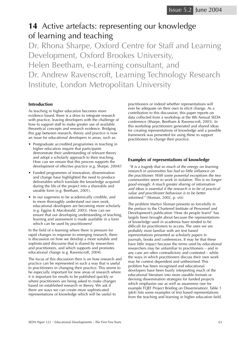# **14** Active artefacts: representing our knowledge of learning and teaching

Dr. Rhona Sharpe, Oxford Centre for Staff and Learning Development, Oxford Brookes University, Helen Beetham, e-Learning consultant, and Dr. Andrew Ravenscroft, Learning Technology Research Institute, London Metropolitan University

## **Introduction**

As teaching in higher education becomes more evidence based, there is a drive to integrate research with practice, leaving developers with the challenge of how to support staff to make greater use of available theoretical concepts and research evidence. Bridging this gap between research, theory and practice is now an issue for educational developers in areas, such as:

- Postgraduate accredited programmes in teaching in higher education require that participants demonstrate their understanding of relevant theory and adopt a scholarly approach to their teaching. How can we ensure that this process supports the development of effective practice (e.g. Sharpe, 2004)?
- Funded programmes of innovation, dissemination and change have highlighted the need to produce deliverables which translate the knowledge acquired during the life of the project into a shareable and useable form (e.g. Beetham, 2001).
- In our eagerness to be academically credible, and to more thoroughly understand our own work, educational developers are becoming more scholarly (e.g. Eggins & Macdonald, 2003). How can we ensure that our developing understanding of teaching, learning and assessment is made available in a form which can be used by practitioners?

In the field of e-learning where there is pressure for rapid changes in response to emerging research, there is discussion on how we develop a more suitable and sophisticated discourse that is shared by researchers and practitioners, and which supports and promotes educational change (e.g. Ravenscroft, 2004).

The focus of this discussion then is on how research and practice can be represented in such a way that is useful to practitioners in changing their practice. This seems to be especially important for new areas of research where it is important for results to be published quickly or where practitioners are being asked to make changes based on established research or theory. We ask if there are ways we can create more sophisticated representations of knowledge which will be useful to

practitioners or indeed whether representations will ever be adequate on their own to elicit change. As a contribution to this discussion, this paper reports on data collected from a workshop at the 8th Annual SEDA conference (Sharpe, Beetham & Ravenscroft, 2003). In this workshop practitioners generated and shared ideas for creating representations of knowledge and a possible framework was presented for using these to support practitioners to change their practice.

## **Examples of representations of knowledge**

"It is a tragedy that so much of the energy on learning research in universities has had so little influence on the practitioner. With some powerful exceptions the two communities seem to work in isolation. This is no longer good enough. A much greater sharing of information and ideas is essential if the research is to be of practical value and practitioner behaviour is to be better informed." (Sloman, 2002, p. viii)

The problem Martyn Sloman presents so forcefully in the preface to the Chartered Institute of Personnel and Development's publication 'How do people learn?' has largely been brought about because the representations of knowledge used in academia have tended to be difficult for practitioners to access. The ones we are probably most familiar with are text based representations presented as scholarly papers in journals, books and conferences. It may be that these have little impact because the terms used by educational researchers may be unfamiliar to practitioners – and in any case are often contradictory and contested – while the ways in which practitioners discuss their own work may be context dependent and untheorised. This problem has been recognised and educational developers have been busily interpreting much of the educational literature into more useable formats or devising dissemination strategies for funded projects which emphasise use as well as awareness (see for example TQEF Project Briefing on Dissemination). Table 1 (p64) lists some examples of text based representations from the teaching and learning in higher education field.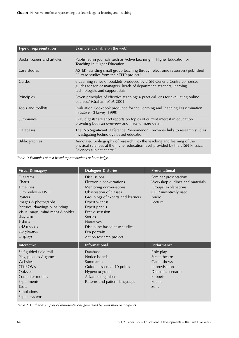| Type of representation     | <b>Example</b> (available on the web)                                                                                                                                                              |
|----------------------------|----------------------------------------------------------------------------------------------------------------------------------------------------------------------------------------------------|
| Books, papers and articles | Published in journals such as Active Learning in Higher Education or<br>Teaching in Higher Education. <sup>1</sup>                                                                                 |
| Case studies               | ASTER (assisting small group teaching through electronic resources) published<br>33 case studies from their TLTP project. <sup>2</sup>                                                             |
| Guides                     | e-Learning series of booklets produced by LTSN Generic Centre comprises<br>guides for senior managers, heads of department, teachers, learning<br>technologists and support staff. <sup>3</sup>    |
| Principles                 | Seven principles of effective teaching: a practical lens for evaluating online<br>courses. <sup>4</sup> (Graham <i>et al</i> , 2001)                                                               |
| Tools and toolkits         | Evaluation Cookbook produced for the Learning and Teaching Dissemination<br>Initiative. <sup>5</sup> (Harvey, 1998)                                                                                |
| Summaries                  | ERIC digests <sup>6</sup> are short reports on topics of current interest in education<br>providing both an overview and links to more detail.                                                     |
| Databases                  | The 'No Significant Difference Phenomenon' <sup>7</sup> provides links to research studies<br>investigating technology based education.                                                            |
| <b>Bibliographies</b>      | Annotated bibliography of research into the teaching and learning of the<br>physical sciences at the higher education level provided by the LTSN Physical<br>Sciences subject centre. <sup>8</sup> |

Table 1: Examples of text based representations of knowledge.

| Visual & imagery                                                                                                                                                                                                                            | Dialogues & stories                                                                                                                                                                                                                                                                                                | Presentational                                                                                                               |  |
|---------------------------------------------------------------------------------------------------------------------------------------------------------------------------------------------------------------------------------------------|--------------------------------------------------------------------------------------------------------------------------------------------------------------------------------------------------------------------------------------------------------------------------------------------------------------------|------------------------------------------------------------------------------------------------------------------------------|--|
| Diagrams<br>Charts<br><b>Timelines</b><br>Film, video & DVD<br>Posters<br>Images & photographs<br>Pictures, drawings & paintings<br>Visual maps, mind maps & spider<br>diagrams<br>T-shirts<br>3-D models<br>Storyboards<br><b>Displays</b> | <b>Discussions</b><br>Electronic conversations<br>Mentoring conversations<br>Observation of classes<br>Groupings of experts and learners<br>Expert witness<br>Expert panels<br>Peer discussion<br><b>Stories</b><br><b>Narratives</b><br>Discipline based case studies<br>Pen portraits<br>Action research project | Seminar presentations<br>Workshop outlines and materials<br>Groups' explanations<br>OHP inventively used<br>Audio<br>Lecture |  |
| <b>Interactive</b>                                                                                                                                                                                                                          | <b>Informational</b>                                                                                                                                                                                                                                                                                               | Performance                                                                                                                  |  |
| Self-guided field trail<br>Play, puzzles & games<br>Websites<br><b>CD-ROMs</b><br>Quizzes<br>Computer models<br>Experiments<br><b>Tasks</b><br>Simulations<br>Expert systems                                                                | Database<br>Notice boards<br>Summaries<br>Guide - essential 10 points<br>Hypertext guide<br>Advance organiser<br>Patterns and pattern languages                                                                                                                                                                    | Role play<br>Street theatre<br>Game shows<br>Improvisation<br>Dramatic scenario<br>Puppets<br>Poems<br>Song                  |  |

Table 2: Further examples of representations generated by workshop participants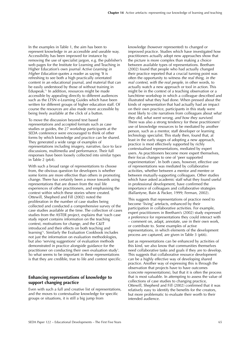In the examples in Table 1, the aim has been to represent knowledge in an accessible and useable way. Accessibility has been improved for instance by removing the use of specialist jargon, e.g. the publisher's web pages for the Institute for Learning and Teaching in Higher Education's own journal Active Learning in Higher Education quotes a reader as saying 'It is refreshing to see both a high practically orientated content in an educational journal, and material that can be easily understood by those of without training in Eduspeak.'1 In addition, resources might be made accessible by appealing directly to different audiences such as the LTSN e-Learning Guides which have been written for different groups of higher education staff. Of course the resources are also made more accessible by being freely available at the click of a button.

To move the discussion beyond text based representations and accepted formats such as case studies or guides, the 27 workshop participants at the SEDA conference were encouraged to think of other forms by which knowledge and practice can be shared. They generated a wide range of examples of representations including imagery, narrative, face to face discussions, multimedia and performance. Their full responses have been loosely collected into similar types in Table 2 (p64).

With such a broad range of representations to choose from, the obvious question for developers is whether some forms are more effective than others in promoting change. There has certainly been a move towards using representations that are drawn from the real life experiences of other practitioners, and emphasising the context within which these stories where created. Ottewill, Shepherd and Fill (2002) noted the proliferation in the number of case studies being collected and conducted a comprehensive survey of the case studies available at the time. The collection of cases studies from the ASTER project, explains that 'each case study report contains information on the teaching context, motivations for change, and the C&IT introduced and their effects on both teaching and learning'2 . Similarly the Evaluation Cookbook includes not just the information on evaluation methodologies, but also 'serving suggestions' of evaluation methods demonstrated in practice alongside guidance for the practitioner on conducting their own evaluation study<sup>5</sup>. So what seems to be important in these representations is that they are credible, true to life and context specific.

## **Enhancing representations of knowledge to support changing practice**

Even with such a full and creative list of representations, and the moves to contextualise knowledge for specific groups or situations, it is still a big jump from

knowledge (however represented) to changed or improved practice. Studies which have investigated how practitioners actually adopt new approaches show that the picture is more complex than making a choice between available types of representations. Beetham (2002) found that people who had actually changed their practice reported that a crucial turning point was often the opportunity to witness the real thing, in the real context, with the real people, in other words, to actually watch a new approach or tool in action. This might be in the context of a teaching observation or a lunchtime workshop in which a colleague described and illustrated what they had done. When pressed about the kinds of representation that had actually had an impact on their own practice, participants in this study were most likely to cite narratives from colleagues about what they did, what went wrong, and how they survived. There was also a strong tendency for these practitioners' use of knowledge resources to be mediated by another person, such as a mentor, staff developer or learning technology specialist. This study then, found that, at least in the early stages of adopting a new approach, practice is most effectively supported by richly contextualised representations, mediated by expert users. As practitioners become more expert themselves, their focus changes to one of 'peer supported experimentation'. In both cases, however, effective use of representations was mediated by collaborative activities, whether between a mentor and mentee or between mutually-supporting colleagues. Other studies which have asked academic staff what they found useful in professional development, have confirmed the importance of colleagues and collaborative strategies (Ballantyne, Bain & Packer, 1999; Ferman, 2002).

This suggests that representations of practice need to become 'living' artefacts, enhanced by their participation in collaborative activities. For example, expert practitioners in Beetham's (2002) study expressed a preference for representations they could interact with – comment on, adapt, annotate, use in their own work, or contribute to. Some examples of active representations, in which elements of the development process are captured, are given in Table 3 (p66).

Just as representations can be enhanced by activities of this kind, we also know that communities themselves need collaborative tasks and goals if they are to develop. This suggests that collaborative resource development can be a highly effective way of developing shared practice. Another way of expressing this is through the observation that projects have to have outcomes (concrete representations), but that it is often the process that is most valuable. In attempting to assess the value of collections of case studies to changing practice, Ottewill, Shepherd and Fill (2002) confirmed that it was relatively easy to identify the benefits for the creators, but more problematic to evaluate their worth to their intended audience.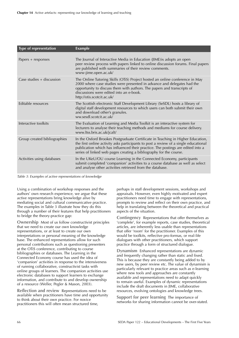| <b>Type of representation</b> | <b>Example</b>                                                                                                                                                                                                                                                                                                                   |
|-------------------------------|----------------------------------------------------------------------------------------------------------------------------------------------------------------------------------------------------------------------------------------------------------------------------------------------------------------------------------|
| Papers + responses            | The Journal of Interactive Media in Education (JIME) ix adopts an open<br>peer review process with papers linked to online discussion forums. Final papers<br>are published with summaries of their review comments.<br>www-jime.open.ac.uk/                                                                                     |
| Case studies $+$ discussion   | The Online Tutoring Skills (OTiS) Project hosted an online conference in May<br>2000 where case studies were presented in advance and delegates had the<br>opportunity to discuss them with authors. The papers and transcripts of<br>discussions were edited into an e-book.<br>http://otis.scotcit.ac.uk/                      |
| Editable resources            | The Scottish electronic Staff Development Library (SeSDL) hosts a library of<br>digital staff development resources to which users can both submit their own<br>and download other's granules.<br>ww.sesdl.scotcit.ac.uk/                                                                                                        |
| Interactive toolkits          | The Evaluation of Learning and Media Toolkit is an interactive system for<br>lecturers to analyse their teaching methods and mediums for course delivery.<br>www.ltss.bris.ac.uk/jcalt/                                                                                                                                          |
| Group created bibliographies  | In the Oxford Brookes Postgraduate Certificate in Teaching in Higher Education,<br>the first online activity asks participants to post a review of a single educational<br>publication which has influenced their practice. The postings are edited into a<br>series of linked web pages creating a bibliography for the course. |
| Activities using databases    | In the UKeU/OU course Learning in the Connected Economy, participants<br>submit completed 'companion' activities to a course database as well as select<br>and analyse other activities retrieved from the database.                                                                                                             |

Table 3: Examples of active representations of knowledge

Using a combination of workshop responses and the authors' own research experience, we argue that these active representations bring knowledge alive by mediating social and cultural communicative practice. The examples in Table 3 illustrate how they do this through a number of their features that help practitioners to bridge the theory-practice gap:

**Ownership** Most of us follow constructivist principles that we need to create our own knowledge representations, or at least to create our own interpretations or personal meaning of the knowledge base. The enhanced representations allow for such personal contributions such as questioning presenters at the OTiS conference, contributing to course bibliographies or databases. The Learning in the Connected Economy course has used the idea of 'companion' activities in response to the intensiveness of running collaborative, constructivist tasks with online groups of learners. The companion activities use electronic databases to support learners to exchange information, and contribute to and develop ownership of a resource (Weller, Pegler & Mason, 2003).

**Reflection and review** Representations need to be available when practitioners have time and opportunity to think about their own practice. For novice practitioners this will often mean structured time,

perhaps in staff development sessions, workshops and appraisals. However, even highly motivated and expert practitioners need time to engage with representations, prompts to review and reflect on their own practice, and help in translating between the theoretical and practical aspects of the situation.

**Contingency** Representations that offer themselves as 'complete', for example reports, case studies, theoretical articles, are inherently less usable than representations that offer 'room' for the practitioner. Examples of this would be toolkits, reflective pro-formas, or real-life dialogues with other practitioners, which support practice through a form of structured dialogue.

**Dynamism** Enhanced representations are dynamic and frequently changing rather than static and fixed. This is because they are constantly being added to by new users, by peer review etc. The value of dynamism is particularly relevant to practice areas such as e-learning where new tools and approaches are constantly available and representations need to adapt quickly to remain useful. Examples of dynamic representations include the draft documents in JIME, collaborative resources, evolving ontologies and knowledge trees.

**Support for peer learning** The importance of networks for sharing information cannot be over-stated.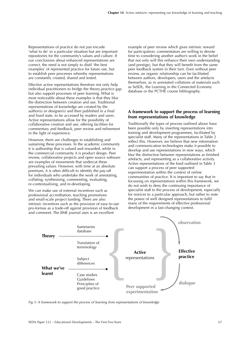Representations of practice do not just encode 'what to do' in a particular situation but are important repositories for the community's values and culture. If our conclusions about enhanced representations are correct, the need is not simply to distil 'the best examples' of represented practice for future use, but to establish peer processes whereby representations are constantly created, shared and tested.

Effective active representations therefore not only help individual practitioners to bridge the theory-practice gap but also support processes of peer learning. What is most noticeable about these examples is that they blur the distinction between creation and use. Traditional representations of knowledge are created by the author(s) or designer(s) and then published in a final and fixed state, to be accessed by readers and users. Active representations allow for the possibility of collaborative creation and use, offering facilities for commentary and feedback, peer review and refinement in the light of experience.

However, there are challenges in establishing and sustaining these processes. In the academic community it is authorship that is valued and rewarded, while in the commercial community it is product design. Peer review, collaborative projects and open source software are examples of movements that undercut these prevailing values. However, with time at an absolute premium, it is often difficult to identify the pay-off for individuals who undertake the work of annotating, collating, synthesising, commenting, evaluating, re-contextualising, and re-developing.

We can make use of external incentives such as professional accreditation, teaching promotions and small-scale project funding. There are also intrinsic incentives such as the provision of easy-to-use pro-formas as a trade-off against provision of feedback and comment. The JIME journal uses is an excellent

example of peer review which gives intrinsic reward for participation: commentators are willing to devote time to considering another author's work in the belief that not only will this enhance their own understanding (and prestige), but that they will benefit from the same peer feedback system in their turn. Even without peer review, an organic relationship can be facilitated between authors, developers, users and the artefacts themselves, as in annotated collations of materials such as SeSDL, the Learning in the Connected Economy database or the PCTHE course bibliography.

## **A framework to support the process of learning from representations of knowledge**

Traditionally the types of process outlined above have been possible only by inserting representations into training and development programmes, facilitated by specialist staff. Many of the representations in Table 2 reflect this. However, we believe that new information and communication technologies make it possible to develop and use representations in new ways, which blur the distinction between representations as finished artefacts, and representing as a collaborative activity. Active representations of the kind outlined in Table 3 can support a process of peer supported experimentation within the context of online communities of practice. It is important to say that in focussing on representations within this framework, we do not wish to deny the continuing importance of specialist staff to the process of development, especially for novices to a particular approach, but rather to note the power of well designed representations to fulfil many of the requirements of effective professional development in a fast-changing context.



Fig 3: A framework to support the process of learning from representations of knowledge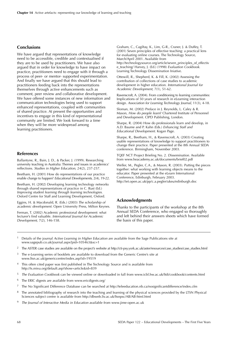### **Conclusions**

We have argued that representations of knowledge need to be accessible, credible and contextualised if they are to be used by practitioners. We have also argued that in order for knowledge to have impact on practice, practitioners need to engage with it through a process of peer- or mentor- supported experimentation. And finally we have argued that this should lead to practitioners feeding back into the representations themselves through active enhancements such as comment, peer review and collaborative development. We have offered some instances of new information and communication technologies being used to support enhanced representations, coupled with communities of shared practice. At present the opportunities and incentives to engage in this kind of representational community are limited. We look forward to a time when they will be more widespread among learning practitioners.

#### **References**

Ballantyne, R., Bain, J. D., & Packer, J. (1999). Researching university teaching in Australia: Themes and issues in academics' reflections. Studies in Higher Education, 24(2), 237-257.

Beetham, H. (2001) How do representations of our practice enable change to happen? Educational Developments, 2(4), 19-22.

Beetham, H. (2002) Developing learning technology networks through shared representations of practice in C. Rust (Ed.) Improving student learning through learning technologies. Oxford Centre for Staff and Learning Development, Oxford.

Eggins, H. & Macdonald, R. (Eds.) (2003) The scholarship of academic development. Open University Press, Milton Keynes.

Ferman, T. (2002) Academic professional development: what lecturer's find valuable. International Journal for Academic Development, 7(2), 146-158.

Graham, C., Cagiltay, K., Lim, G-R., Craner, J. & Duffey, T. (2001) Seven principles of effective teaching: a practical lens for evaluating online courses. The Technology Source, March/April 2001. Available from

http://technologysource.org/article/seven\_principles\_of\_effectiv e\_teaching/ Harvey, J. (Ed.) (1998) Evaluation Cookbook. Learning Technology Dissemination Iniative.

Ottewill, R., Shepherd, K. & Fill, K. (2002) Assessing the contribution of collections of case studies to academic development in higher education. International Journal for Academic Development, 7(1), 51-62.

Ravenscroft, A. (2004). From conditioning to learning communities: Implications of 50 years of research in eLearning interaction design. Association for Learning Technology Journal, 11(3), 4-18.

Sloman, M. (2002) Preface in J. Reynolds, L. Caley & R. Mason, How do people learn? Chartered Institute of Personnel and Development. CIPD Publishing, London.

Sharpe, R. (2004) How do professionals learn and develop, in A.D. Baume and P. Kahn (Eds.) Enhancing Staff and Educational Development. Kogan Page.

Sharpe, R., Beetham, H., & Ravenscroft, A. (2003) Creating usable representations of knowledge to support practitioners to change their practice. Paper presented at the 8th Annual SEDA conference. Birmingham, November 2003.

TQEF NCT Project Briefing No. 2. Dissemination. Available from www.heacademy.ac.uk/documents/brief02.pdf

Weller, M., Pegler, C.A., & Mason, R. (2003). Putting the pieces together: what working with learning objects means to the educator. Paper presented at the eLearn International Conference, Edinburgh, February 2003. http://iet.open.ac.uk/pp/c.a.pegler/ukeu/edinburgh.doc

## **Acknowledgments**

Thanks to the participants of the workshop at the 8th Annual SEDA Conference, who engaged so thoroughly and left behind their answers sheets which have formed the basis of this paper.

<sup>1</sup> Details of the journal Active Learning in Higher Education are available from the Sage Publications site at www.sagepub.co.uk/journal.aspx?pid=105463&sc=1

- <sup>2</sup> The ASTER case studies are available on the project's website at http://cti-psy.york.ac.uk/aster/resources/case\_studies/case\_studies.html
- <sup>3</sup> The e-Learning series of booklets are available to download from the Generic Centre's site at www.ltsn.ac.uk/genericcentre/index.asp?id=19519
- <sup>4</sup> This often cited paper was first published in The Technology Source and is available from http://ts.mivu.org/default.asp?show=article&id=839
- <sup>5</sup> The Evaluation Cookbook can be viewed online or downloaded in full from www.icbl.hw.ac.uk/ltdi/cookbook/contents.html
- <sup>6</sup> The ERIC digests are available from www.ericdigests.org/
- <sup>7</sup> The No Significant Difference Database can be searched at http://teleeducation.nb.ca/nosignificantdifference/index.cfm
- <sup>8</sup> The annotated bibliography of research into the teaching and learning of the physical sciences provided by the LTSN Physical Sciences subject centre is available from http://dbweb.liv.ac.uk/ltsnpsc/AB/AB-html.html
- <sup>9</sup> The Journal of Interactive Media in Education available from www.jime-open.ac.uk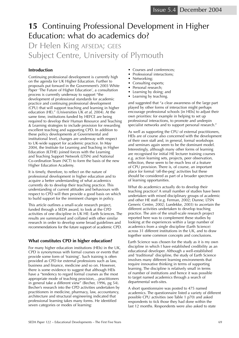# **15** Continuing Professional Development in Higher Education: what do academics do?

# Dr Helen King AFSEDA; GEES Subject Centre, University of Plymouth

# **Introduction**

Continuing professional development is currently high on the agenda for UK Higher Education. Further to proposals put forward in the Government's 2003 White Paper 'The Future of Higher Education', a consultation process is currently underway to support "the development of professional standards for academic practice and continuing professional development (CPU) that will support teaching and learning in higher education (HE)." (Universities UK et al, 2004). At the same time, institutions funded by HEFCE are being required to develop their Human Resource and Teaching & Learning strategies to include provision for rewarding excellent teaching and supporting CPD. In addition to these policy developments at Governmental and institutional level, changes are underway with respect to UK-wide support for academic practice. In May 2004, the Institute for Learning and Teaching in Higher Education (ILTHE) joined forces with the Learning and Teaching Support Network (LTSN) and National Co-ordination Team (NCT) to form the basis of the new Higher Education Academy.

It is timely, therefore, to reflect on the nature of professional development in higher education and to acquire a better understanding of what academics currently do to develop their teaching practice. This understanding of current attitudes and behaviours with respect to CPD will then provide a good basis on which to build support for the imminent changes in policy.

This article outlines a small-scale research project, funded through a SEDA award, to look at the CPD activities of one discipline in UK HE: Earth Sciences. The results are summarised and collated with other similar research in order to develop some broad guidelines and recommendations for the future support of academic CPD.

## **What constitutes CPD in higher education?**

For many higher education institutions (HEIs) in the UK, CPD is synonymous with formal courses or events that provide some form of 'training'. Such training is often provided as CPD for external professions such as law, business and finance, medicine and so on. However, there is some evidence to suggest that although HEIs have a "tendency to regard formal courses as the most appropriate mode of teaching provision,…practitioners in general take a different view" (Becher, 1996, pg 54). Becher's research into the CPD activities undertaken by practitioners in medicine, pharmacy, law, accountancy, architecture and structural engineering indicated that professional learning takes many forms. He identified seven categories or modes of learning:

- Courses and conferences;
- Professional interactions;
- Networking;
- Consulting experts;
- Personal research;
- Learning by doing; and
- Learning by teaching.

and suggested that "a clear awareness of the large part played by other forms of interaction might perhaps encourage professional schools [in HEIs] to adjust their own priorities: for example in helping to set up professional interactions, to promote and underpin specialist networks and to support personal research."

As well as supporting the CPU of external practitioners, HEls are of course also concerned with the development of their own staff and, in general, formal workshops and seminars again seem to be the dominant model. Interestingly, although many other forms of learning are recognised for initial HE lecturer training courses e.g. action learning sets, projects, peer observation, reflection, these seem to be much less of a feature of CPU provision. There is, of course, an important place for formal 'off-the-peg' activities but these should be considered as part of a broader spectrum of learning opportunities.

What do academics actually do to develop their teaching practice? A small number of studies have been undertaken with mixed disciplinary groups of academic and other HE staff (e.g. Ferman, 2002; Dunne; LTSN Generic Centre, 2002; Luedekke, 2003) to ascertain the different activities undertaken to develop teaching practice. The aim of the small-scale research project reported here was to complement these studies by looking at the experiences within a large number of academics from a single discipline (Earth Science) across 31 different institutions in the UK, and to draw together some common concepts and conclusions.

Earth Science was chosen for the study as it is my own discipline in which I have established credibility as an educational developer. Although a well-established and 'traditional' discipline, the study of Earth Science involves many different learning environments that require innovative thinking in terms of supporting learning. The discipline is relatively small in terms of number of institutions and hence it was possible to target named academics through a search of departmental web-sites.

A short questionnaire was posted to 475 named academics. The questionnaire listed a variety of different possible CPU activities (see Table 1 p70) and asked respondents to tick those they had done within the last 12 months. Respondents were also asked to state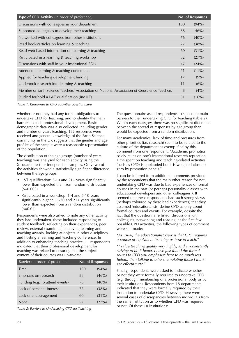| Type of CPD Activity (in order of preference)                                                |     | <b>No. of Responses</b> |
|----------------------------------------------------------------------------------------------|-----|-------------------------|
| Discussions with colleagues in your department                                               | 180 | $(94\%)$                |
| Supported colleagues to develop their teaching                                               | 88  | $46\%$                  |
| Networked with colleagues from other institutions                                            | 76  | $(40\%)$                |
| Read books/articles on learning & teaching                                                   | 72  | (38%)                   |
| Read web-based information on learning & teaching                                            | 60  | $(31\%)$                |
| Participated in a learning & teaching workshop                                               | 52  | (27%)                   |
| Discussions with staff in your institutional EDU                                             | 47  | (24%)                   |
| Attended a learning & teaching conference                                                    | 21  | $(11\%)$                |
| Applied for teaching development funding                                                     | 17  | (9%)                    |
| Undertook research into learning & teaching                                                  | 11  | (6%)                    |
| Member of Earth Science Teachers' Association or National Association of Geoscience Teachers | 8   | $(4\%)$                 |
| Studied for/hold a L&T qualification (inc ILT)                                               | 31  | $(16\%)$                |

Table 1: Responses to CPU activities questionnaire

whether or not they had any formal obligations to undertake CPD for teaching, and to identify the main barriers to such professional development. Basic demographic data was also collected including gender and number of years teaching. 192 responses were received and general knowledge of the Earth Science community in the UK suggests that the gender and age profiles of the sample were a reasonable representation of the population.

The distribution of the age groups (number of years teaching) was analysed for each activity using the X-squared test for independent samples. Only two of the activities showed a statistically significant difference between the age groups:

- L&T qualification: 5-10 and 21+ years significantly lower than expected than from random distribution  $(p=0.003)$
- Participated in a workshop: 1-4 and 5-10 years significantly higher, 11-20 and 21+ years significantly lower than expected from a random distribution  $(p=0.04)$

Respondents were also asked to note any other activity they had undertaken, these included responding to student feedback, reflecting on their experiences, peer review, external examining, achieving learning and teaching awards, looking at objects in other disciplines, and hosting a learning and teaching conference. In addition to enhancing teaching practice, 11 respondents indicated that their professional development for teaching was related to ensuring that the subject content of their courses was up-to-date.

| Barrier (in order of preference | No. of Responses |          |  |
|---------------------------------|------------------|----------|--|
| Time                            | 180              | (94%     |  |
| Emphasis on research            | 88               | $(46\%)$ |  |
| Funding (e.g. To attend events) | 76               | $(40\%)$ |  |
| Lack of personal interest       | 72               | (38%)    |  |
| Lack of encouragement           | 60               | $(31\%)$ |  |
| None                            | 52               | $(27\%)$ |  |

Table 2: Barriers to Undertaking CPD for Teaching

The questionnaire asked respondents to select the main barriers to their undertaking CPD for teaching (table 2). Within each category, there was no significant difference between the spread of responses by age group than would be expected from a random distribution.

For many academics, lack of time and pressures from other priorities (i.e. research) seem to be related to the culture of the department as exemplified by this comment from one respondent. "Academic promotion solely relies on one's international research reputation. Time spent on teaching and teaching-related activities (such as CPD) is applauded but it is weighted close to zero by promotion panels."

It can be inferred from additional comments provided by the respondents that the main other reason for not undertaking CPD was due to bad experiences of formal courses in the past (or perhaps personality clashes with educational developers and other colleagues!). It seemed that these respondents had such strong views (perhaps coloured by these bad experiences) that they assumed 'educationalists' define CPD as only about formal courses and events. For example, despite the fact that the questionnaire listed 'discussions with colleagues, networking and reading' as the first few possible CPD activities, the following types of comment were still made:

#### "As usual, the educationalist view is that CPD requires a course or equivalent teaching us how to teach."

"I value teaching quality very highly, and am constantly striving to do it better. I have just found the formal routes to CPD you emphasise here to be much less helpful than talking to others, emulating those I think are effective etc."

Finally, respondents were asked to indicate whether or not they were formally required to undertake CPD (e.g. through membership of a professional body or by their institution). Respondents from 18 departments indicated that they were formally required by their institution to undertake CPD. However, there were several cases of discrepancies between individuals from the same institution as to whether CPD was required or not. Of these 18 institutions: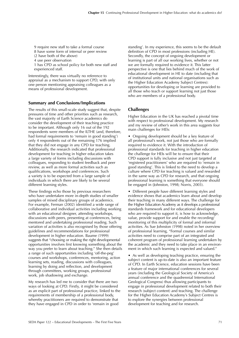- 9 require new staff to take a formal course
- 8 have some form of internal or peer review
- (2 have both of the above)
- 4 use peer observation

1 has CPD as school policy for both new staff and experienced staff.

Interestingly, there was virtually no reference to appraisal as a mechanism to support CPD, with only one person mentioning appraising colleagues as a means of professional development.

## **Summary and Conclusions/Implications**

The results of this small-scale study suggest that, despite pressures of time and other priorities such as research, the vast majority of Earth Science academics do consider the development of their teaching practice to be important. Although only 16 out of the 192 respondents were members of the ILTHE (and, therefore, had formal requirements to 'remain in good standing') only 4 respondents out of the remaining 176 implied that they did not engage in any CPD for teaching. Additionally, the research indicated that professional development for teaching in higher education takes a large variety of forms including discussions with colleagues, responding to student feedback and peer review, as well as more formal activities such as qualifications, workshops and conferences. Such a variety is to be expected from a large sample of individuals in which there are likely to be several different learning styles.

These findings echo those by previous researchers who have undertaken more in-depth studies of smaller samples of mixed disciplinary groups of academics. For example, Ferman (2002) identified a wide range of collaborative and individual activities including working with an educational designer, attending workshops, discussions with peers, presenting at conferences, being mentored and undertaking professional reading. Such variation of activities is also recognised by those offering guidelines and recommendations for professional development in higher education. Baume (1999) suggests that "choosing or making the right developmental opportunities involves first knowing something about the way you prefer to learn about teaching." She then details a range of such opportunities including 'off-the-peg' courses and workshops, conferences, mentoring, action learning sets, reading, discussions with colleagues, learning by doing and reflection, and development through committees, working groups, professional work, job shadowing and exchange.

My research has led me to consider that there are two ways of looking at CPD. Firstly, it might be considered as an explicit part of professional practice, linked to the requirements of membership of a professional body, whereby practitioners are required to demonstrate that they have engaged in CPD in order to 'remain in good

standing'. In my experience, this seems to be the default definition of CPD in most professions (including HE). Secondly, the concept of ongoing development or learning is part of all our working lives, whether or not we are formally required to evidence it. This latter perspective is one that lies behind much of the work of educational development in HE to date (including that of institutional units and national organisations such as the Higher Education Academy Subject Centres): opportunities for developing or learning are provided to all those who teach or support learning not just those who are members of a professional body.

## **Challenges**

Higher Education in the UK has reached a pivotal time with respect to professional development. My research and my review of other's work in this area suggests four main challenges for HEls:

• Ongoing development should be a key feature of all professional's work, not just those who are formally required to evidence it. With the introduction of professional standards for teaching in higher education the challenge for HEIs will be to ensure that their CPD support is fully inclusive and not just targeted at 'registered practitioners' who are required to 'remain in good standing'. This is linked to the need to develop a culture where CPD for teaching is valued and rewarded in the same way as CPD for research, and that ongoing professional learning is something that everyone should be engaged in (Johnston, 1998; Norris, 2003).

• Different people have different learning styles and evidence shows that academics learn about and develop their teaching in many different ways. The challenge for the Higher Education Academy as it develops a professional standards framework and for educational developers who are required to support it, is how to acknowledge, value, provide support for and enable the recording/ monitoring of this multiplicity of formal and informal activities. As Sue Johnston (1998) noted in her overview of professional learning, "Formal courses and similar activities need to comprise part of an integrated and coherent program of professional learning undertaken by the academic and they need to take place in an environment in which such learning is expected and valued."

• As well as developing teaching practice, ensuring the subject content is up-to-date is also an important feature of CPD. In Earth Science, education sessions have been a feature of major international conferences for several years (including the Geological Society of America's annual conference and the quadrennial International Geological Congress) thus allowing participants to engage in professional development related to both their research (subject content) and teaching. The challenge for the Higher Education Academy's Subject Centres is to explore the synergies between professional development for teaching and for research.